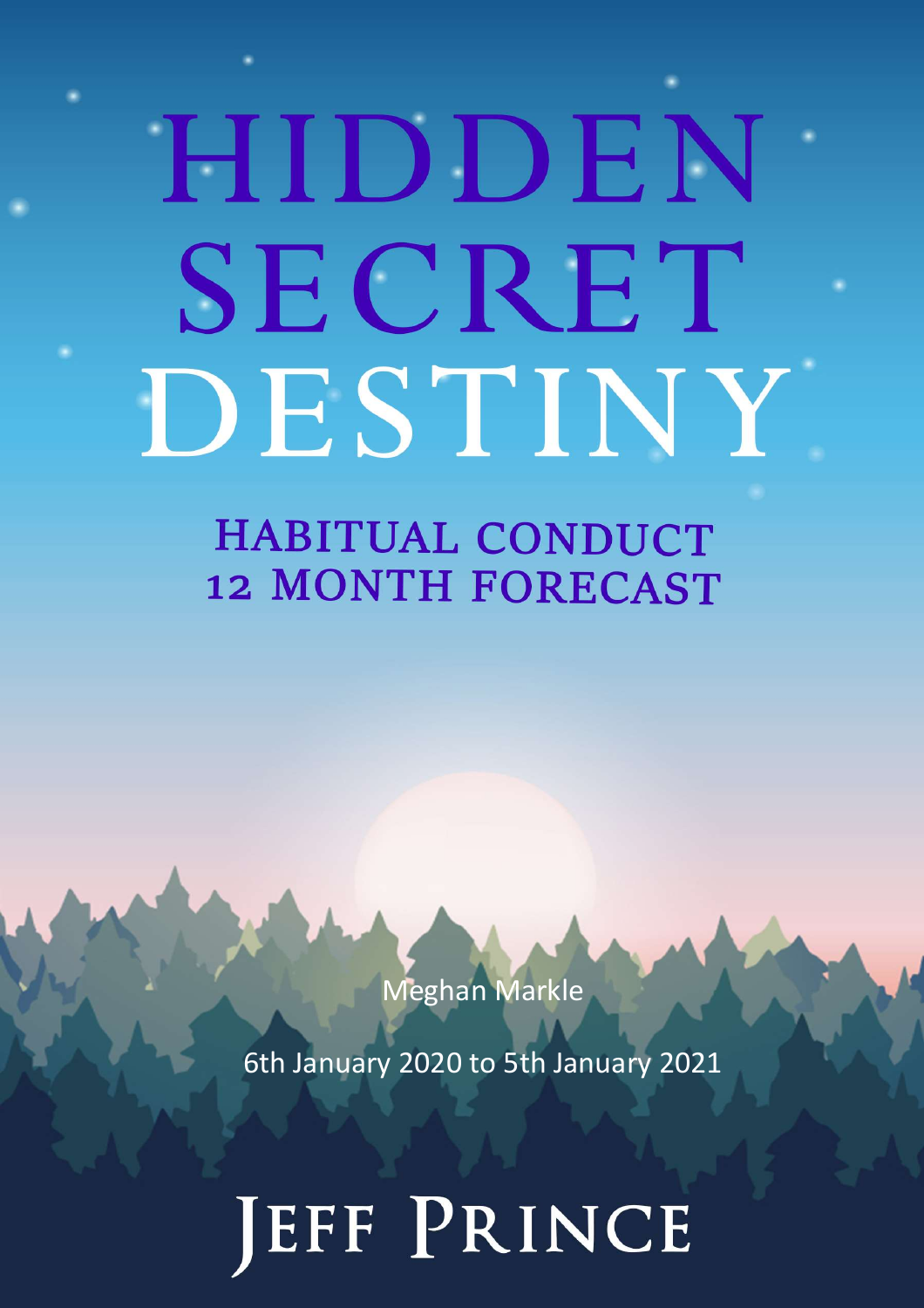# HIDDEN SECRET DESTINY

**HABITUAL CONDUCT 12 MONTH FORECAST** 

Meghan Markle

6th January 2020 to 5th January 2021

JEFF PRINCE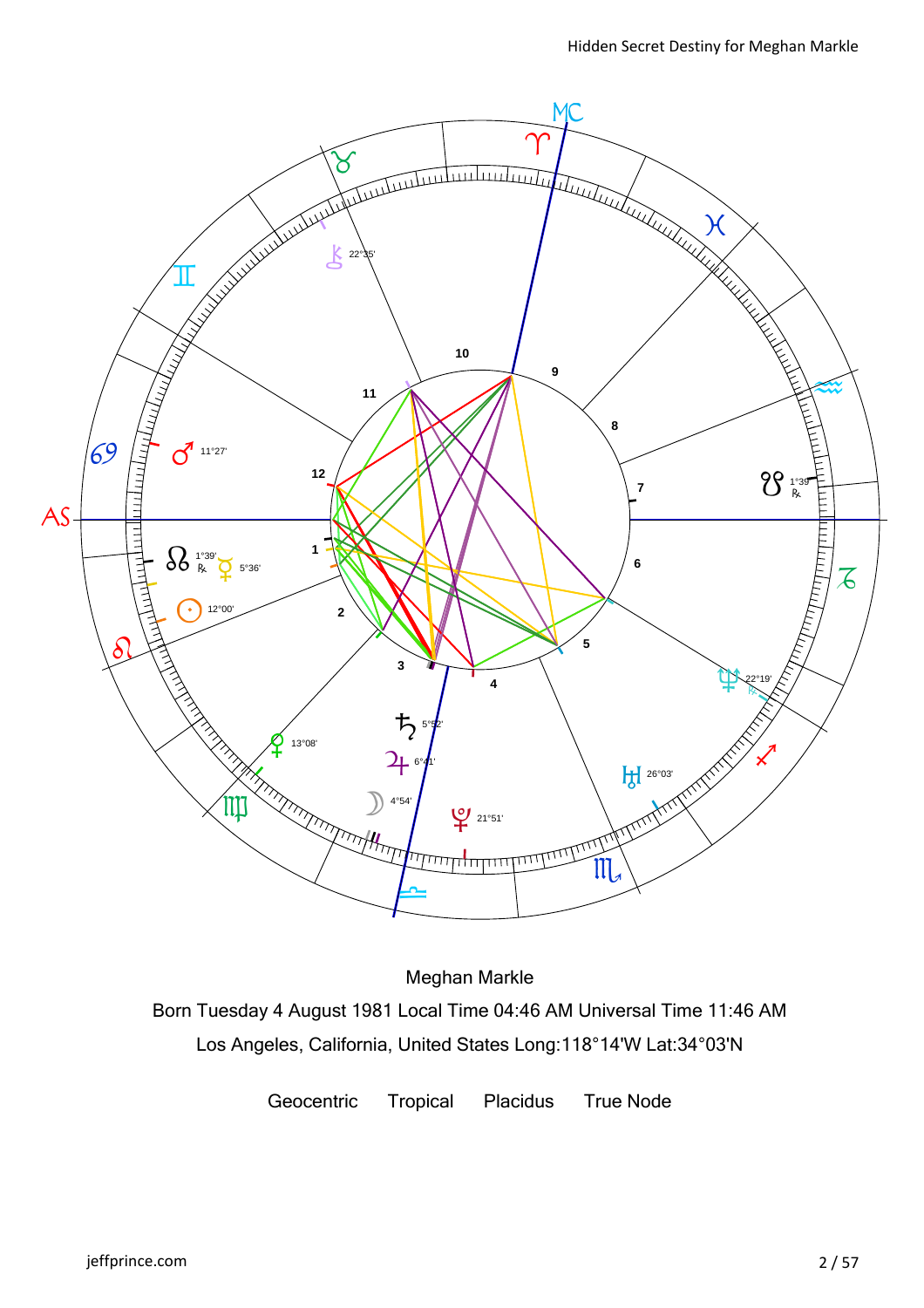

Meghan Markle

Born Tuesday 4 August 1981 Local Time 04:46 AM Universal Time 11:46 AM Los Angeles, California, United States Long:118°14'W Lat:34°03'N

Geocentric Tropical Placidus True Node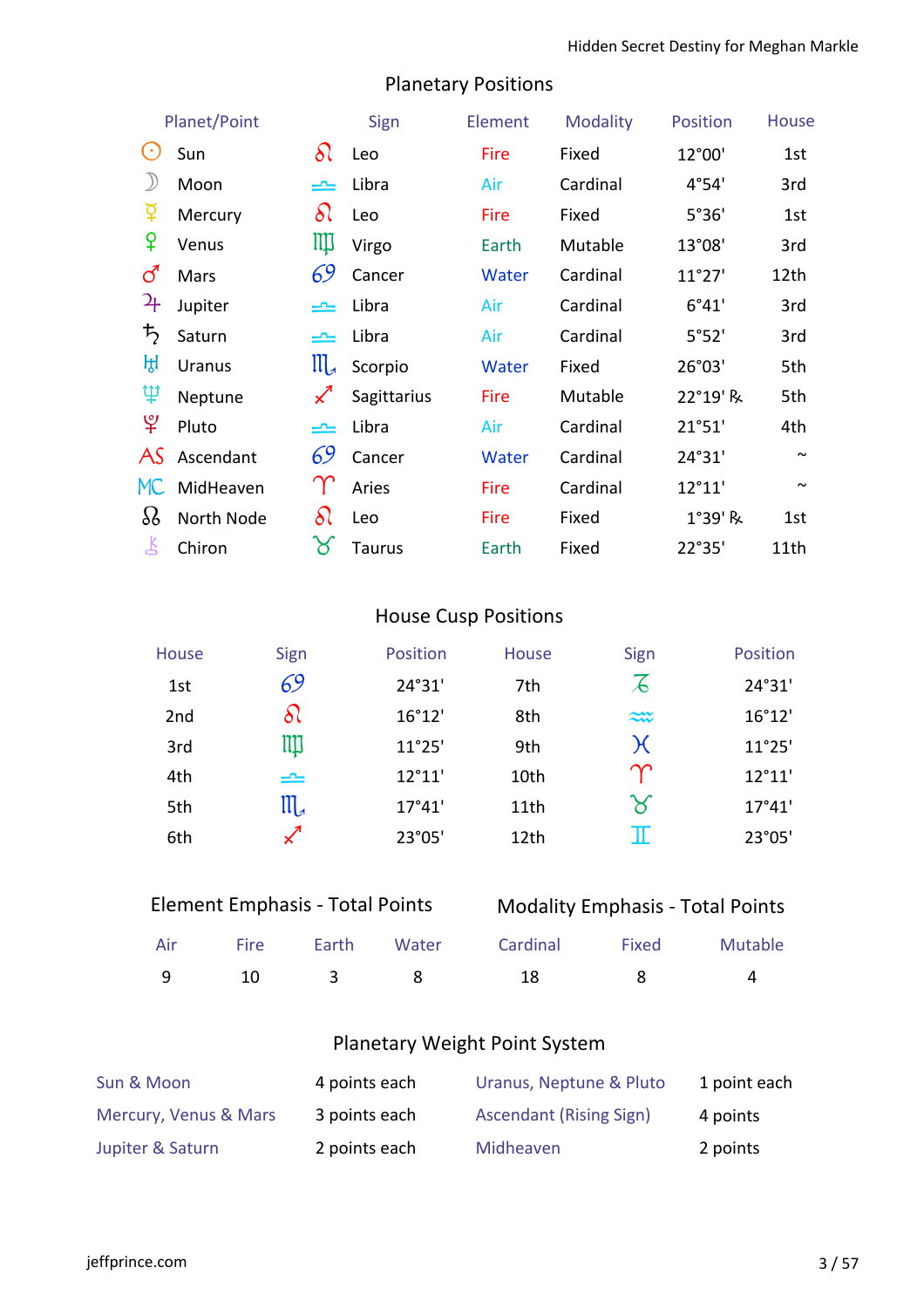| <b>Planetary Positions</b> |  |
|----------------------------|--|
|----------------------------|--|

|                            | Planet/Point  |                            | Sign          | Element | Modality | <b>Position</b> | <b>House</b> |
|----------------------------|---------------|----------------------------|---------------|---------|----------|-----------------|--------------|
| $(\cdot)$                  | Sun           | $\delta\wr$                | Leo           | Fire    | Fixed    | 12°00'          | 1st          |
| $\mathcal{Y}$              | Moon          | یمی                        | Libra         | Air     | Cardinal | 4°54'           | 3rd          |
|                            | Mercury       | δι                         | Leo           | Fire    | Fixed    | 5°36'           | 1st          |
| ¥                          | Venus         | Щ                          | Virgo         | Earth   | Mutable  | 13°08'          | 3rd          |
| ර                          | Mars          | 69                         | Cancer        | Water   | Cardinal | 11°27'          | 12th         |
| $\mathcal{L}_{\mathsf{F}}$ | Jupiter       |                            | Libra         | Air     | Cardinal | 6°41'           | 3rd          |
| ち                          | Saturn        | یمی                        | Libra         | Air     | Cardinal | 5°52'           | 3rd          |
| ਮ੍ਹਿ                       | <b>Uranus</b> | $\prod_{\mathcal{A}}$      | Scorpio       | Water   | Fixed    | 26°03'          | 5th          |
| Ψ                          | Neptune       | $\boldsymbol{\mathcal{K}}$ | Sagittarius   | Fire    | Mutable  | 22°19' R        | 5th          |
| $\mathfrak{P}$             | Pluto         | یمی                        | Libra         | Air     | Cardinal | 21°51'          | 4th          |
| AS                         | Ascendant     | 69                         | Cancer        | Water   | Cardinal | 24°31'          | $\sim$       |
| MC                         | MidHeaven     |                            | Aries         | Fire    | Cardinal | 12°11'          | $\sim$       |
| 88                         | North Node    | δι                         | Leo           | Fire    | Fixed    | 1°39' R         | 1st          |
| 飞                          | Chiron        | ୪                          | <b>Taurus</b> | Earth   | Fixed    | 22°35'          | 11th         |

# House Cusp Positions

| House           | Sign          | Position        | <b>House</b> | Sign                     | Position |
|-----------------|---------------|-----------------|--------------|--------------------------|----------|
| 1st             | 69            | 24°31'          | 7th          | $\overline{\mathcal{L}}$ | 24°31'   |
| 2 <sub>nd</sub> | δl            | 16°12'          | 8th          | $\approx$                | 16°12'   |
| 3rd             | Щ             | 11°25'          | 9th          | $\chi$                   | 11°25'   |
| 4th             | ≃             | $12^{\circ}11'$ | 10th         | $\gamma$                 | 12°11'   |
| 5th             | ${\rm III}_4$ | 17°41'          | 11th         | $\boldsymbol{\times}$    | 17°41'   |
| 6th             |               | 23°05'          | 12th         | π                        | 23°05'   |

| <b>Element Emphasis - Total Points</b> |           |          | <b>Modality Emphasis - Total Points</b> |          |              |          |
|----------------------------------------|-----------|----------|-----------------------------------------|----------|--------------|----------|
| Air                                    | Fire      | Earth    | Water                                   | Cardinal | Fixed        | Mutable  |
|                                        | <b>10</b> | $\sim$ 3 | - 8 -                                   | 18.      | $\mathbf{R}$ | $\Delta$ |

# Planetary Weight Point System

| Sun & Moon            | 4 points each | Uranus, Neptune & Pluto        | 1 point each |
|-----------------------|---------------|--------------------------------|--------------|
| Mercury, Venus & Mars | 3 points each | <b>Ascendant (Rising Sign)</b> | 4 points     |
| Jupiter & Saturn      | 2 points each | Midheaven                      | 2 points     |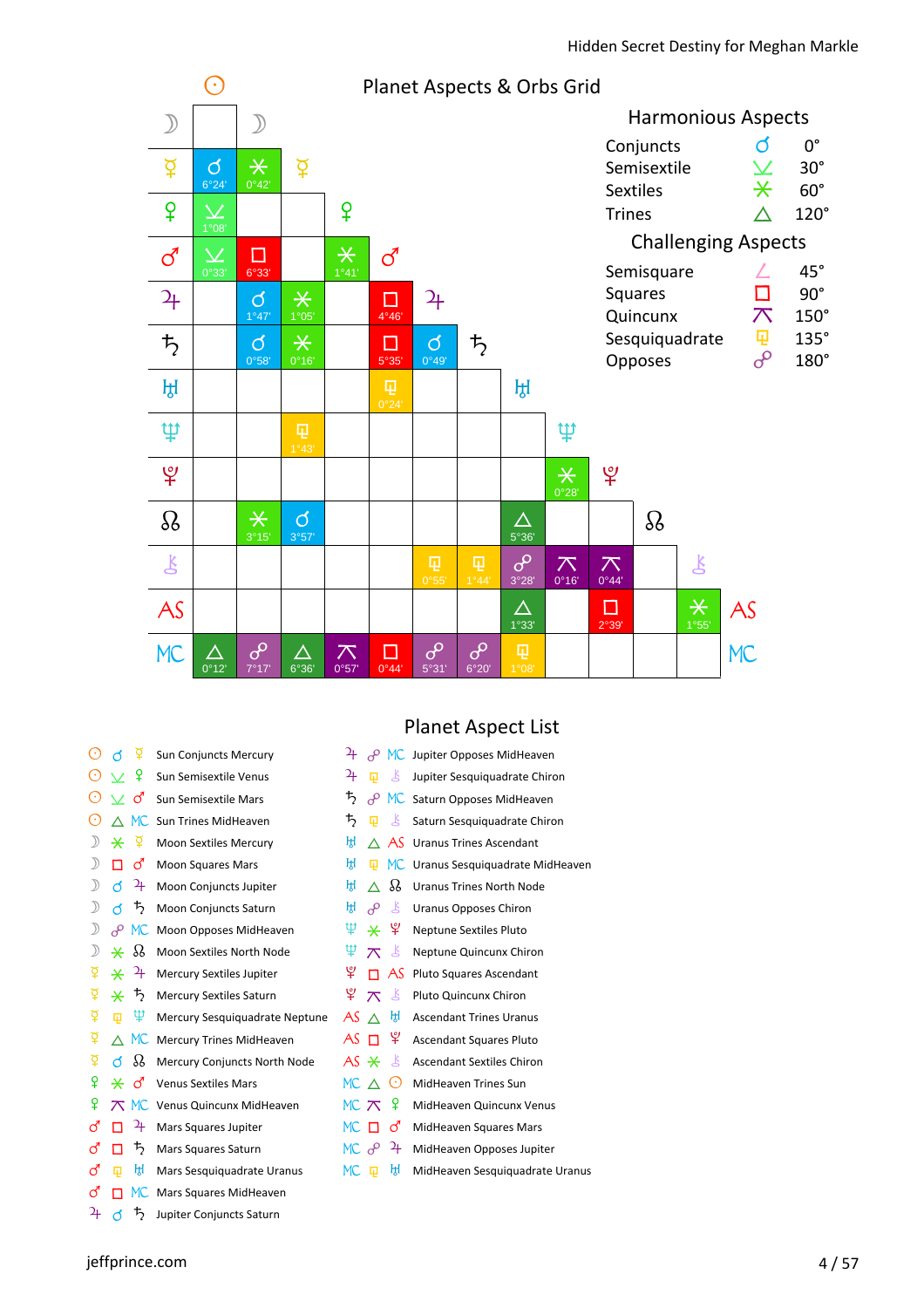

#### Planet Aspect List

| $(\cdot)$ | ₽<br>൪              | <b>Sun Conjuncts Mercury</b>   | 4<br>مہ                           | MC Jupiter Opposes MidHeaven     |
|-----------|---------------------|--------------------------------|-----------------------------------|----------------------------------|
|           | ¥                   | Sun Semisextile Venus          | 4<br>Ľ<br>量                       | Jupiter Sesquiquadrate Chiron    |
| $(\cdot)$ | ර                   | Sun Semisextile Mars           | ₽,<br>$\sigma$<br>MC              | Saturn Opposes MidHeaven         |
| $(\cdot)$ | MC.                 | Sun Trines MidHeaven           | 芍<br>Š<br>卬                       | Saturn Sesquiquadrate Chiron     |
|           | ₽<br>⋇              | <b>Moon Sextiles Mercury</b>   | 凩<br>AS.                          | <b>Uranus Trines Ascendant</b>   |
|           | ර<br>п              | <b>Moon Squares Mars</b>       | ਸ਼੍ਰਮ<br>囸<br>MC.                 | Uranus Sesquiquadrate MidHeaven  |
|           | 4<br>đ              | Moon Conjuncts Jupiter         | 88<br>Щ<br>Λ                      | <b>Uranus Trines North Node</b>  |
|           | 丂<br>đ              | Moon Conjuncts Saturn          | Щ<br>Ľ<br>م                       | <b>Uranus Opposes Chiron</b>     |
|           | $\sigma$<br>MC.     | Moon Opposes MidHeaven         | ¥<br>Ψ<br>⋇                       | <b>Neptune Sextiles Pluto</b>    |
|           | 88<br>⋇             | Moon Sextiles North Node       | Ψ<br>Š<br>$\pi$                   | Neptune Quincunx Chiron          |
| ₫         | $\mathfrak{p}$<br>⋇ | Mercury Sextiles Jupiter       | ¥<br>AS<br>п                      | Pluto Squares Ascendant          |
| ₽         | ᡏ2<br>⋇             | <b>Mercury Sextiles Saturn</b> | ¥.<br>Ľ<br>$\pi$                  | Pluto Quincunx Chiron            |
| ₽         | Ψ<br>量              | Mercury Sesquiquadrate Neptune | ਸ਼੍ਰਿ<br>AS                       | <b>Ascendant Trines Uranus</b>   |
| ₽         | MC.<br>∧            | Mercury Trines MidHeaven       | ¥<br>AS<br>П                      | <b>Ascendant Squares Pluto</b>   |
| ₽         | 88<br>đ             | Mercury Conjuncts North Node   | AS $\ast$<br>Ľ                    | <b>Ascendant Sextiles Chiron</b> |
| ¥         | ර<br>⋇              | <b>Venus Sextiles Mars</b>     | MC $\wedge$<br>$(\cdot)$          | MidHeaven Trines Sun             |
| ¥         | MC.                 | Venus Quincunx MidHeaven       | ¥<br>MC $\pi$                     | MidHeaven Quincunx Venus         |
| ර         | $\mathfrak{p}$<br>П | Mars Squares Jupiter           | $MC$ $\Pi$<br>ර                   | MidHeaven Squares Mars           |
| <u>්</u>  | 7<br>П              | Mars Squares Saturn            | 4<br>$MC$ $\partial$ <sup>o</sup> | MidHeaven Opposes Jupiter        |
| ර         | ਸ਼੍ਰਮ<br>曱          | Mars Sesquiquadrate Uranus     | ਸ਼੍ਰਿ<br>MC<br>曱                  | MidHeaven Sesquiquadrate Uranus  |
| ්         | MC.<br>п            | Mars Squares MidHeaven         |                                   |                                  |

 $\frac{1}{4}$  d  $\frac{1}{2}$  Jupiter Conjuncts Saturn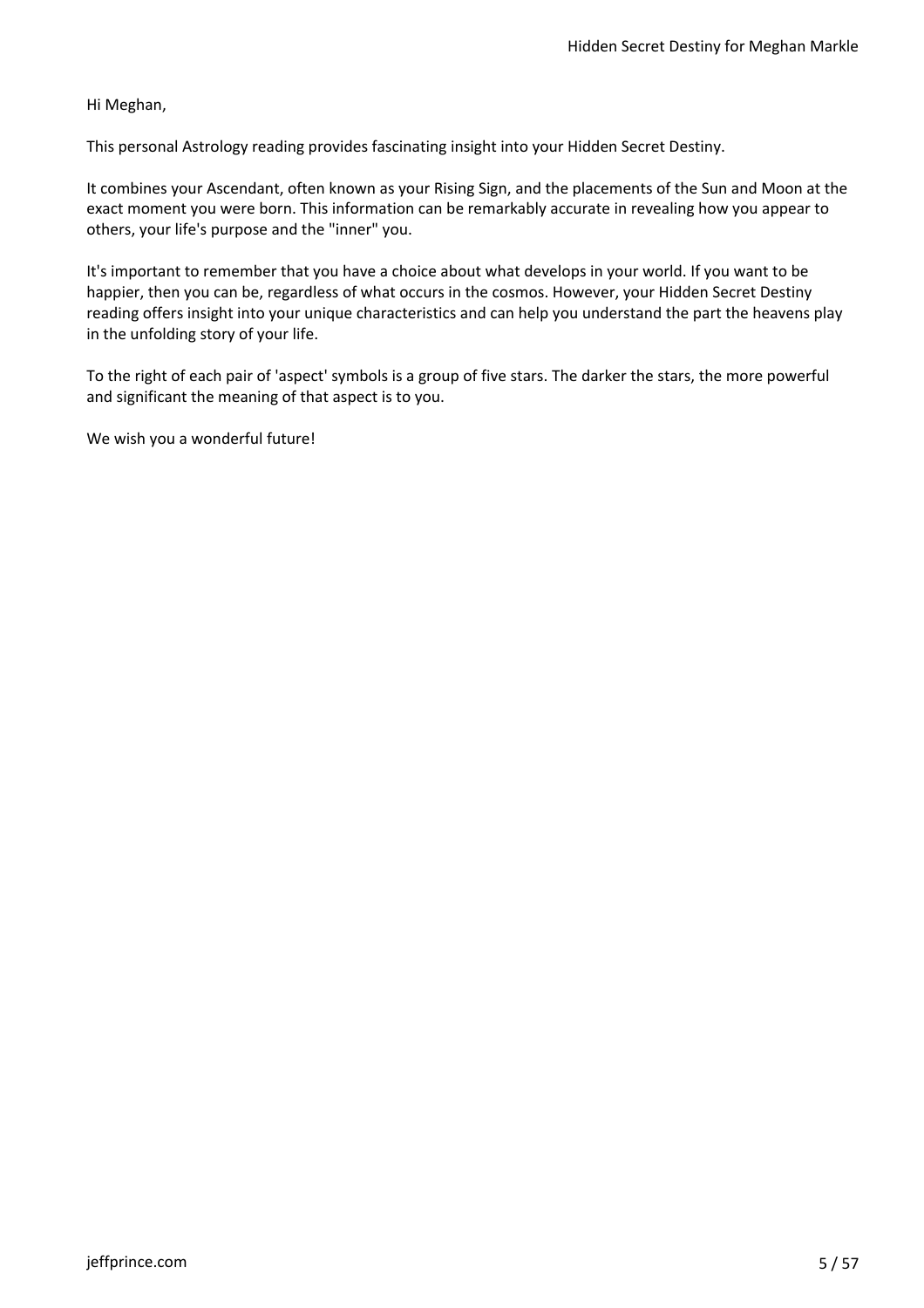Hi Meghan,

This personal Astrology reading provides fascinating insight into your Hidden Secret Destiny.

It combines your Ascendant, often known as your Rising Sign, and the placements of the Sun and Moon at the exact moment you were born. This information can be remarkably accurate in revealing how you appear to others, your life's purpose and the "inner" you.

It's important to remember that you have a choice about what develops in your world. If you want to be happier, then you can be, regardless of what occurs in the cosmos. However, your Hidden Secret Destiny reading offers insight into your unique characteristics and can help you understand the part the heavens play in the unfolding story of your life.

To the right of each pair of 'aspect' symbols is a group of five stars. The darker the stars, the more powerful and significant the meaning of that aspect is to you.

We wish you a wonderful future!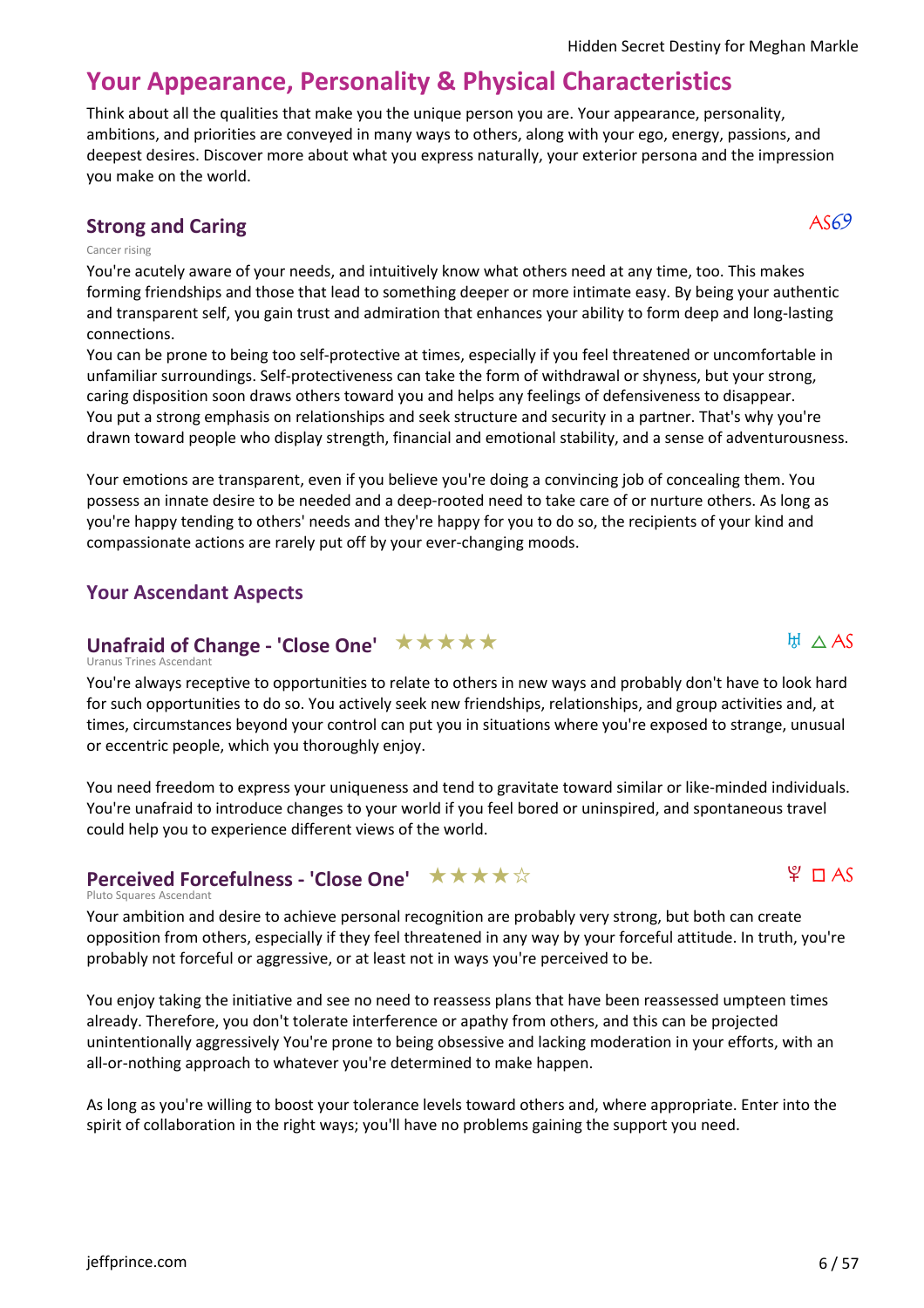# **Your Appearance, Personality & Physical Characteristics**

Think about all the qualities that make you the unique person you are. Your appearance, personality, ambitions, and priorities are conveyed in many ways to others, along with your ego, energy, passions, and deepest desires. Discover more about what you express naturally, your exterior persona and the impression you make on the world.

# **Strong and Caring**  $\overline{AS69}$

#### Cancer rising

You're acutely aware of your needs, and intuitively know what others need at any time, too. This makes forming friendships and those that lead to something deeper or more intimate easy. By being your authentic and transparent self, you gain trust and admiration that enhances your ability to form deep and long-lasting connections.

You can be prone to being too self-protective at times, especially if you feel threatened or uncomfortable in unfamiliar surroundings. Self-protectiveness can take the form of withdrawal or shyness, but your strong, caring disposition soon draws others toward you and helps any feelings of defensiveness to disappear. You put a strong emphasis on relationships and seek structure and security in a partner. That's why you're drawn toward people who display strength, financial and emotional stability, and a sense of adventurousness.

Your emotions are transparent, even if you believe you're doing a convincing job of concealing them. You possess an innate desire to be needed and a deep-rooted need to take care of or nurture others. As long as you're happy tending to others' needs and they're happy for you to do so, the recipients of your kind and compassionate actions are rarely put off by your ever-changing moods.

# **Your Ascendant Aspects**

# Unafraid of Change - 'Close One' ★ ★ ★ ★ ★

Uranus Trines Ascendant

You're always receptive to opportunities to relate to others in new ways and probably don't have to look hard for such opportunities to do so. You actively seek new friendships, relationships, and group activities and, at times, circumstances beyond your control can put you in situations where you're exposed to strange, unusual or eccentric people, which you thoroughly enjoy.

You need freedom to express your uniqueness and tend to gravitate toward similar or like-minded individuals. You're unafraid to introduce changes to your world if you feel bored or uninspired, and spontaneous travel could help you to experience different views of the world.

#### Pluto Squares Ascendant **Perceived Forcefulness - 'Close One'** ★★★★☆

Your ambition and desire to achieve personal recognition are probably very strong, but both can create opposition from others, especially if they feel threatened in any way by your forceful attitude. In truth, you're probably not forceful or aggressive, or at least not in ways you're perceived to be.

You enjoy taking the initiative and see no need to reassess plans that have been reassessed umpteen times already. Therefore, you don't tolerate interference or apathy from others, and this can be projected unintentionally aggressively You're prone to being obsessive and lacking moderation in your efforts, with an all-or-nothing approach to whatever you're determined to make happen.

As long as you're willing to boost your tolerance levels toward others and, where appropriate. Enter into the spirit of collaboration in the right ways; you'll have no problems gaining the support you need.



 $H \wedge AS$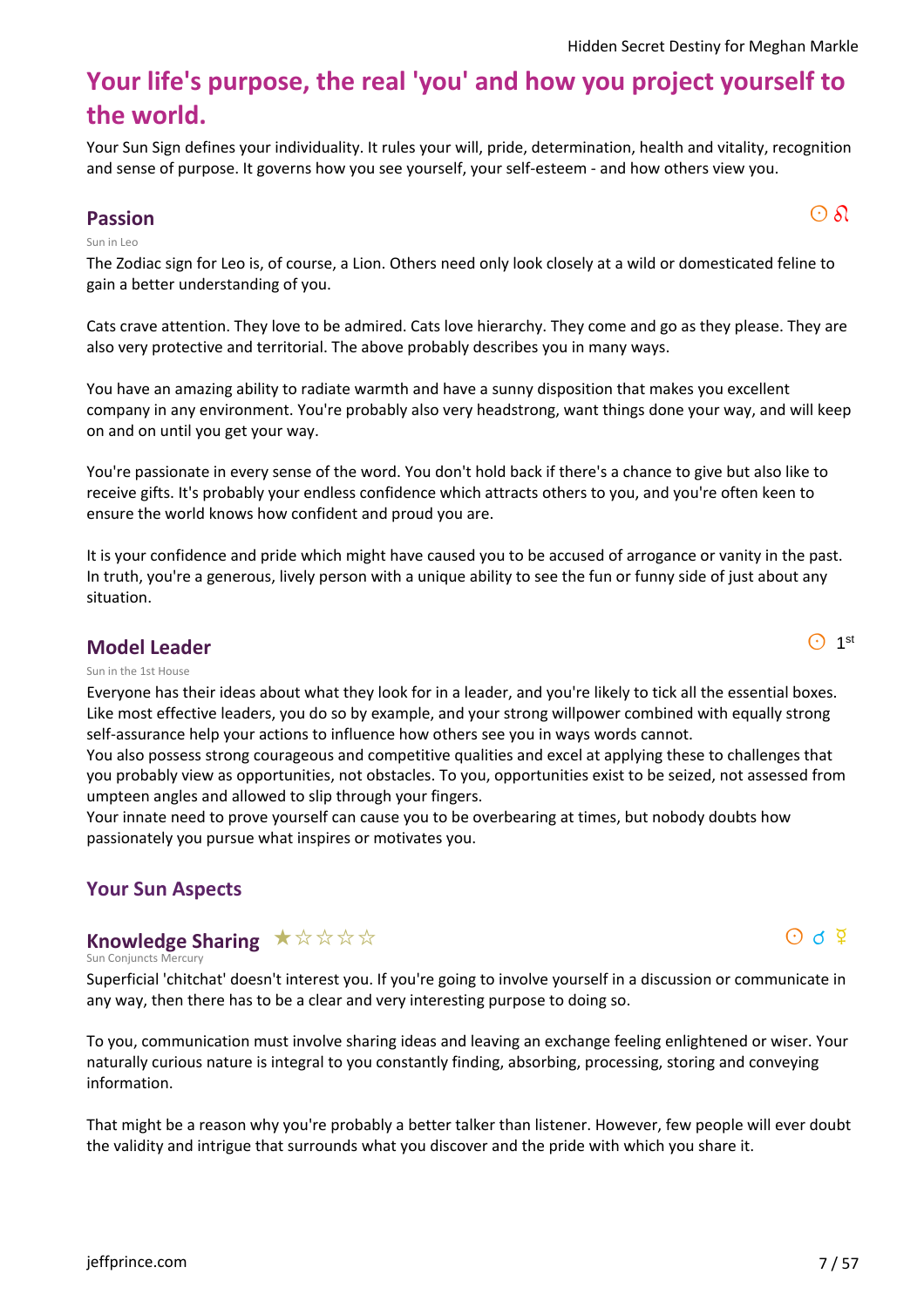# **Your life's purpose, the real 'you' and how you project yourself to the world.**

Your Sun Sign defines your individuality. It rules your will, pride, determination, health and vitality, recognition and sense of purpose. It governs how you see yourself, your self-esteem - and how others view you.

# **Passion** and  $\overline{\text{O}}$   $\delta$

#### Sun in Leo

The Zodiac sign for Leo is, of course, a Lion. Others need only look closely at a wild or domesticated feline to gain a better understanding of you.

Cats crave attention. They love to be admired. Cats love hierarchy. They come and go as they please. They are also very protective and territorial. The above probably describes you in many ways.

You have an amazing ability to radiate warmth and have a sunny disposition that makes you excellent company in any environment. You're probably also very headstrong, want things done your way, and will keep on and on until you get your way.

You're passionate in every sense of the word. You don't hold back if there's a chance to give but also like to receive gifts. It's probably your endless confidence which attracts others to you, and you're often keen to ensure the world knows how confident and proud you are.

It is your confidence and pride which might have caused you to be accused of arrogance or vanity in the past. In truth, you're a generous, lively person with a unique ability to see the fun or funny side of just about any situation.

#### **Model Leader**

#### Sun in the 1st House

Everyone has their ideas about what they look for in a leader, and you're likely to tick all the essential boxes. Like most effective leaders, you do so by example, and your strong willpower combined with equally strong self-assurance help your actions to influence how others see you in ways words cannot.

You also possess strong courageous and competitive qualities and excel at applying these to challenges that you probably view as opportunities, not obstacles. To you, opportunities exist to be seized, not assessed from umpteen angles and allowed to slip through your fingers.

Your innate need to prove yourself can cause you to be overbearing at times, but nobody doubts how passionately you pursue what inspires or motivates you.

#### **Your Sun Aspects**

# **Knowledge Sharing** \*\*\*\*\*

Sun Conjuncts Mercury

Superficial 'chitchat' doesn't interest you. If you're going to involve yourself in a discussion or communicate in any way, then there has to be a clear and very interesting purpose to doing so.

To you, communication must involve sharing ideas and leaving an exchange feeling enlightened or wiser. Your naturally curious nature is integral to you constantly finding, absorbing, processing, storing and conveying information.

That might be a reason why you're probably a better talker than listener. However, few people will ever doubt the validity and intrigue that surrounds what you discover and the pride with which you share it.

 $\bigodot$  1<sup>st</sup>

 $\Theta$  d  $\Psi$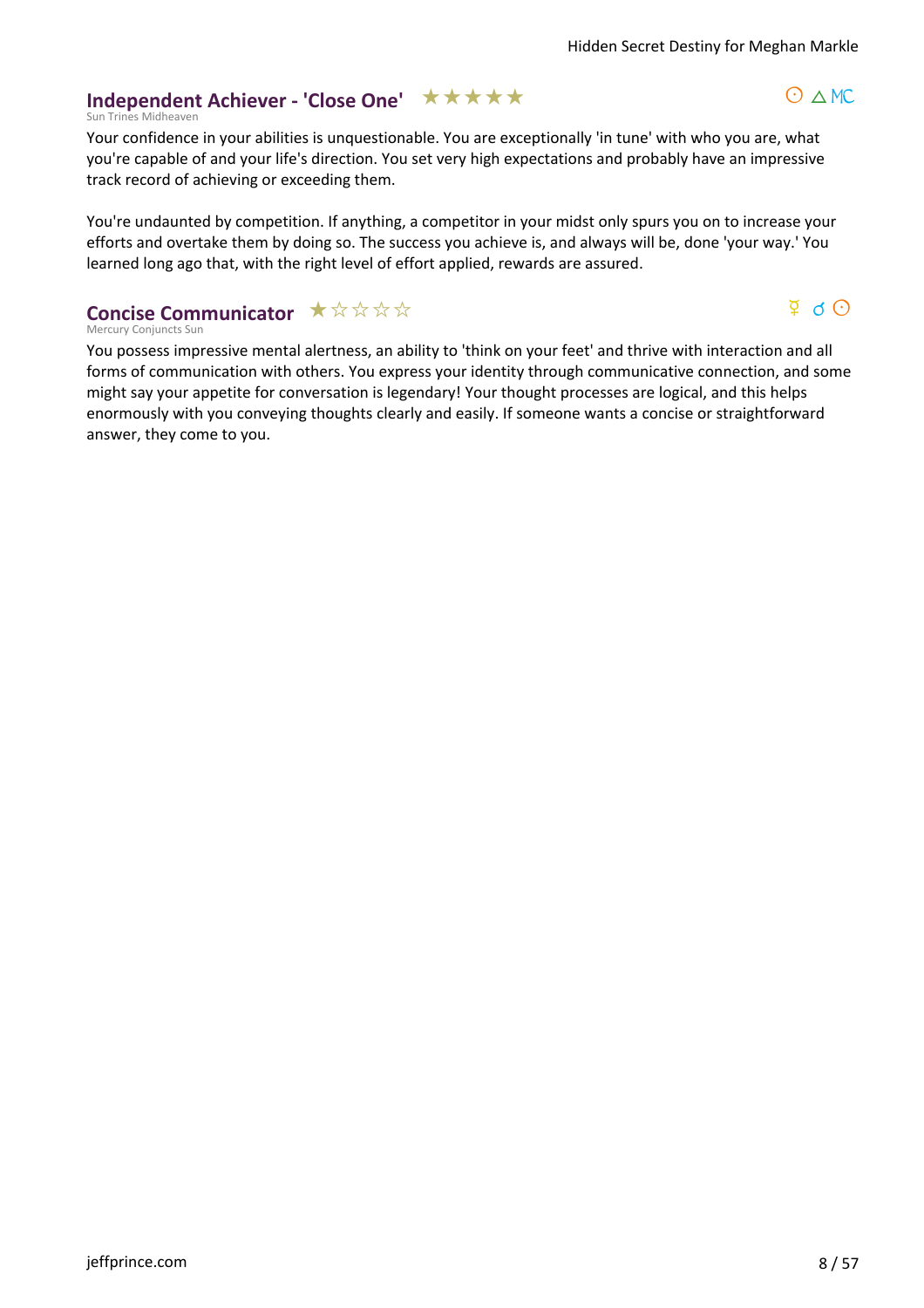$O \wedge MC$ 

 $\Phi$  d  $\Theta$ 

#### **Independent Achiever - 'Close One' ★★★★★**

Sun Trines Midheaven

Your confidence in your abilities is unquestionable. You are exceptionally 'in tune' with who you are, what you're capable of and your life's direction. You set very high expectations and probably have an impressive track record of achieving or exceeding them.

You're undaunted by competition. If anything, a competitor in your midst only spurs you on to increase your efforts and overtake them by doing so. The success you achieve is, and always will be, done 'your way.' You learned long ago that, with the right level of effort applied, rewards are assured.

#### Mercury Conjuncts Sun **Concise Communicator**  $\star \forall x \forall x$

You possess impressive mental alertness, an ability to 'think on your feet' and thrive with interaction and all forms of communication with others. You express your identity through communicative connection, and some might say your appetite for conversation is legendary! Your thought processes are logical, and this helps enormously with you conveying thoughts clearly and easily. If someone wants a concise or straightforward answer, they come to you.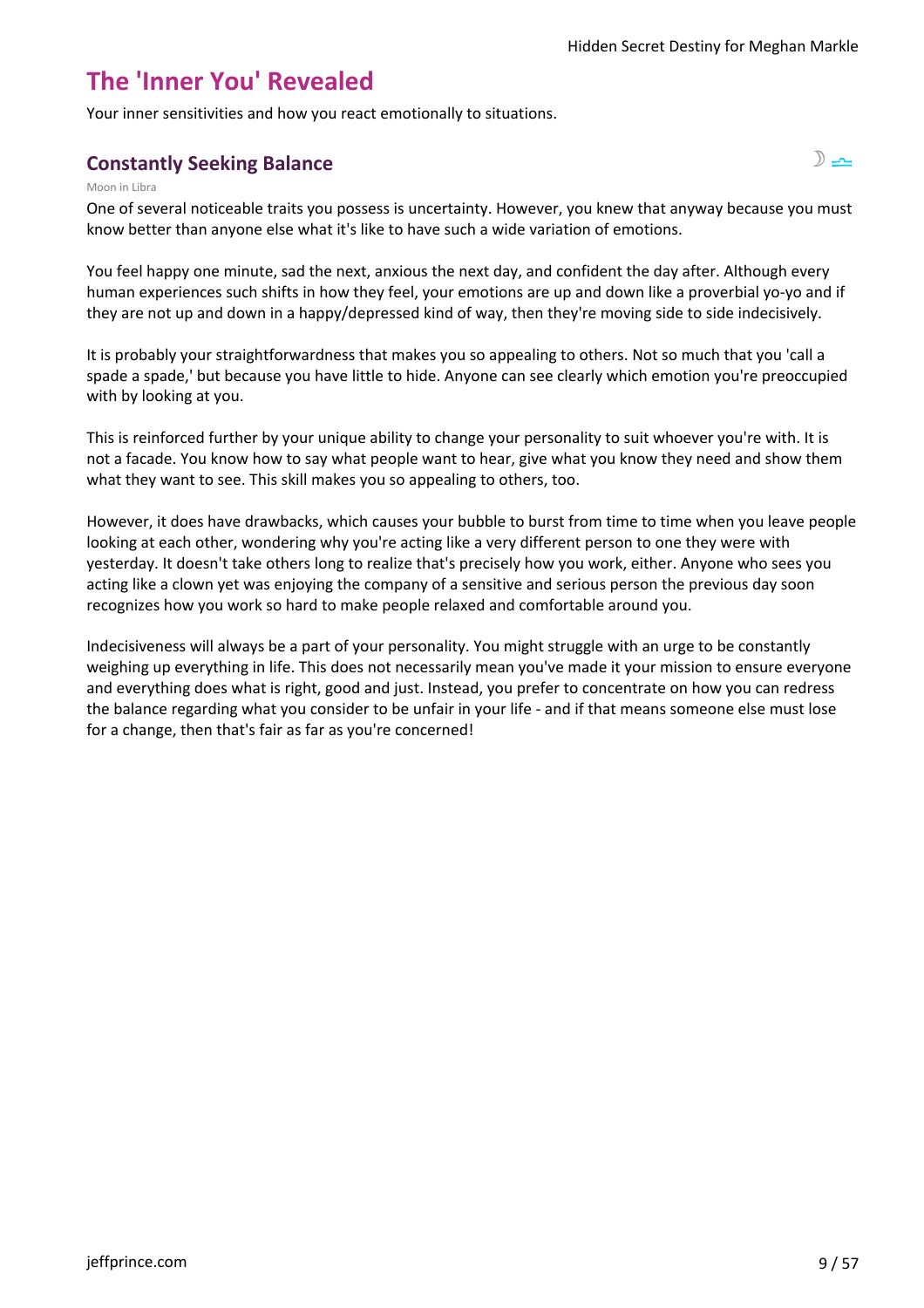# **The 'Inner You' Revealed**

Your inner sensitivities and how you react emotionally to situations.

# **Constantly Seeking Balance** s 7 and 7 and 7 and 7 and 7 and 7 and 7 and 7 and 7 and 7 and 7 and 7 and 7 and 7 and 7 and 7 and 7 and 7 and 7 and 7 and 7 and 7 and 7 and 7 and 7 and 7 and 7 and 7 and 7 and 7 and 7 and 7 and



One of several noticeable traits you possess is uncertainty. However, you knew that anyway because you must know better than anyone else what it's like to have such a wide variation of emotions.

You feel happy one minute, sad the next, anxious the next day, and confident the day after. Although every human experiences such shifts in how they feel, your emotions are up and down like a proverbial yo-yo and if they are not up and down in a happy/depressed kind of way, then they're moving side to side indecisively.

It is probably your straightforwardness that makes you so appealing to others. Not so much that you 'call a spade a spade,' but because you have little to hide. Anyone can see clearly which emotion you're preoccupied with by looking at you.

This is reinforced further by your unique ability to change your personality to suit whoever you're with. It is not a facade. You know how to say what people want to hear, give what you know they need and show them what they want to see. This skill makes you so appealing to others, too.

However, it does have drawbacks, which causes your bubble to burst from time to time when you leave people looking at each other, wondering why you're acting like a very different person to one they were with yesterday. It doesn't take others long to realize that's precisely how you work, either. Anyone who sees you acting like a clown yet was enjoying the company of a sensitive and serious person the previous day soon recognizes how you work so hard to make people relaxed and comfortable around you.

Indecisiveness will always be a part of your personality. You might struggle with an urge to be constantly weighing up everything in life. This does not necessarily mean you've made it your mission to ensure everyone and everything does what is right, good and just. Instead, you prefer to concentrate on how you can redress the balance regarding what you consider to be unfair in your life - and if that means someone else must lose for a change, then that's fair as far as you're concerned!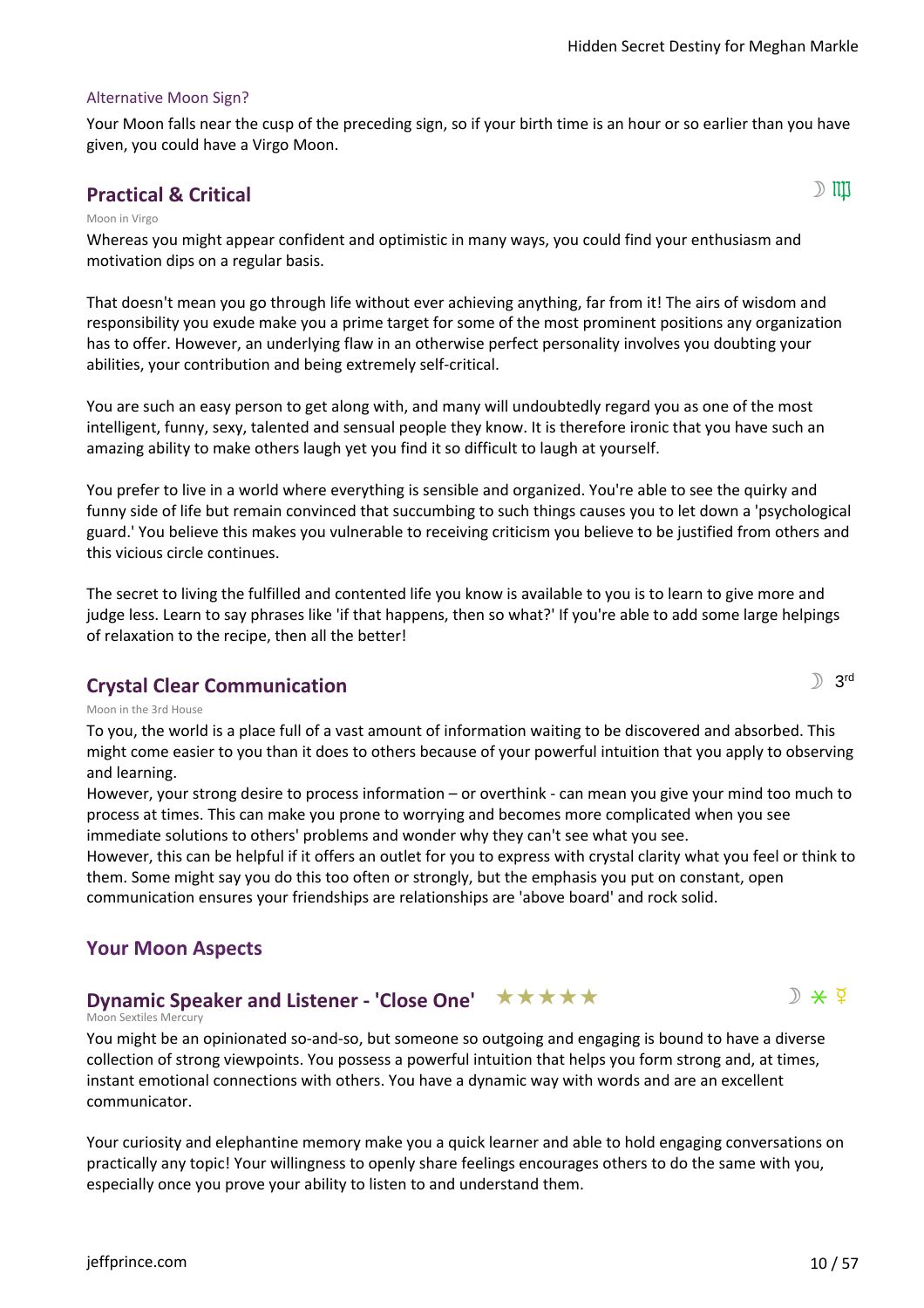#### Alternative Moon Sign?

Your Moon falls near the cusp of the preceding sign, so if your birth time is an hour or so earlier than you have given, you could have a Virgo Moon.

## **Practical & Critical structure**  $\mathbb{D}$  **iii)**

 $\mathbb{R}$  3rd

#### Moon in Virgo

Whereas you might appear confident and optimistic in many ways, you could find your enthusiasm and motivation dips on a regular basis.

That doesn't mean you go through life without ever achieving anything, far from it! The airs of wisdom and responsibility you exude make you a prime target for some of the most prominent positions any organization has to offer. However, an underlying flaw in an otherwise perfect personality involves you doubting your abilities, your contribution and being extremely self-critical.

You are such an easy person to get along with, and many will undoubtedly regard you as one of the most intelligent, funny, sexy, talented and sensual people they know. It is therefore ironic that you have such an amazing ability to make others laugh yet you find it so difficult to laugh at yourself.

You prefer to live in a world where everything is sensible and organized. You're able to see the quirky and funny side of life but remain convinced that succumbing to such things causes you to let down a 'psychological guard.' You believe this makes you vulnerable to receiving criticism you believe to be justified from others and this vicious circle continues.

The secret to living the fulfilled and contented life you know is available to you is to learn to give more and judge less. Learn to say phrases like 'if that happens, then so what?' If you're able to add some large helpings of relaxation to the recipe, then all the better!

#### **Crystal Clear Communication**

Moon in the 3rd House

To you, the world is a place full of a vast amount of information waiting to be discovered and absorbed. This might come easier to you than it does to others because of your powerful intuition that you apply to observing and learning.

However, your strong desire to process information – or overthink - can mean you give your mind too much to process at times. This can make you prone to worrying and becomes more complicated when you see immediate solutions to others' problems and wonder why they can't see what you see.

However, this can be helpful if it offers an outlet for you to express with crystal clarity what you feel or think to them. Some might say you do this too often or strongly, but the emphasis you put on constant, open communication ensures your friendships are relationships are 'above board' and rock solid.

#### **Your Moon Aspects**

#### $D \times Q$ **Dynamic Speaker and Listener - 'Close One'** ★ ★ ★ ★ ★

#### Moon Sextiles Mercury

You might be an opinionated so-and-so, but someone so outgoing and engaging is bound to have a diverse collection of strong viewpoints. You possess a powerful intuition that helps you form strong and, at times, instant emotional connections with others. You have a dynamic way with words and are an excellent communicator.

Your curiosity and elephantine memory make you a quick learner and able to hold engaging conversations on practically any topic! Your willingness to openly share feelings encourages others to do the same with you, especially once you prove your ability to listen to and understand them.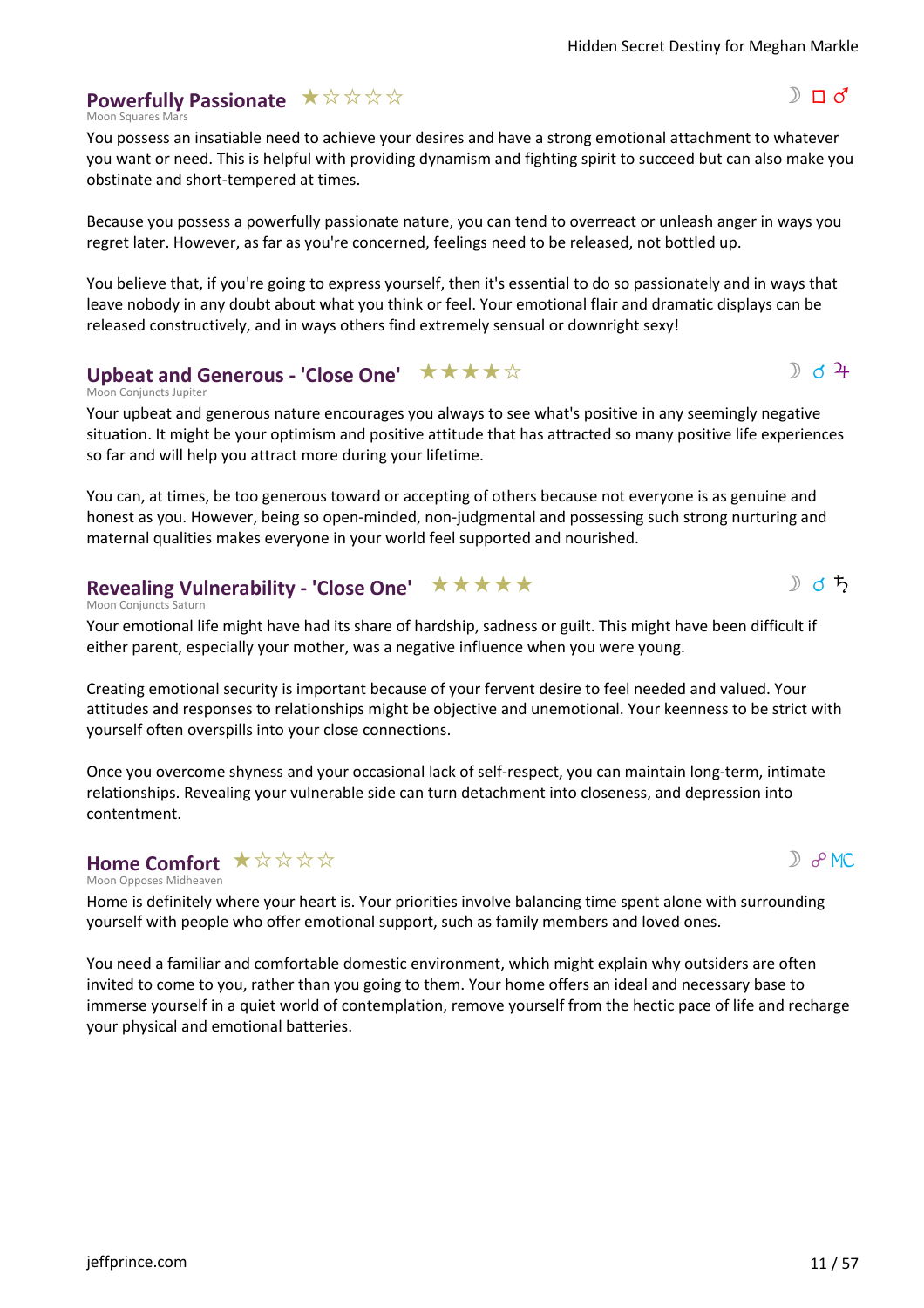#### **Powerfully Passionate**  $\star \forall x \forall x$

Moon Squares Mars

You possess an insatiable need to achieve your desires and have a strong emotional attachment to whatever you want or need. This is helpful with providing dynamism and fighting spirit to succeed but can also make you obstinate and short-tempered at times.

Because you possess a powerfully passionate nature, you can tend to overreact or unleash anger in ways you regret later. However, as far as you're concerned, feelings need to be released, not bottled up.

You believe that, if you're going to express yourself, then it's essential to do so passionately and in ways that leave nobody in any doubt about what you think or feel. Your emotional flair and dramatic displays can be released constructively, and in ways others find extremely sensual or downright sexy!

### **Upbeat and Generous - 'Close One' ★★★★**☆

Moon Conjuncts Jupiter

Your upbeat and generous nature encourages you always to see what's positive in any seemingly negative situation. It might be your optimism and positive attitude that has attracted so many positive life experiences so far and will help you attract more during your lifetime.

You can, at times, be too generous toward or accepting of others because not everyone is as genuine and honest as you. However, being so open-minded, non-judgmental and possessing such strong nurturing and maternal qualities makes everyone in your world feel supported and nourished.

# **Revealing Vulnerability - 'Close One'** ★ ★ ★ ★ ★

Moon Conjuncts Saturn

Your emotional life might have had its share of hardship, sadness or guilt. This might have been difficult if either parent, especially your mother, was a negative influence when you were young.

Creating emotional security is important because of your fervent desire to feel needed and valued. Your attitudes and responses to relationships might be objective and unemotional. Your keenness to be strict with yourself often overspills into your close connections.

Once you overcome shyness and your occasional lack of self-respect, you can maintain long-term, intimate relationships. Revealing your vulnerable side can turn detachment into closeness, and depression into contentment.

#### Moon Opposes Midheaven Home Comfort  $\star \mathop{\dot{\times}}\limits^{\star} \mathop{\dot{\times}}\limits^{\star} \mathop{\dot{\times}}\limits^{\star}$

Home is definitely where your heart is. Your priorities involve balancing time spent alone with surrounding yourself with people who offer emotional support, such as family members and loved ones.

You need a familiar and comfortable domestic environment, which might explain why outsiders are often invited to come to you, rather than you going to them. Your home offers an ideal and necessary base to immerse yourself in a quiet world of contemplation, remove yourself from the hectic pace of life and recharge your physical and emotional batteries.

 $D$   $\partial$  MC

 $D_{d}$  d  $2+$ 

》♂ち

 $D \Pi d'$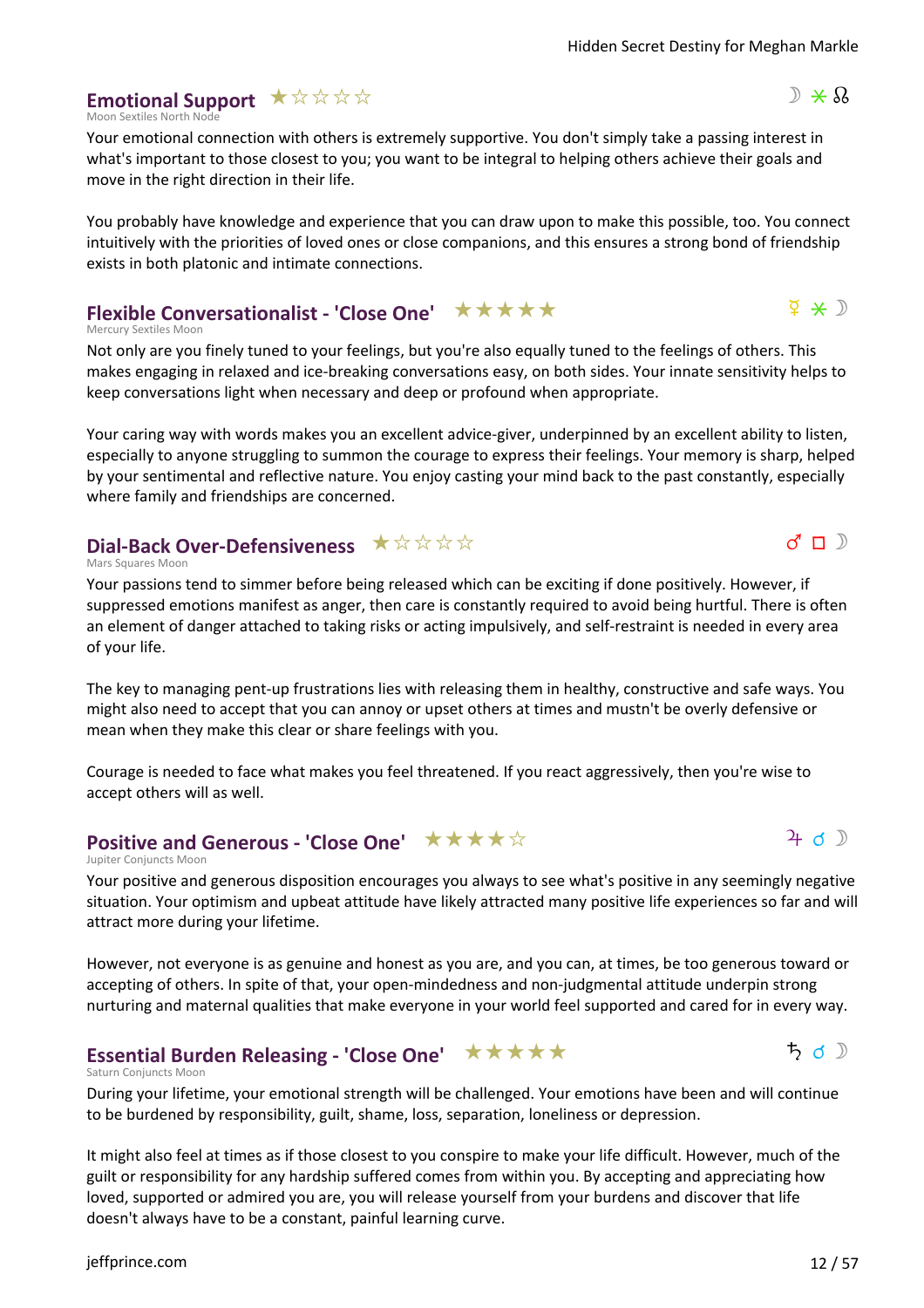# **Emotional Support** assss

Moon Sextiles North No

Your emotional connection with others is extremely supportive. You don't simply take a passing interest in what's important to those closest to you; you want to be integral to helping others achieve their goals and move in the right direction in their life.

You probably have knowledge and experience that you can draw upon to make this possible, too. You connect intuitively with the priorities of loved ones or close companions, and this ensures a strong bond of friendship exists in both platonic and intimate connections.

# **Flexible Conversationalist - 'Close One'** ★ ★ ★ ★ ★

Mercury Sextiles Moon

Not only are you finely tuned to your feelings, but you're also equally tuned to the feelings of others. This makes engaging in relaxed and ice-breaking conversations easy, on both sides. Your innate sensitivity helps to keep conversations light when necessary and deep or profound when appropriate.

Your caring way with words makes you an excellent advice-giver, underpinned by an excellent ability to listen, especially to anyone struggling to summon the courage to express their feelings. Your memory is sharp, helped by your sentimental and reflective nature. You enjoy casting your mind back to the past constantly, especially where family and friendships are concerned.

# **Dial-Back Over-Defensiveness**  $\star \forall x \forall x \forall x$

Mars Squares Moon

Your passions tend to simmer before being released which can be exciting if done positively. However, if suppressed emotions manifest as anger, then care is constantly required to avoid being hurtful. There is often an element of danger attached to taking risks or acting impulsively, and self-restraint is needed in every area of your life.

The key to managing pent-up frustrations lies with releasing them in healthy, constructive and safe ways. You might also need to accept that you can annoy or upset others at times and mustn't be overly defensive or mean when they make this clear or share feelings with you.

Courage is needed to face what makes you feel threatened. If you react aggressively, then you're wise to accept others will as well.

# **Positive and Generous - 'Close One'** ★★★★☆

#### Jupiter Conjuncts Moon

Your positive and generous disposition encourages you always to see what's positive in any seemingly negative situation. Your optimism and upbeat attitude have likely attracted many positive life experiences so far and will attract more during your lifetime.

However, not everyone is as genuine and honest as you are, and you can, at times, be too generous toward or accepting of others. In spite of that, your open-mindedness and non-judgmental attitude underpin strong nurturing and maternal qualities that make everyone in your world feel supported and cared for in every way.

#### **Essential Burden Releasing - 'Close One'** ★ ★ ★ ★ ★

#### Saturn Conjuncts Moon

During your lifetime, your emotional strength will be challenged. Your emotions have been and will continue to be burdened by responsibility, guilt, shame, loss, separation, loneliness or depression.

It might also feel at times as if those closest to you conspire to make your life difficult. However, much of the guilt or responsibility for any hardship suffered comes from within you. By accepting and appreciating how loved, supported or admired you are, you will release yourself from your burdens and discover that life doesn't always have to be a constant, painful learning curve.



 $5 d$ 

 $\Phi \times D$ 

 $d \sqcap$ 

 $\mathbb{R} \times \mathbb{R}$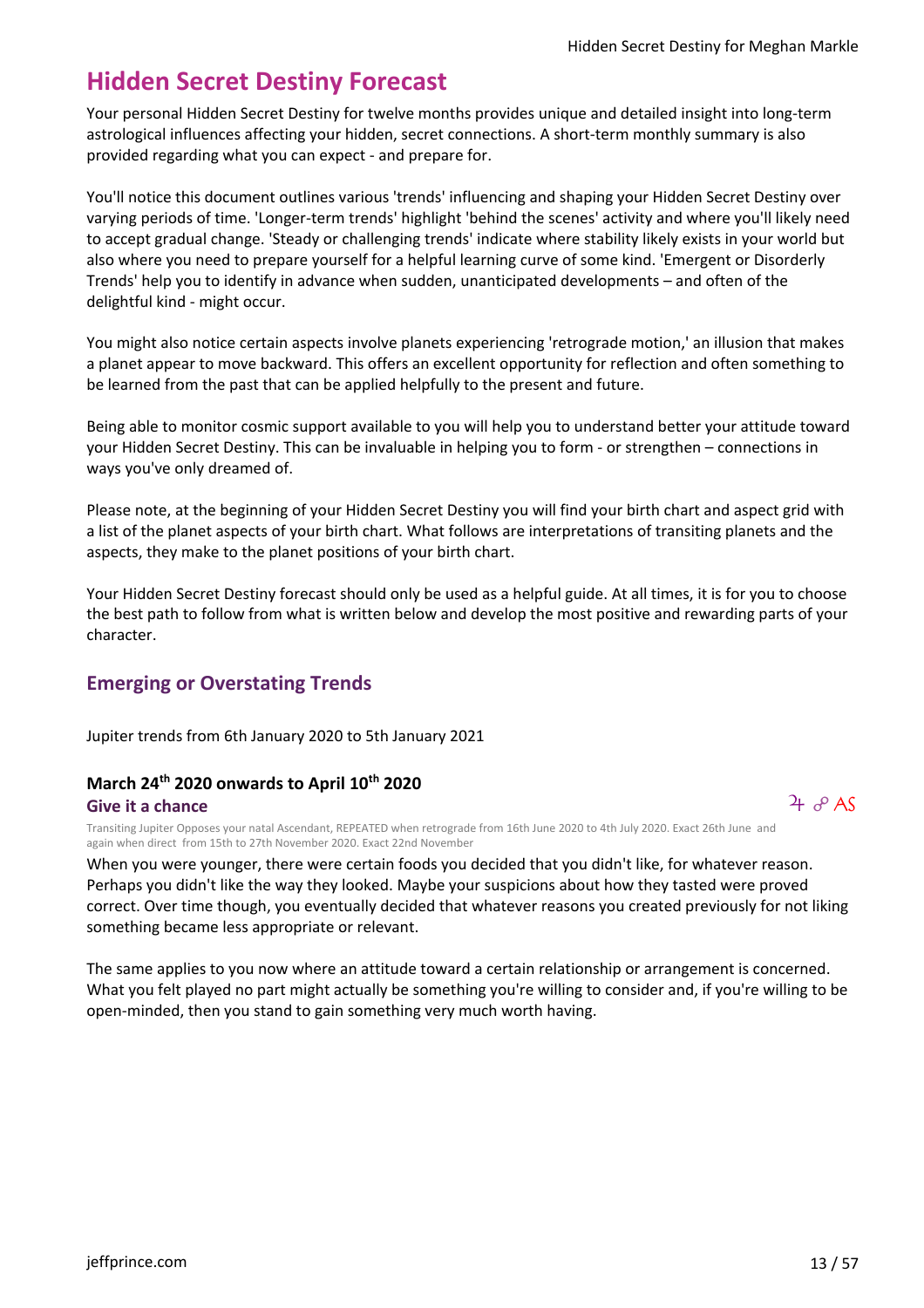# **Hidden Secret Destiny Forecast**

Your personal Hidden Secret Destiny for twelve months provides unique and detailed insight into long-term astrological influences affecting your hidden, secret connections. A short-term monthly summary is also provided regarding what you can expect - and prepare for.

You'll notice this document outlines various 'trends' influencing and shaping your Hidden Secret Destiny over varying periods of time. 'Longer-term trends' highlight 'behind the scenes' activity and where you'll likely need to accept gradual change. 'Steady or challenging trends' indicate where stability likely exists in your world but also where you need to prepare yourself for a helpful learning curve of some kind. 'Emergent or Disorderly Trends' help you to identify in advance when sudden, unanticipated developments – and often of the delightful kind - might occur.

You might also notice certain aspects involve planets experiencing 'retrograde motion,' an illusion that makes a planet appear to move backward. This offers an excellent opportunity for reflection and often something to be learned from the past that can be applied helpfully to the present and future.

Being able to monitor cosmic support available to you will help you to understand better your attitude toward your Hidden Secret Destiny. This can be invaluable in helping you to form - or strengthen – connections in ways you've only dreamed of.

Please note, at the beginning of your Hidden Secret Destiny you will find your birth chart and aspect grid with a list of the planet aspects of your birth chart. What follows are interpretations of transiting planets and the aspects, they make to the planet positions of your birth chart.

Your Hidden Secret Destiny forecast should only be used as a helpful guide. At all times, it is for you to choose the best path to follow from what is written below and develop the most positive and rewarding parts of your character.

# **Emerging or Overstating Trends**

Jupiter trends from 6th January 2020 to 5th January 2021

#### **March 24th 2020 onwards to April 10th 2020 Give it a chance**

 $4\sigma$  AS

Transiting Jupiter Opposes your natal Ascendant, REPEATED when retrograde from 16th June 2020 to 4th July 2020. Exact 26th June and again when direct from 15th to 27th November 2020. Exact 22nd November

When you were younger, there were certain foods you decided that you didn't like, for whatever reason. Perhaps you didn't like the way they looked. Maybe your suspicions about how they tasted were proved correct. Over time though, you eventually decided that whatever reasons you created previously for not liking something became less appropriate or relevant.

The same applies to you now where an attitude toward a certain relationship or arrangement is concerned. What you felt played no part might actually be something you're willing to consider and, if you're willing to be open-minded, then you stand to gain something very much worth having.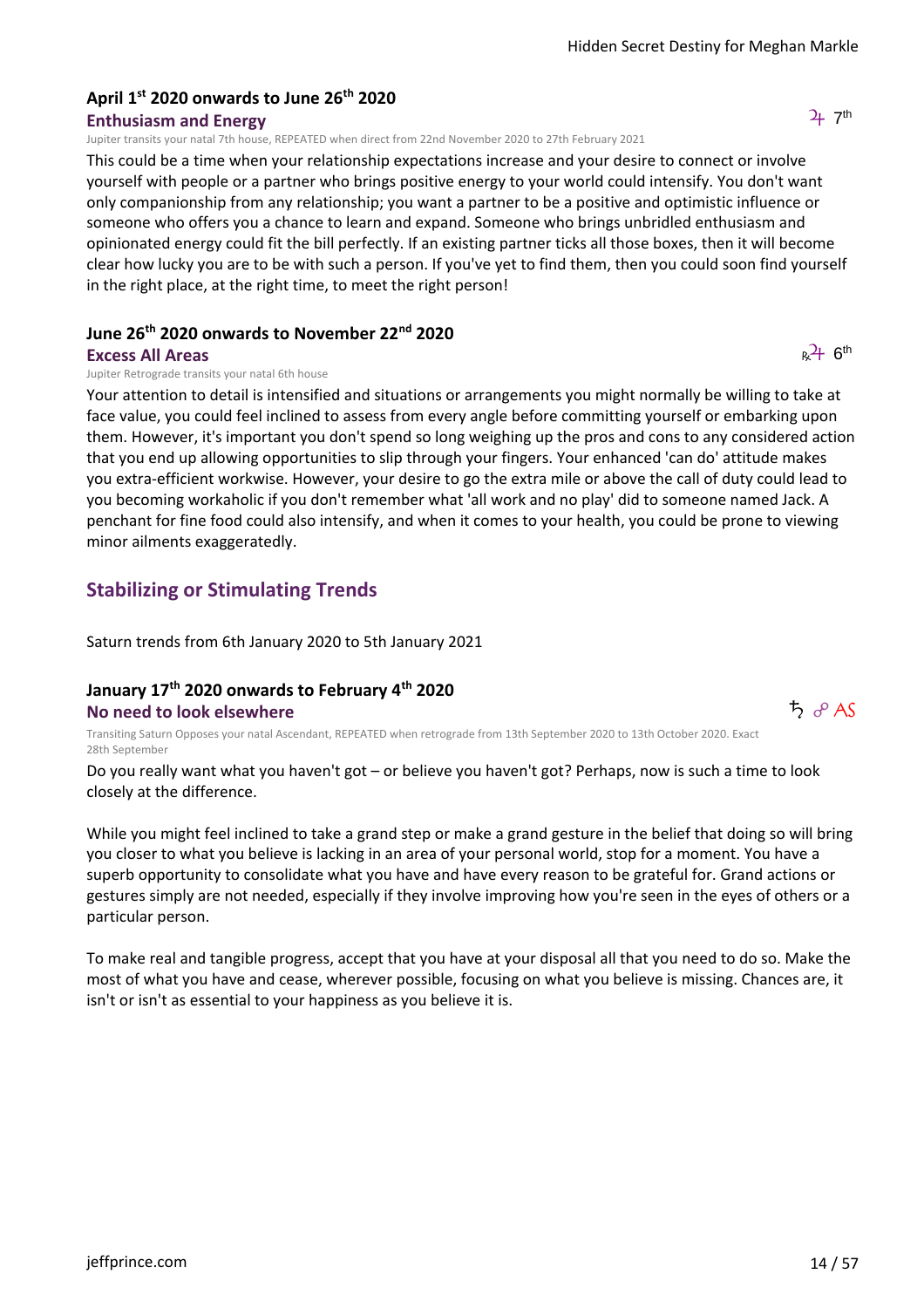# **April 1st 2020 onwards to June 26th 2020**

**Enthusiasm and Energy**

Jupiter transits your natal 7th house, REPEATED when direct from 22nd November 2020 to 27th February 2021

This could be a time when your relationship expectations increase and your desire to connect or involve yourself with people or a partner who brings positive energy to your world could intensify. You don't want only companionship from any relationship; you want a partner to be a positive and optimistic influence or someone who offers you a chance to learn and expand. Someone who brings unbridled enthusiasm and opinionated energy could fit the bill perfectly. If an existing partner ticks all those boxes, then it will become clear how lucky you are to be with such a person. If you've yet to find them, then you could soon find yourself in the right place, at the right time, to meet the right person!

#### **June 26th 2020 onwards to November 22nd 2020**

#### **Excess All Areas**

Jupiter Retrograde transits your natal 6th house

Your attention to detail is intensified and situations or arrangements you might normally be willing to take at face value, you could feel inclined to assess from every angle before committing yourself or embarking upon them. However, it's important you don't spend so long weighing up the pros and cons to any considered action that you end up allowing opportunities to slip through your fingers. Your enhanced 'can do' attitude makes you extra-efficient workwise. However, your desire to go the extra mile or above the call of duty could lead to you becoming workaholic if you don't remember what 'all work and no play' did to someone named Jack. A penchant for fine food could also intensify, and when it comes to your health, you could be prone to viewing minor ailments exaggeratedly.

# **Stabilizing or Stimulating Trends**

Saturn trends from 6th January 2020 to 5th January 2021

#### **January 17th 2020 onwards to February 4th 2020 No need to look elsewhere**

Transiting Saturn Opposes your natal Ascendant, REPEATED when retrograde from 13th September 2020 to 13th October 2020. Exact 28th September

Do you really want what you haven't got – or believe you haven't got? Perhaps, now is such a time to look closely at the difference.

While you might feel inclined to take a grand step or make a grand gesture in the belief that doing so will bring you closer to what you believe is lacking in an area of your personal world, stop for a moment. You have a superb opportunity to consolidate what you have and have every reason to be grateful for. Grand actions or gestures simply are not needed, especially if they involve improving how you're seen in the eyes of others or a particular person.

To make real and tangible progress, accept that you have at your disposal all that you need to do so. Make the most of what you have and cease, wherever possible, focusing on what you believe is missing. Chances are, it isn't or isn't as essential to your happiness as you believe it is.

 $\uparrow$   $\partial$  AS

 $2+7$ <sup>th</sup>

 $R^{2}$ + 6<sup>th</sup>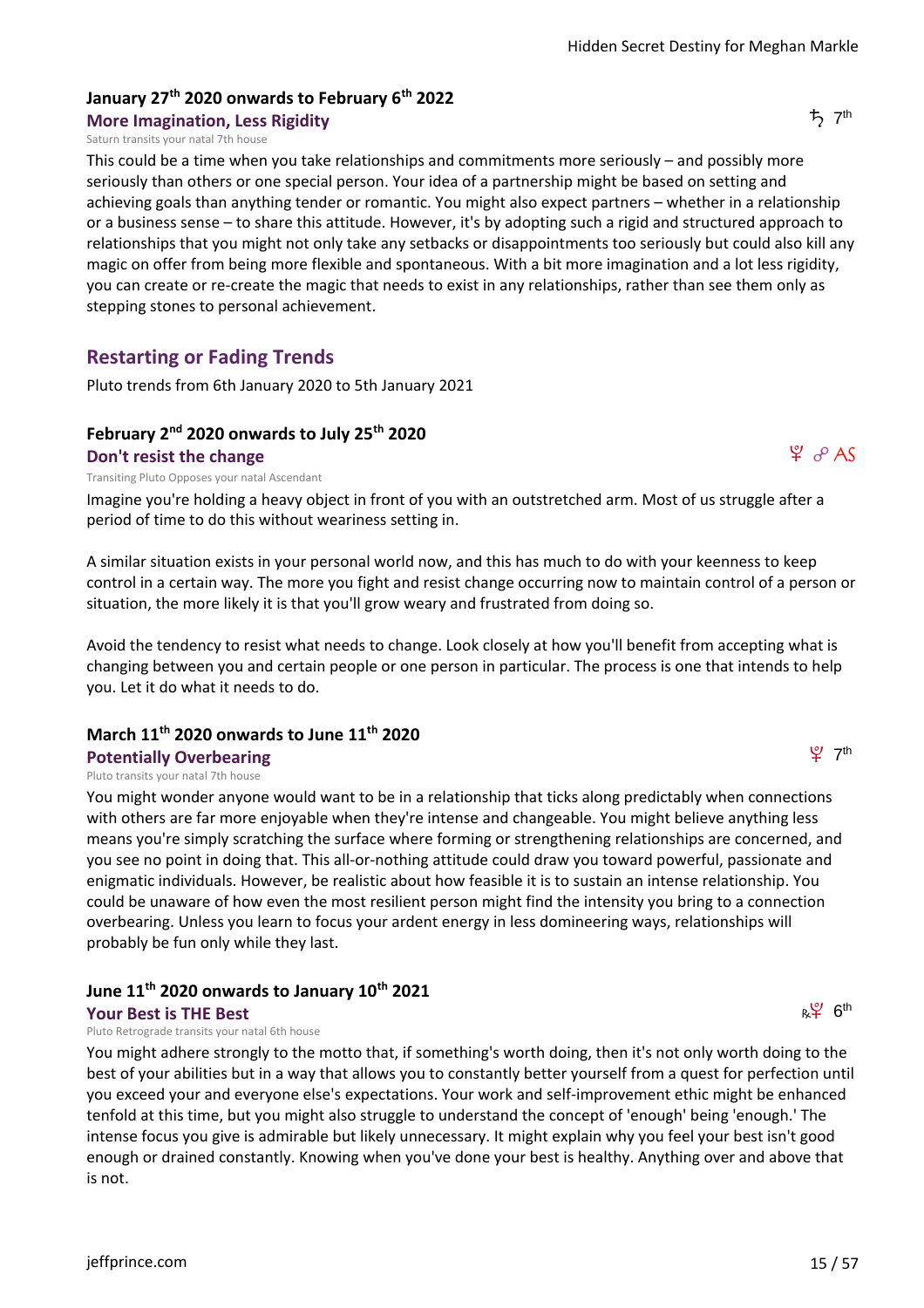#### **January 27th 2020 onwards to February 6th 2022 More Imagination, Less Rigidity**

#### Saturn transits your natal 7th house

This could be a time when you take relationships and commitments more seriously – and possibly more seriously than others or one special person. Your idea of a partnership might be based on setting and achieving goals than anything tender or romantic. You might also expect partners – whether in a relationship or a business sense – to share this attitude. However, it's by adopting such a rigid and structured approach to relationships that you might not only take any setbacks or disappointments too seriously but could also kill any magic on offer from being more flexible and spontaneous. With a bit more imagination and a lot less rigidity, you can create or re-create the magic that needs to exist in any relationships, rather than see them only as stepping stones to personal achievement.

#### **Restarting or Fading Trends**

Pluto trends from 6th January 2020 to 5th January 2021

#### **February 2nd 2020 onwards to July 25th 2020**

#### **Don't resist the change**

Transiting Pluto Opposes your natal Ascendant

Imagine you're holding a heavy object in front of you with an outstretched arm. Most of us struggle after a period of time to do this without weariness setting in.

A similar situation exists in your personal world now, and this has much to do with your keenness to keep control in a certain way. The more you fight and resist change occurring now to maintain control of a person or situation, the more likely it is that you'll grow weary and frustrated from doing so.

Avoid the tendency to resist what needs to change. Look closely at how you'll benefit from accepting what is changing between you and certain people or one person in particular. The process is one that intends to help you. Let it do what it needs to do.

#### **March 11th 2020 onwards to June 11th 2020**

#### **Potentially Overbearing**

Pluto transits your natal 7th house

You might wonder anyone would want to be in a relationship that ticks along predictably when connections with others are far more enjoyable when they're intense and changeable. You might believe anything less means you're simply scratching the surface where forming or strengthening relationships are concerned, and you see no point in doing that. This all-or-nothing attitude could draw you toward powerful, passionate and enigmatic individuals. However, be realistic about how feasible it is to sustain an intense relationship. You could be unaware of how even the most resilient person might find the intensity you bring to a connection overbearing. Unless you learn to focus your ardent energy in less domineering ways, relationships will probably be fun only while they last.

#### **June 11th 2020 onwards to January 10th 2021**

**Your Best is THE Best**

Pluto Retrograde transits your natal 6th house

You might adhere strongly to the motto that, if something's worth doing, then it's not only worth doing to the best of your abilities but in a way that allows you to constantly better yourself from a quest for perfection until you exceed your and everyone else's expectations. Your work and self-improvement ethic might be enhanced tenfold at this time, but you might also struggle to understand the concept of 'enough' being 'enough.' The intense focus you give is admirable but likely unnecessary. It might explain why you feel your best isn't good enough or drained constantly. Knowing when you've done your best is healthy. Anything over and above that is not.

 $t$ <sub>7<sup>th</sup></sub>

 $\varphi$   $\varphi$  AS



 $\mathfrak{L}$  7th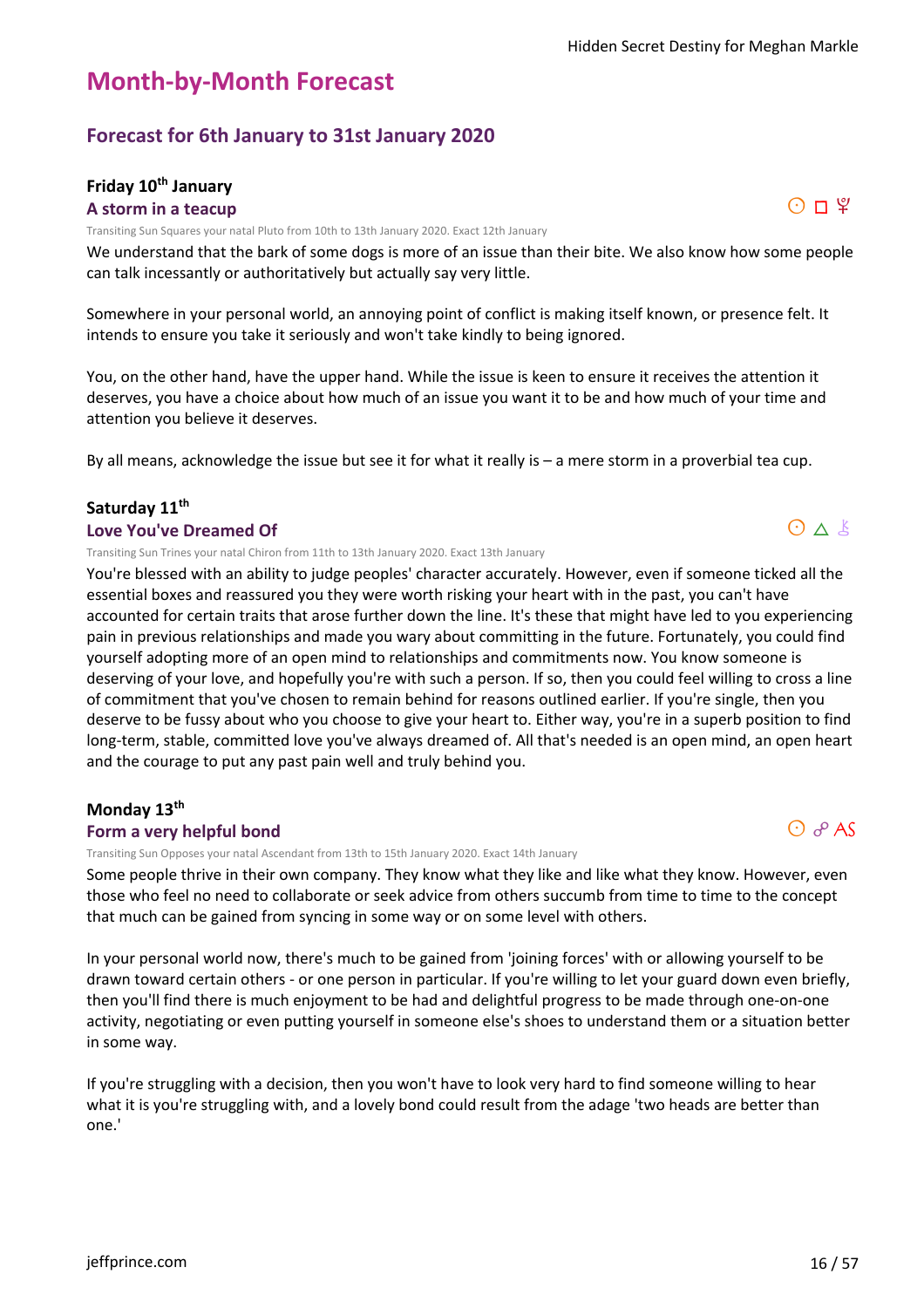# **Month-by-Month Forecast**

# **Forecast for 6th January to 31st January 2020**

#### **Friday 10th January A storm in a teacup**

Transiting Sun Squares your natal Pluto from 10th to 13th January 2020. Exact 12th January

We understand that the bark of some dogs is more of an issue than their bite. We also know how some people can talk incessantly or authoritatively but actually say very little.

Somewhere in your personal world, an annoying point of conflict is making itself known, or presence felt. It intends to ensure you take it seriously and won't take kindly to being ignored.

You, on the other hand, have the upper hand. While the issue is keen to ensure it receives the attention it deserves, you have a choice about how much of an issue you want it to be and how much of your time and attention you believe it deserves.

By all means, acknowledge the issue but see it for what it really is – a mere storm in a proverbial tea cup.

#### **Saturday 11th**

#### **Love You've Dreamed Of**

Transiting Sun Trines your natal Chiron from 11th to 13th January 2020. Exact 13th January

You're blessed with an ability to judge peoples' character accurately. However, even if someone ticked all the essential boxes and reassured you they were worth risking your heart with in the past, you can't have accounted for certain traits that arose further down the line. It's these that might have led to you experiencing pain in previous relationships and made you wary about committing in the future. Fortunately, you could find yourself adopting more of an open mind to relationships and commitments now. You know someone is deserving of your love, and hopefully you're with such a person. If so, then you could feel willing to cross a line of commitment that you've chosen to remain behind for reasons outlined earlier. If you're single, then you deserve to be fussy about who you choose to give your heart to. Either way, you're in a superb position to find long-term, stable, committed love you've always dreamed of. All that's needed is an open mind, an open heart and the courage to put any past pain well and truly behind you.

#### **Monday 13th**

#### **Form a very helpful bond**

Transiting Sun Opposes your natal Ascendant from 13th to 15th January 2020. Exact 14th January

Some people thrive in their own company. They know what they like and like what they know. However, even those who feel no need to collaborate or seek advice from others succumb from time to time to the concept that much can be gained from syncing in some way or on some level with others.

In your personal world now, there's much to be gained from 'joining forces' with or allowing yourself to be drawn toward certain others - or one person in particular. If you're willing to let your guard down even briefly, then you'll find there is much enjoyment to be had and delightful progress to be made through one-on-one activity, negotiating or even putting yourself in someone else's shoes to understand them or a situation better in some way.

If you're struggling with a decision, then you won't have to look very hard to find someone willing to hear what it is you're struggling with, and a lovely bond could result from the adage 'two heads are better than one.'



 $0 \wedge k$ 

 $O$   $R$  AS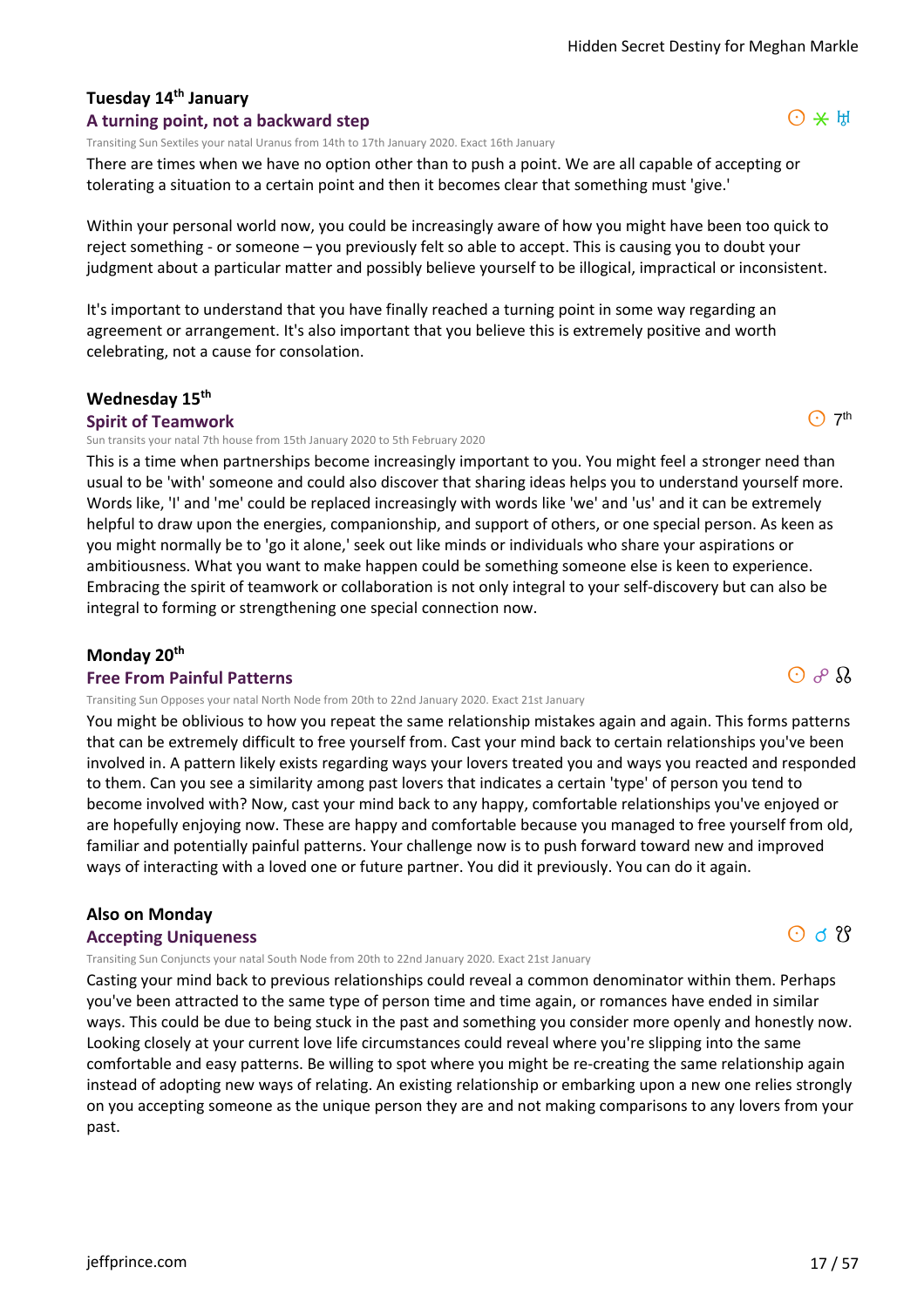# **Tuesday 14th January**

#### **A turning point, not a backward step**

Transiting Sun Sextiles your natal Uranus from 14th to 17th January 2020. Exact 16th January

There are times when we have no option other than to push a point. We are all capable of accepting or tolerating a situation to a certain point and then it becomes clear that something must 'give.'

Within your personal world now, you could be increasingly aware of how you might have been too quick to reject something - or someone – you previously felt so able to accept. This is causing you to doubt your judgment about a particular matter and possibly believe yourself to be illogical, impractical or inconsistent.

It's important to understand that you have finally reached a turning point in some way regarding an agreement or arrangement. It's also important that you believe this is extremely positive and worth celebrating, not a cause for consolation.

#### **Wednesday 15th**

#### **Spirit of Teamwork**

Sun transits your natal 7th house from 15th January 2020 to 5th February 2020

This is a time when partnerships become increasingly important to you. You might feel a stronger need than usual to be 'with' someone and could also discover that sharing ideas helps you to understand yourself more. Words like, 'I' and 'me' could be replaced increasingly with words like 'we' and 'us' and it can be extremely helpful to draw upon the energies, companionship, and support of others, or one special person. As keen as you might normally be to 'go it alone,' seek out like minds or individuals who share your aspirations or ambitiousness. What you want to make happen could be something someone else is keen to experience. Embracing the spirit of teamwork or collaboration is not only integral to your self-discovery but can also be integral to forming or strengthening one special connection now.

#### **Monday 20th**

#### **Free From Painful Patterns**

Transiting Sun Opposes your natal North Node from 20th to 22nd January 2020. Exact 21st January

You might be oblivious to how you repeat the same relationship mistakes again and again. This forms patterns that can be extremely difficult to free yourself from. Cast your mind back to certain relationships you've been involved in. A pattern likely exists regarding ways your lovers treated you and ways you reacted and responded to them. Can you see a similarity among past lovers that indicates a certain 'type' of person you tend to become involved with? Now, cast your mind back to any happy, comfortable relationships you've enjoyed or are hopefully enjoying now. These are happy and comfortable because you managed to free yourself from old, familiar and potentially painful patterns. Your challenge now is to push forward toward new and improved ways of interacting with a loved one or future partner. You did it previously. You can do it again.

#### **Also on Monday**

#### **Accepting Uniqueness**

Transiting Sun Conjuncts your natal South Node from 20th to 22nd January 2020. Exact 21st January

Casting your mind back to previous relationships could reveal a common denominator within them. Perhaps you've been attracted to the same type of person time and time again, or romances have ended in similar ways. This could be due to being stuck in the past and something you consider more openly and honestly now. Looking closely at your current love life circumstances could reveal where you're slipping into the same comfortable and easy patterns. Be willing to spot where you might be re-creating the same relationship again instead of adopting new ways of relating. An existing relationship or embarking upon a new one relies strongly on you accepting someone as the unique person they are and not making comparisons to any lovers from your past.



 $\odot$  7<sup>th</sup>

 $\odot$  d  $\frac{8}{3}$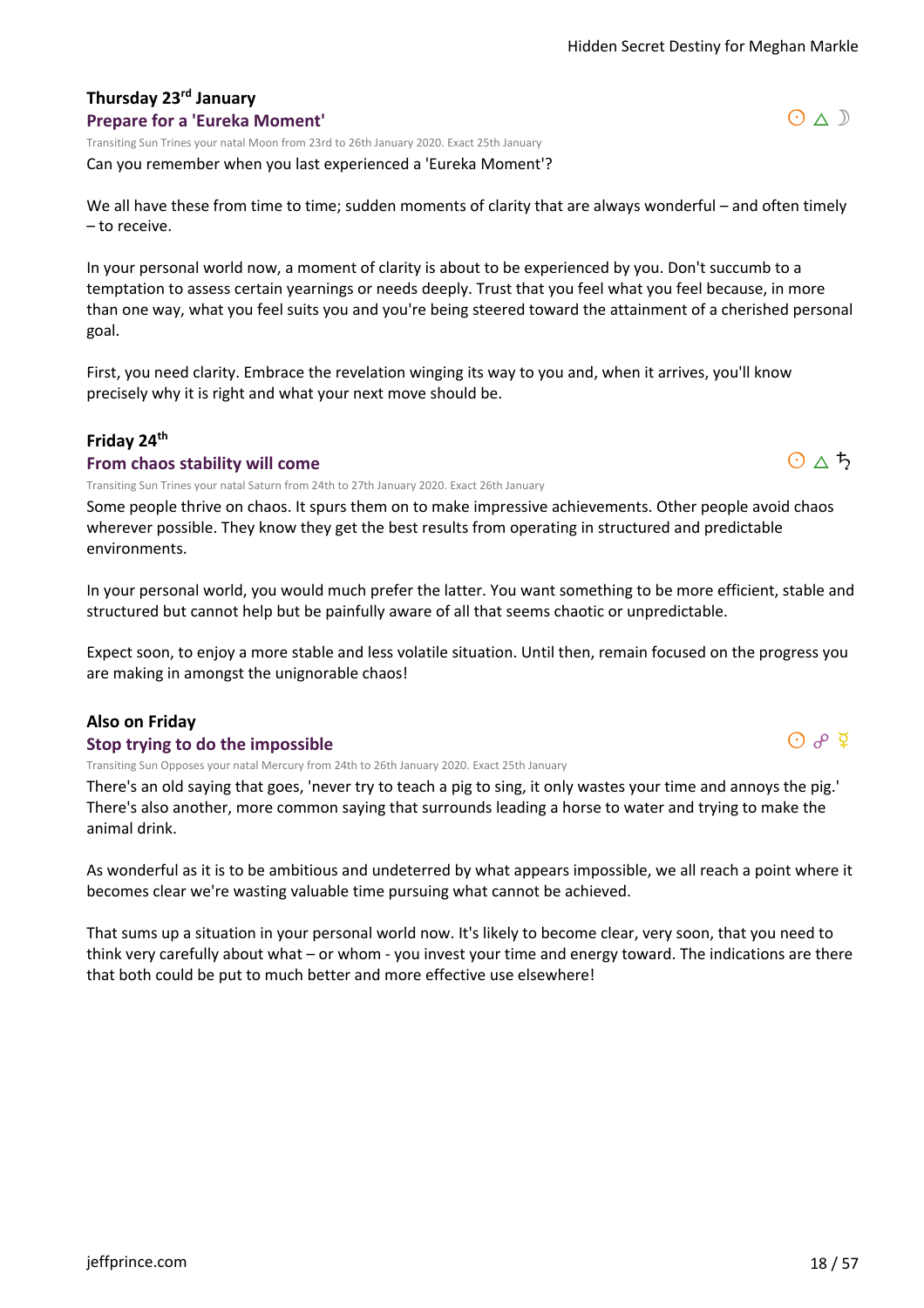# **Thursday 23rd January**

#### **Prepare for a 'Eureka Moment'**

Transiting Sun Trines your natal Moon from 23rd to 26th January 2020. Exact 25th January

Can you remember when you last experienced a 'Eureka Moment'?

We all have these from time to time; sudden moments of clarity that are always wonderful – and often timely – to receive.

In your personal world now, a moment of clarity is about to be experienced by you. Don't succumb to a temptation to assess certain yearnings or needs deeply. Trust that you feel what you feel because, in more than one way, what you feel suits you and you're being steered toward the attainment of a cherished personal goal.

First, you need clarity. Embrace the revelation winging its way to you and, when it arrives, you'll know precisely why it is right and what your next move should be.

#### **Friday 24th**

#### **From chaos stability will come**

Transiting Sun Trines your natal Saturn from 24th to 27th January 2020. Exact 26th January

Some people thrive on chaos. It spurs them on to make impressive achievements. Other people avoid chaos wherever possible. They know they get the best results from operating in structured and predictable environments.

In your personal world, you would much prefer the latter. You want something to be more efficient, stable and structured but cannot help but be painfully aware of all that seems chaotic or unpredictable.

Expect soon, to enjoy a more stable and less volatile situation. Until then, remain focused on the progress you are making in amongst the unignorable chaos!

#### **Also on Friday**

#### **Stop trying to do the impossible**

Transiting Sun Opposes your natal Mercury from 24th to 26th January 2020. Exact 25th January

There's an old saying that goes, 'never try to teach a pig to sing, it only wastes your time and annoys the pig.' There's also another, more common saying that surrounds leading a horse to water and trying to make the animal drink.

As wonderful as it is to be ambitious and undeterred by what appears impossible, we all reach a point where it becomes clear we're wasting valuable time pursuing what cannot be achieved.

That sums up a situation in your personal world now. It's likely to become clear, very soon, that you need to think very carefully about what – or whom - you invest your time and energy toward. The indications are there that both could be put to much better and more effective use elsewhere!





 $Q \nrightarrow Q$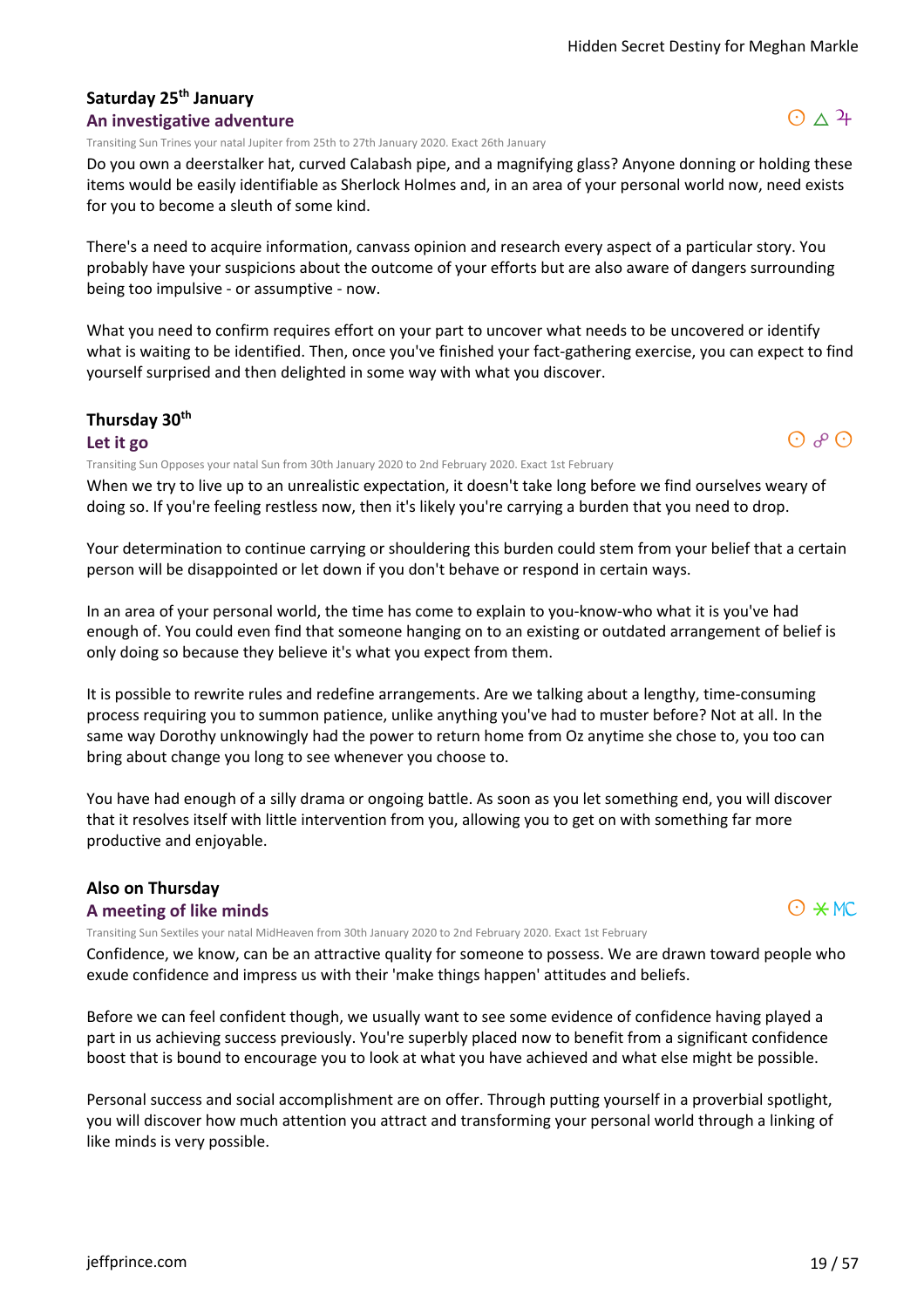#### **Saturday 25th January An investigative adventure**

Transiting Sun Trines your natal Jupiter from 25th to 27th January 2020. Exact 26th January

Do you own a deerstalker hat, curved Calabash pipe, and a magnifying glass? Anyone donning or holding these items would be easily identifiable as Sherlock Holmes and, in an area of your personal world now, need exists for you to become a sleuth of some kind.

There's a need to acquire information, canvass opinion and research every aspect of a particular story. You probably have your suspicions about the outcome of your efforts but are also aware of dangers surrounding being too impulsive - or assumptive - now.

What you need to confirm requires effort on your part to uncover what needs to be uncovered or identify what is waiting to be identified. Then, once you've finished your fact-gathering exercise, you can expect to find yourself surprised and then delighted in some way with what you discover.

#### **Thursday 30th**

**Let it go**

Transiting Sun Opposes your natal Sun from 30th January 2020 to 2nd February 2020. Exact 1st February

When we try to live up to an unrealistic expectation, it doesn't take long before we find ourselves weary of doing so. If you're feeling restless now, then it's likely you're carrying a burden that you need to drop.

Your determination to continue carrying or shouldering this burden could stem from your belief that a certain person will be disappointed or let down if you don't behave or respond in certain ways.

In an area of your personal world, the time has come to explain to you-know-who what it is you've had enough of. You could even find that someone hanging on to an existing or outdated arrangement of belief is only doing so because they believe it's what you expect from them.

It is possible to rewrite rules and redefine arrangements. Are we talking about a lengthy, time-consuming process requiring you to summon patience, unlike anything you've had to muster before? Not at all. In the same way Dorothy unknowingly had the power to return home from Oz anytime she chose to, you too can bring about change you long to see whenever you choose to.

You have had enough of a silly drama or ongoing battle. As soon as you let something end, you will discover that it resolves itself with little intervention from you, allowing you to get on with something far more productive and enjoyable.

# **Also on Thursday**

#### **A meeting of like minds**

Transiting Sun Sextiles your natal MidHeaven from 30th January 2020 to 2nd February 2020. Exact 1st February

Confidence, we know, can be an attractive quality for someone to possess. We are drawn toward people who exude confidence and impress us with their 'make things happen' attitudes and beliefs.

Before we can feel confident though, we usually want to see some evidence of confidence having played a part in us achieving success previously. You're superbly placed now to benefit from a significant confidence boost that is bound to encourage you to look at what you have achieved and what else might be possible.

Personal success and social accomplishment are on offer. Through putting yourself in a proverbial spotlight, you will discover how much attention you attract and transforming your personal world through a linking of like minds is very possible.





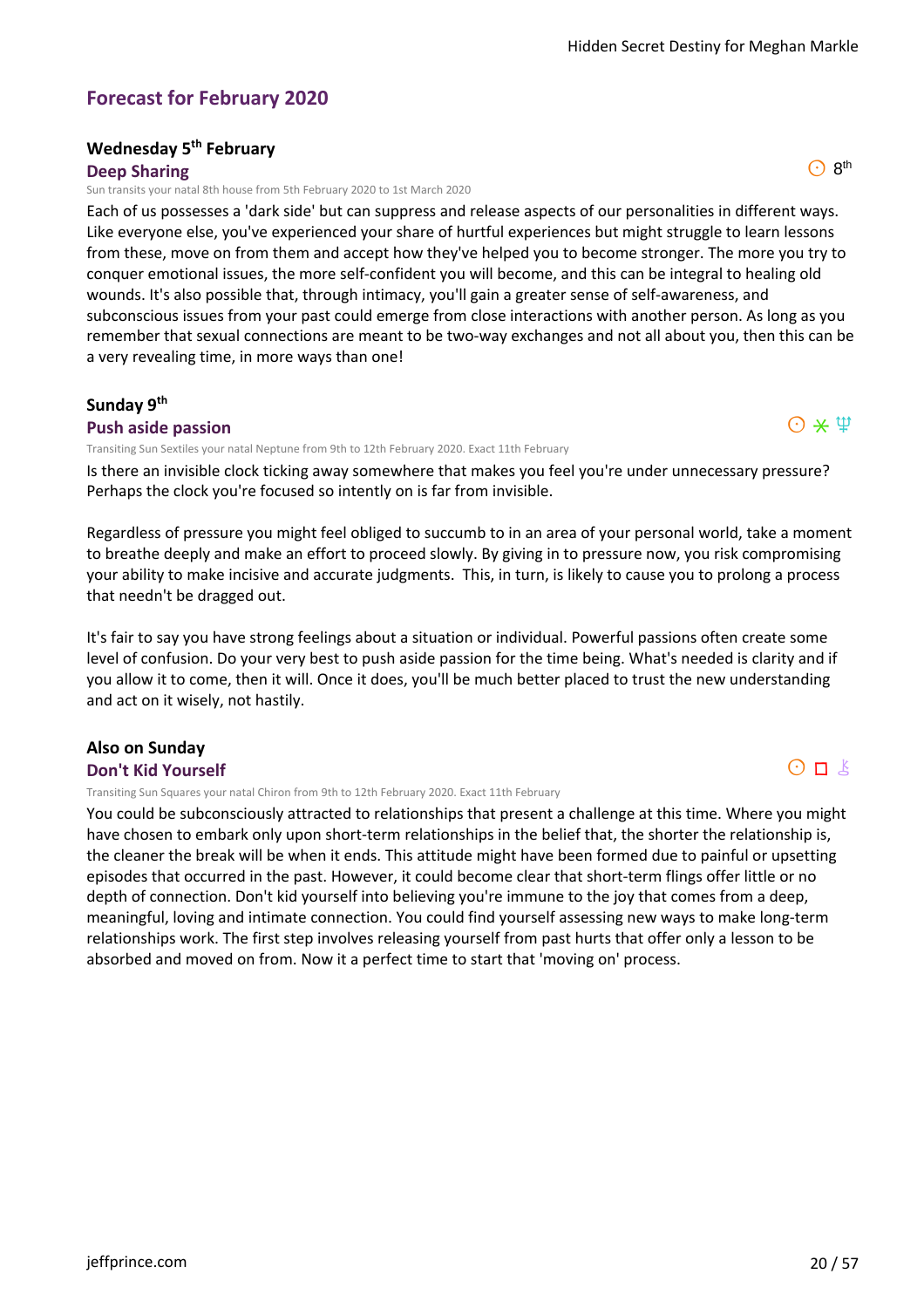# **Forecast for February 2020**

# **Wednesday 5th February**

**Deep Sharing**

Sun transits your natal 8th house from 5th February 2020 to 1st March 2020

Each of us possesses a 'dark side' but can suppress and release aspects of our personalities in different ways. Like everyone else, you've experienced your share of hurtful experiences but might struggle to learn lessons from these, move on from them and accept how they've helped you to become stronger. The more you try to conquer emotional issues, the more self-confident you will become, and this can be integral to healing old wounds. It's also possible that, through intimacy, you'll gain a greater sense of self-awareness, and subconscious issues from your past could emerge from close interactions with another person. As long as you remember that sexual connections are meant to be two-way exchanges and not all about you, then this can be a very revealing time, in more ways than one!

#### **Sunday 9th Push aside passion**

Transiting Sun Sextiles your natal Neptune from 9th to 12th February 2020. Exact 11th February

Is there an invisible clock ticking away somewhere that makes you feel you're under unnecessary pressure? Perhaps the clock you're focused so intently on is far from invisible.

Regardless of pressure you might feel obliged to succumb to in an area of your personal world, take a moment to breathe deeply and make an effort to proceed slowly. By giving in to pressure now, you risk compromising your ability to make incisive and accurate judgments. This, in turn, is likely to cause you to prolong a process that needn't be dragged out.

It's fair to say you have strong feelings about a situation or individual. Powerful passions often create some level of confusion. Do your very best to push aside passion for the time being. What's needed is clarity and if you allow it to come, then it will. Once it does, you'll be much better placed to trust the new understanding and act on it wisely, not hastily.

# **Also on Sunday**

#### **Don't Kid Yourself**

Transiting Sun Squares your natal Chiron from 9th to 12th February 2020. Exact 11th February

You could be subconsciously attracted to relationships that present a challenge at this time. Where you might have chosen to embark only upon short-term relationships in the belief that, the shorter the relationship is, the cleaner the break will be when it ends. This attitude might have been formed due to painful or upsetting episodes that occurred in the past. However, it could become clear that short-term flings offer little or no depth of connection. Don't kid yourself into believing you're immune to the joy that comes from a deep, meaningful, loving and intimate connection. You could find yourself assessing new ways to make long-term relationships work. The first step involves releasing yourself from past hurts that offer only a lesson to be absorbed and moved on from. Now it a perfect time to start that 'moving on' process.



 $O$  8<sup>th</sup>

 $O \times \Psi$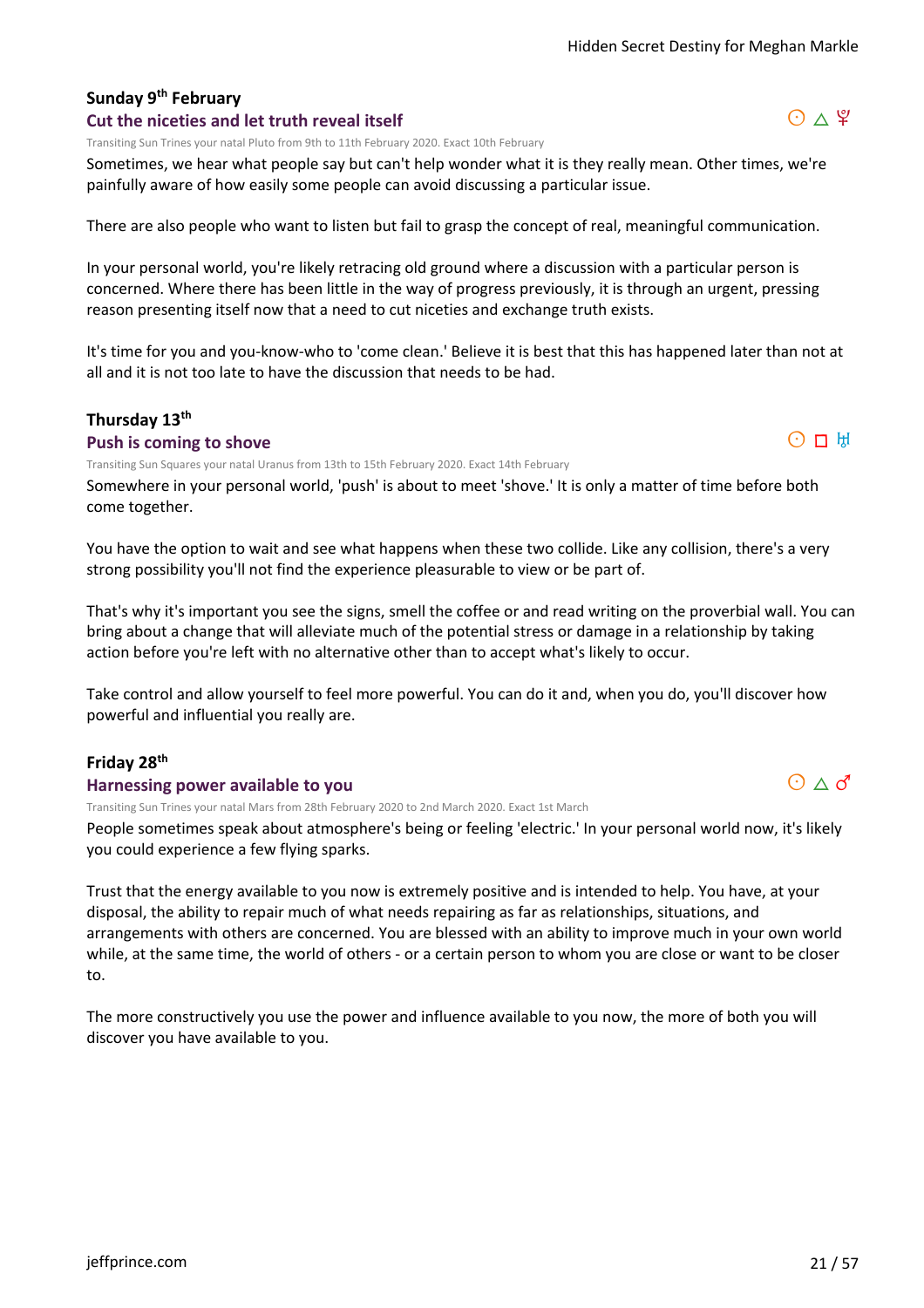# **Sunday 9th February**

#### **Cut the niceties and let truth reveal itself**

Transiting Sun Trines your natal Pluto from 9th to 11th February 2020. Exact 10th February

Sometimes, we hear what people say but can't help wonder what it is they really mean. Other times, we're painfully aware of how easily some people can avoid discussing a particular issue.

There are also people who want to listen but fail to grasp the concept of real, meaningful communication.

In your personal world, you're likely retracing old ground where a discussion with a particular person is concerned. Where there has been little in the way of progress previously, it is through an urgent, pressing reason presenting itself now that a need to cut niceties and exchange truth exists.

It's time for you and you-know-who to 'come clean.' Believe it is best that this has happened later than not at all and it is not too late to have the discussion that needs to be had.

#### **Thursday 13th**

#### **Push is coming to shove**

Transiting Sun Squares your natal Uranus from 13th to 15th February 2020. Exact 14th February

Somewhere in your personal world, 'push' is about to meet 'shove.' It is only a matter of time before both come together.

You have the option to wait and see what happens when these two collide. Like any collision, there's a very strong possibility you'll not find the experience pleasurable to view or be part of.

That's why it's important you see the signs, smell the coffee or and read writing on the proverbial wall. You can bring about a change that will alleviate much of the potential stress or damage in a relationship by taking action before you're left with no alternative other than to accept what's likely to occur.

Take control and allow yourself to feel more powerful. You can do it and, when you do, you'll discover how powerful and influential you really are.

#### **Friday 28th**

#### **Harnessing power available to you**

Transiting Sun Trines your natal Mars from 28th February 2020 to 2nd March 2020. Exact 1st March

People sometimes speak about atmosphere's being or feeling 'electric.' In your personal world now, it's likely you could experience a few flying sparks.

Trust that the energy available to you now is extremely positive and is intended to help. You have, at your disposal, the ability to repair much of what needs repairing as far as relationships, situations, and arrangements with others are concerned. You are blessed with an ability to improve much in your own world while, at the same time, the world of others - or a certain person to whom you are close or want to be closer to.

The more constructively you use the power and influence available to you now, the more of both you will discover you have available to you.





 $O \Pi$  H

$$
\text{O}\vartriangle\sigma
$$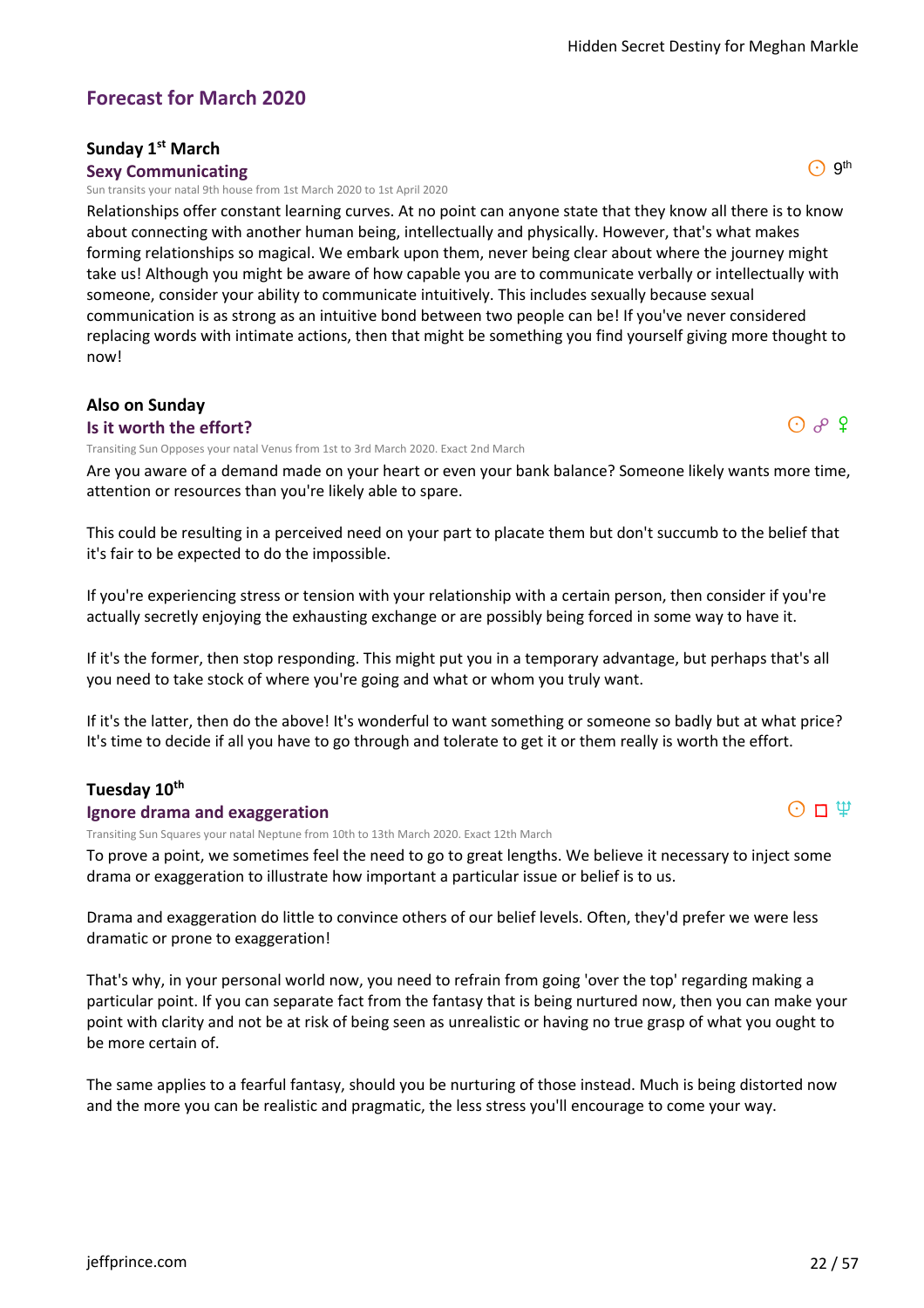#### **Forecast for March 2020**

#### **Sunday 1st March**

#### **Sexy Communicating**

Sun transits your natal 9th house from 1st March 2020 to 1st April 2020

Relationships offer constant learning curves. At no point can anyone state that they know all there is to know about connecting with another human being, intellectually and physically. However, that's what makes forming relationships so magical. We embark upon them, never being clear about where the journey might take us! Although you might be aware of how capable you are to communicate verbally or intellectually with someone, consider your ability to communicate intuitively. This includes sexually because sexual communication is as strong as an intuitive bond between two people can be! If you've never considered replacing words with intimate actions, then that might be something you find yourself giving more thought to now!

# **Also on Sunday**

**Is it worth the effort?**

Transiting Sun Opposes your natal Venus from 1st to 3rd March 2020. Exact 2nd March

Are you aware of a demand made on your heart or even your bank balance? Someone likely wants more time, attention or resources than you're likely able to spare.

This could be resulting in a perceived need on your part to placate them but don't succumb to the belief that it's fair to be expected to do the impossible.

If you're experiencing stress or tension with your relationship with a certain person, then consider if you're actually secretly enjoying the exhausting exchange or are possibly being forced in some way to have it.

If it's the former, then stop responding. This might put you in a temporary advantage, but perhaps that's all you need to take stock of where you're going and what or whom you truly want.

If it's the latter, then do the above! It's wonderful to want something or someone so badly but at what price? It's time to decide if all you have to go through and tolerate to get it or them really is worth the effort.

#### **Tuesday 10th**

#### **Ignore drama and exaggeration**

Transiting Sun Squares your natal Neptune from 10th to 13th March 2020. Exact 12th March

To prove a point, we sometimes feel the need to go to great lengths. We believe it necessary to inject some drama or exaggeration to illustrate how important a particular issue or belief is to us.

Drama and exaggeration do little to convince others of our belief levels. Often, they'd prefer we were less dramatic or prone to exaggeration!

That's why, in your personal world now, you need to refrain from going 'over the top' regarding making a particular point. If you can separate fact from the fantasy that is being nurtured now, then you can make your point with clarity and not be at risk of being seen as unrealistic or having no true grasp of what you ought to be more certain of.

The same applies to a fearful fantasy, should you be nurturing of those instead. Much is being distorted now and the more you can be realistic and pragmatic, the less stress you'll encourage to come your way.



 $\odot$  9<sup>th</sup>

 $O$   $P$   $Q$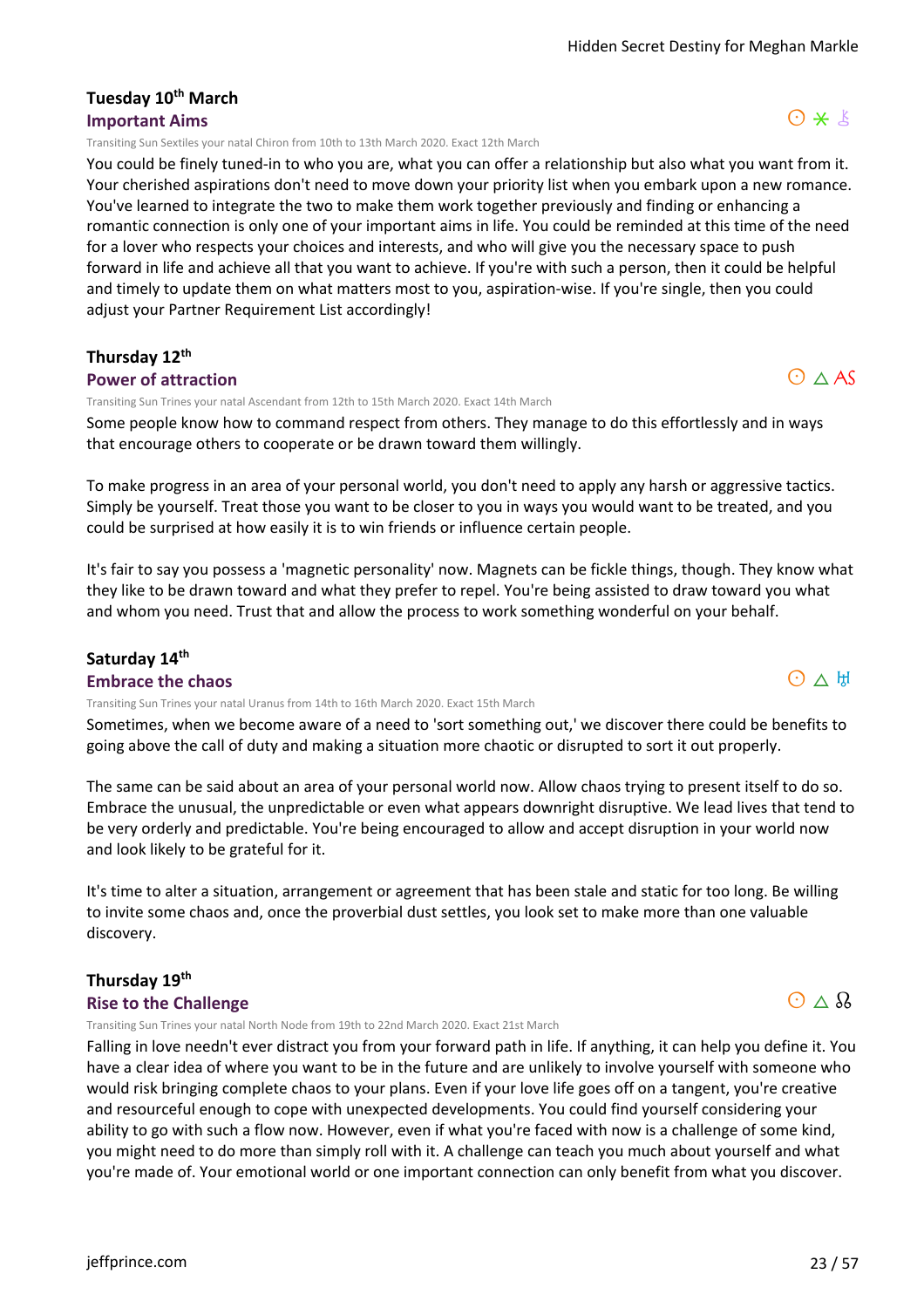#### **Tuesday 10th March Important Aims**

Transiting Sun Sextiles your natal Chiron from 10th to 13th March 2020. Exact 12th March

You could be finely tuned-in to who you are, what you can offer a relationship but also what you want from it. Your cherished aspirations don't need to move down your priority list when you embark upon a new romance. You've learned to integrate the two to make them work together previously and finding or enhancing a romantic connection is only one of your important aims in life. You could be reminded at this time of the need for a lover who respects your choices and interests, and who will give you the necessary space to push forward in life and achieve all that you want to achieve. If you're with such a person, then it could be helpful and timely to update them on what matters most to you, aspiration-wise. If you're single, then you could adjust your Partner Requirement List accordingly!

# **Thursday 12th**

#### **Power of attraction**

Transiting Sun Trines your natal Ascendant from 12th to 15th March 2020. Exact 14th March

Some people know how to command respect from others. They manage to do this effortlessly and in ways that encourage others to cooperate or be drawn toward them willingly.

To make progress in an area of your personal world, you don't need to apply any harsh or aggressive tactics. Simply be yourself. Treat those you want to be closer to you in ways you would want to be treated, and you could be surprised at how easily it is to win friends or influence certain people.

It's fair to say you possess a 'magnetic personality' now. Magnets can be fickle things, though. They know what they like to be drawn toward and what they prefer to repel. You're being assisted to draw toward you what and whom you need. Trust that and allow the process to work something wonderful on your behalf.

#### **Saturday 14th**

**Embrace the chaos**

Transiting Sun Trines your natal Uranus from 14th to 16th March 2020. Exact 15th March

Sometimes, when we become aware of a need to 'sort something out,' we discover there could be benefits to going above the call of duty and making a situation more chaotic or disrupted to sort it out properly.

The same can be said about an area of your personal world now. Allow chaos trying to present itself to do so. Embrace the unusual, the unpredictable or even what appears downright disruptive. We lead lives that tend to be very orderly and predictable. You're being encouraged to allow and accept disruption in your world now and look likely to be grateful for it.

It's time to alter a situation, arrangement or agreement that has been stale and static for too long. Be willing to invite some chaos and, once the proverbial dust settles, you look set to make more than one valuable discovery.

#### **Thursday 19th Rise to the Challenge**

Transiting Sun Trines your natal North Node from 19th to 22nd March 2020. Exact 21st March

Falling in love needn't ever distract you from your forward path in life. If anything, it can help you define it. You have a clear idea of where you want to be in the future and are unlikely to involve yourself with someone who would risk bringing complete chaos to your plans. Even if your love life goes off on a tangent, you're creative and resourceful enough to cope with unexpected developments. You could find yourself considering your ability to go with such a flow now. However, even if what you're faced with now is a challenge of some kind, you might need to do more than simply roll with it. A challenge can teach you much about yourself and what you're made of. Your emotional world or one important connection can only benefit from what you discover.

# $O \triangle AS$

 $O*$ 





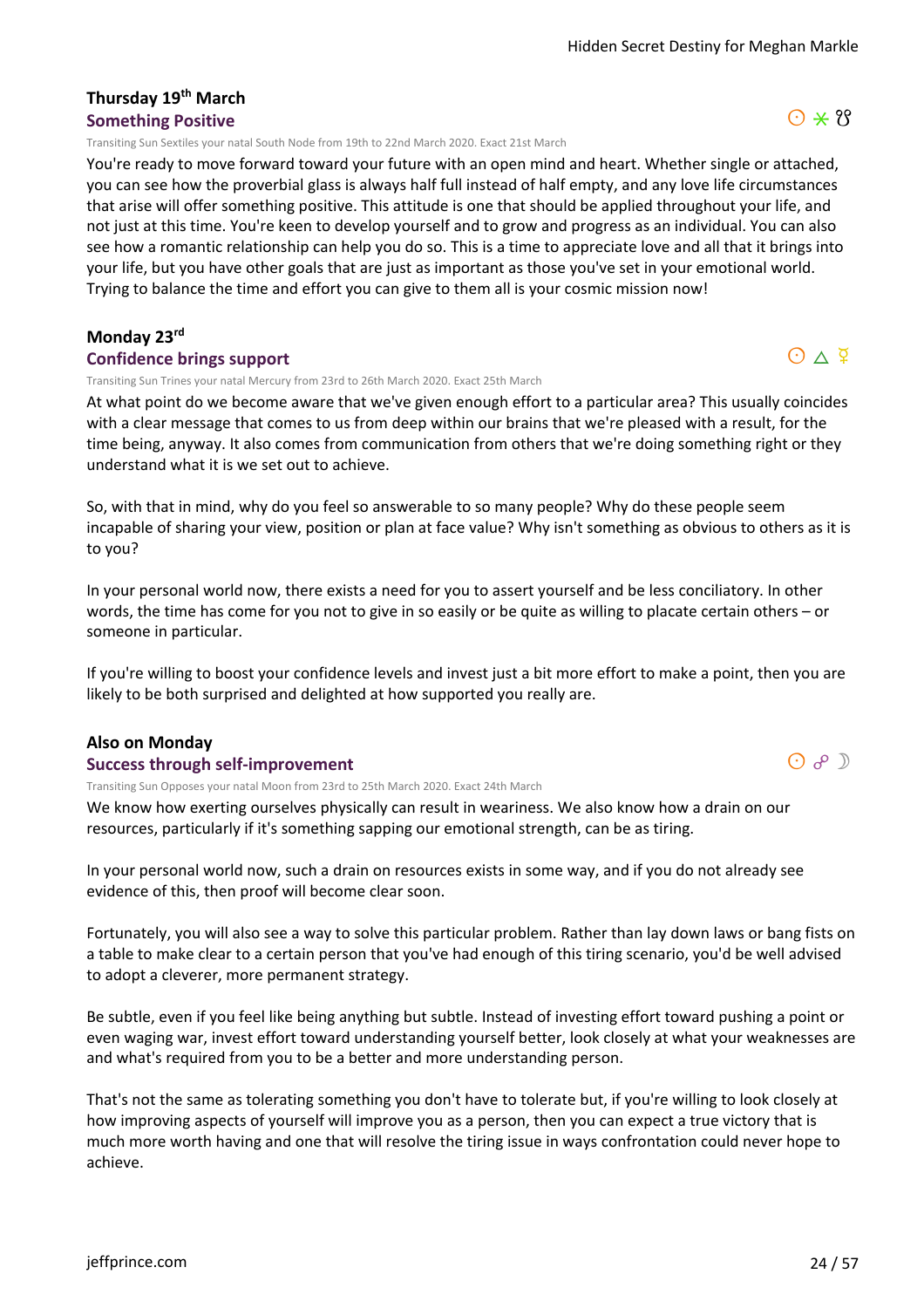#### **Thursday 19th March Something Positive**

Transiting Sun Sextiles your natal South Node from 19th to 22nd March 2020. Exact 21st March

You're ready to move forward toward your future with an open mind and heart. Whether single or attached, you can see how the proverbial glass is always half full instead of half empty, and any love life circumstances that arise will offer something positive. This attitude is one that should be applied throughout your life, and not just at this time. You're keen to develop yourself and to grow and progress as an individual. You can also see how a romantic relationship can help you do so. This is a time to appreciate love and all that it brings into your life, but you have other goals that are just as important as those you've set in your emotional world. Trying to balance the time and effort you can give to them all is your cosmic mission now!

#### **Monday 23rd**

#### **Confidence brings support**

Transiting Sun Trines your natal Mercury from 23rd to 26th March 2020. Exact 25th March

At what point do we become aware that we've given enough effort to a particular area? This usually coincides with a clear message that comes to us from deep within our brains that we're pleased with a result, for the time being, anyway. It also comes from communication from others that we're doing something right or they understand what it is we set out to achieve.

So, with that in mind, why do you feel so answerable to so many people? Why do these people seem incapable of sharing your view, position or plan at face value? Why isn't something as obvious to others as it is to you?

In your personal world now, there exists a need for you to assert yourself and be less conciliatory. In other words, the time has come for you not to give in so easily or be quite as willing to placate certain others – or someone in particular.

If you're willing to boost your confidence levels and invest just a bit more effort to make a point, then you are likely to be both surprised and delighted at how supported you really are.

#### **Also on Monday**

#### **Success through self-improvement**

Transiting Sun Opposes your natal Moon from 23rd to 25th March 2020. Exact 24th March

We know how exerting ourselves physically can result in weariness. We also know how a drain on our resources, particularly if it's something sapping our emotional strength, can be as tiring.

In your personal world now, such a drain on resources exists in some way, and if you do not already see evidence of this, then proof will become clear soon.

Fortunately, you will also see a way to solve this particular problem. Rather than lay down laws or bang fists on a table to make clear to a certain person that you've had enough of this tiring scenario, you'd be well advised to adopt a cleverer, more permanent strategy.

Be subtle, even if you feel like being anything but subtle. Instead of investing effort toward pushing a point or even waging war, invest effort toward understanding yourself better, look closely at what your weaknesses are and what's required from you to be a better and more understanding person.

That's not the same as tolerating something you don't have to tolerate but, if you're willing to look closely at how improving aspects of yourself will improve you as a person, then you can expect a true victory that is much more worth having and one that will resolve the tiring issue in ways confrontation could never hope to achieve.





 $O \wedge \n9$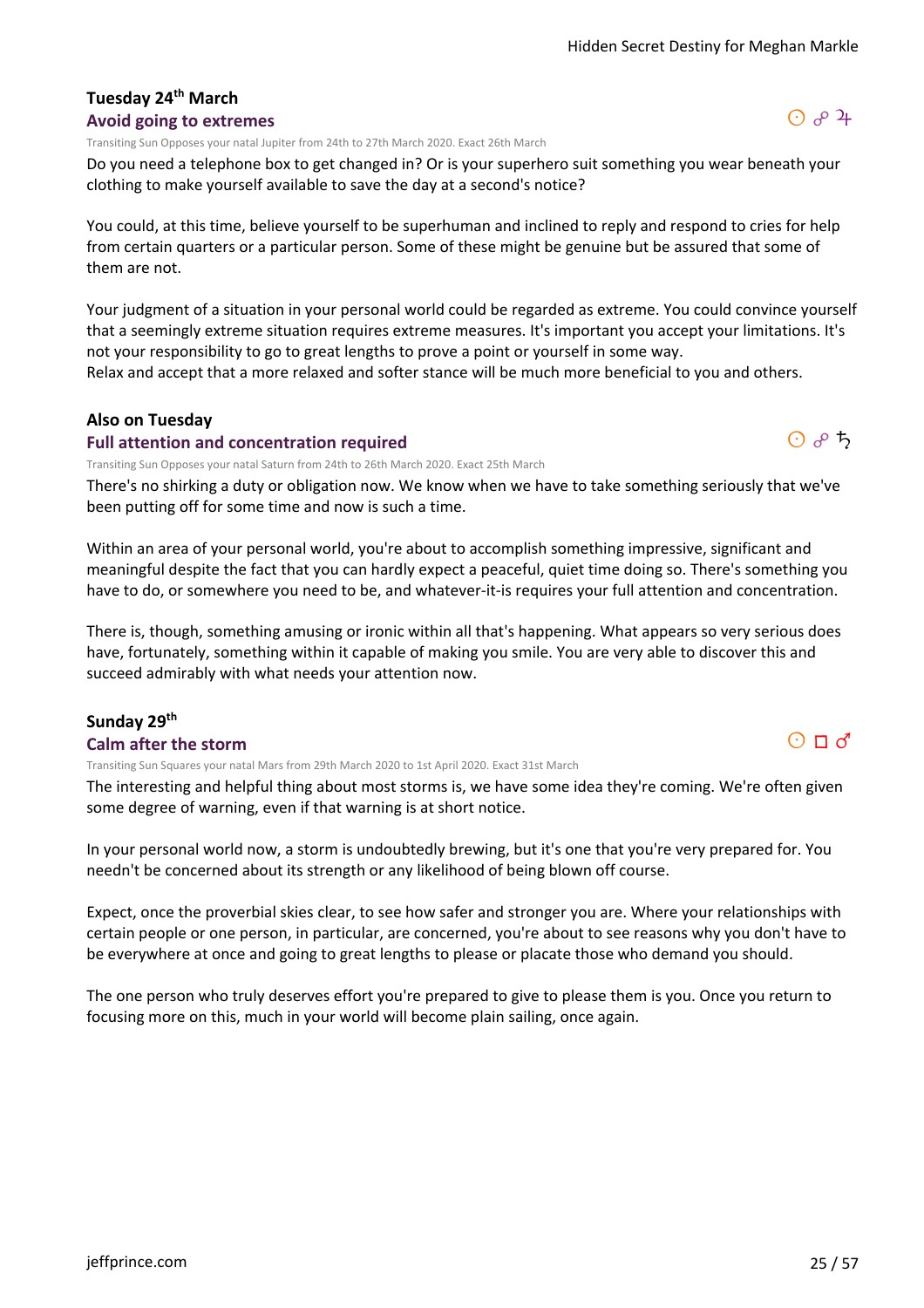#### **Tuesday 24th March Avoid going to extremes**

Transiting Sun Opposes your natal Jupiter from 24th to 27th March 2020. Exact 26th March

Do you need a telephone box to get changed in? Or is your superhero suit something you wear beneath your clothing to make yourself available to save the day at a second's notice?

You could, at this time, believe yourself to be superhuman and inclined to reply and respond to cries for help from certain quarters or a particular person. Some of these might be genuine but be assured that some of them are not.

Your judgment of a situation in your personal world could be regarded as extreme. You could convince yourself that a seemingly extreme situation requires extreme measures. It's important you accept your limitations. It's not your responsibility to go to great lengths to prove a point or yourself in some way.

Relax and accept that a more relaxed and softer stance will be much more beneficial to you and others.

#### **Also on Tuesday**

#### **Full attention and concentration required**

Transiting Sun Opposes your natal Saturn from 24th to 26th March 2020. Exact 25th March

There's no shirking a duty or obligation now. We know when we have to take something seriously that we've been putting off for some time and now is such a time.

Within an area of your personal world, you're about to accomplish something impressive, significant and meaningful despite the fact that you can hardly expect a peaceful, quiet time doing so. There's something you have to do, or somewhere you need to be, and whatever-it-is requires your full attention and concentration.

There is, though, something amusing or ironic within all that's happening. What appears so very serious does have, fortunately, something within it capable of making you smile. You are very able to discover this and succeed admirably with what needs your attention now.

# **Sunday 29th**

#### **Calm after the storm**

Transiting Sun Squares your natal Mars from 29th March 2020 to 1st April 2020. Exact 31st March

The interesting and helpful thing about most storms is, we have some idea they're coming. We're often given some degree of warning, even if that warning is at short notice.

In your personal world now, a storm is undoubtedly brewing, but it's one that you're very prepared for. You needn't be concerned about its strength or any likelihood of being blown off course.

Expect, once the proverbial skies clear, to see how safer and stronger you are. Where your relationships with certain people or one person, in particular, are concerned, you're about to see reasons why you don't have to be everywhere at once and going to great lengths to please or placate those who demand you should.

The one person who truly deserves effort you're prepared to give to please them is you. Once you return to focusing more on this, much in your world will become plain sailing, once again.



 $O$   $A$   $A$ 

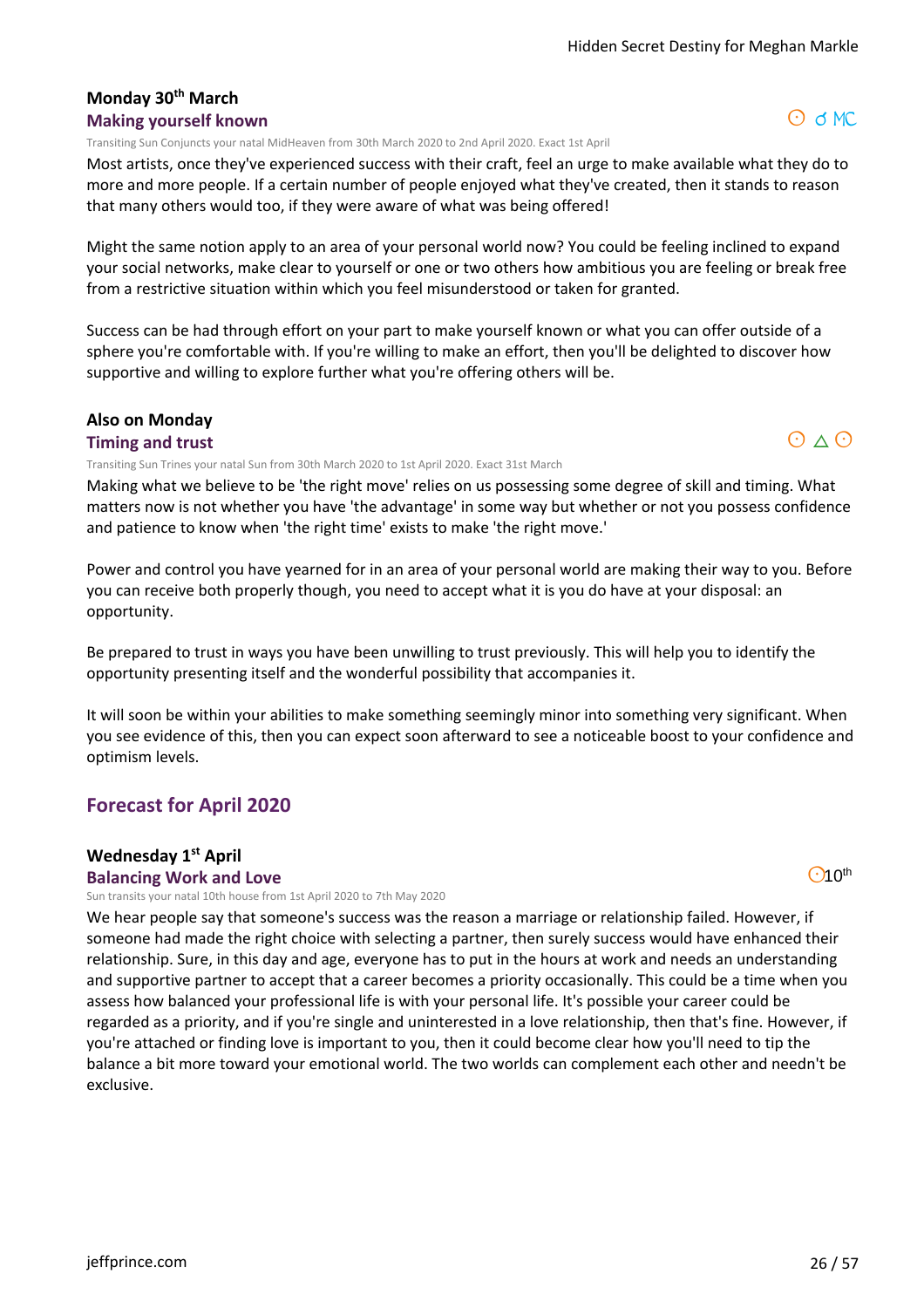#### **Monday 30th March Making yourself known**

Transiting Sun Conjuncts your natal MidHeaven from 30th March 2020 to 2nd April 2020. Exact 1st April

Most artists, once they've experienced success with their craft, feel an urge to make available what they do to more and more people. If a certain number of people enjoyed what they've created, then it stands to reason that many others would too, if they were aware of what was being offered!

Might the same notion apply to an area of your personal world now? You could be feeling inclined to expand your social networks, make clear to yourself or one or two others how ambitious you are feeling or break free from a restrictive situation within which you feel misunderstood or taken for granted.

Success can be had through effort on your part to make yourself known or what you can offer outside of a sphere you're comfortable with. If you're willing to make an effort, then you'll be delighted to discover how supportive and willing to explore further what you're offering others will be.

#### **Also on Monday**

#### **Timing and trust**

Transiting Sun Trines your natal Sun from 30th March 2020 to 1st April 2020. Exact 31st March

Making what we believe to be 'the right move' relies on us possessing some degree of skill and timing. What matters now is not whether you have 'the advantage' in some way but whether or not you possess confidence and patience to know when 'the right time' exists to make 'the right move.'

Power and control you have yearned for in an area of your personal world are making their way to you. Before you can receive both properly though, you need to accept what it is you do have at your disposal: an opportunity.

Be prepared to trust in ways you have been unwilling to trust previously. This will help you to identify the opportunity presenting itself and the wonderful possibility that accompanies it.

It will soon be within your abilities to make something seemingly minor into something very significant. When you see evidence of this, then you can expect soon afterward to see a noticeable boost to your confidence and optimism levels.

#### **Forecast for April 2020**

#### **Wednesday 1st April**

#### **Balancing Work and Love**

Sun transits your natal 10th house from 1st April 2020 to 7th May 2020

We hear people say that someone's success was the reason a marriage or relationship failed. However, if someone had made the right choice with selecting a partner, then surely success would have enhanced their relationship. Sure, in this day and age, everyone has to put in the hours at work and needs an understanding and supportive partner to accept that a career becomes a priority occasionally. This could be a time when you assess how balanced your professional life is with your personal life. It's possible your career could be regarded as a priority, and if you're single and uninterested in a love relationship, then that's fine. However, if you're attached or finding love is important to you, then it could become clear how you'll need to tip the balance a bit more toward your emotional world. The two worlds can complement each other and needn't be exclusive.

 $O<sub>10</sub>th$ 



 $O$  d MC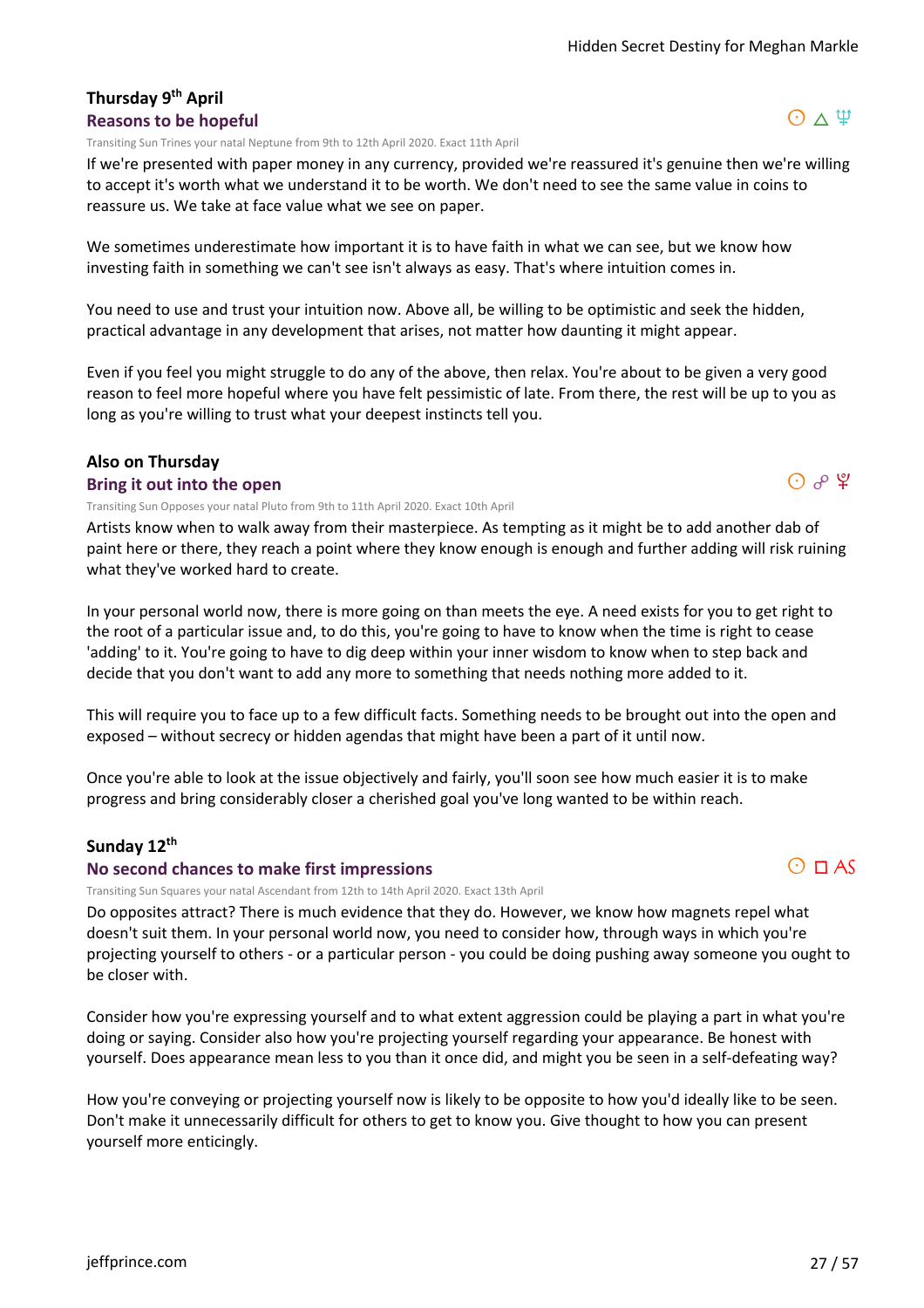#### **Thursday 9th April Reasons to be hopeful**

Transiting Sun Trines your natal Neptune from 9th to 12th April 2020. Exact 11th April

If we're presented with paper money in any currency, provided we're reassured it's genuine then we're willing to accept it's worth what we understand it to be worth. We don't need to see the same value in coins to reassure us. We take at face value what we see on paper.

We sometimes underestimate how important it is to have faith in what we can see, but we know how investing faith in something we can't see isn't always as easy. That's where intuition comes in.

You need to use and trust your intuition now. Above all, be willing to be optimistic and seek the hidden, practical advantage in any development that arises, not matter how daunting it might appear.

Even if you feel you might struggle to do any of the above, then relax. You're about to be given a very good reason to feel more hopeful where you have felt pessimistic of late. From there, the rest will be up to you as long as you're willing to trust what your deepest instincts tell you.

# **Also on Thursday**

#### **Bring it out into the open**

Transiting Sun Opposes your natal Pluto from 9th to 11th April 2020. Exact 10th April

Artists know when to walk away from their masterpiece. As tempting as it might be to add another dab of paint here or there, they reach a point where they know enough is enough and further adding will risk ruining what they've worked hard to create.

In your personal world now, there is more going on than meets the eye. A need exists for you to get right to the root of a particular issue and, to do this, you're going to have to know when the time is right to cease 'adding' to it. You're going to have to dig deep within your inner wisdom to know when to step back and decide that you don't want to add any more to something that needs nothing more added to it.

This will require you to face up to a few difficult facts. Something needs to be brought out into the open and exposed – without secrecy or hidden agendas that might have been a part of it until now.

Once you're able to look at the issue objectively and fairly, you'll soon see how much easier it is to make progress and bring considerably closer a cherished goal you've long wanted to be within reach.

#### **Sunday 12th**

#### **No second chances to make first impressions**

Transiting Sun Squares your natal Ascendant from 12th to 14th April 2020. Exact 13th April

Do opposites attract? There is much evidence that they do. However, we know how magnets repel what doesn't suit them. In your personal world now, you need to consider how, through ways in which you're projecting yourself to others - or a particular person - you could be doing pushing away someone you ought to be closer with.

Consider how you're expressing yourself and to what extent aggression could be playing a part in what you're doing or saying. Consider also how you're projecting yourself regarding your appearance. Be honest with yourself. Does appearance mean less to you than it once did, and might you be seen in a self-defeating way?

How you're conveying or projecting yourself now is likely to be opposite to how you'd ideally like to be seen. Don't make it unnecessarily difficult for others to get to know you. Give thought to how you can present yourself more enticingly.





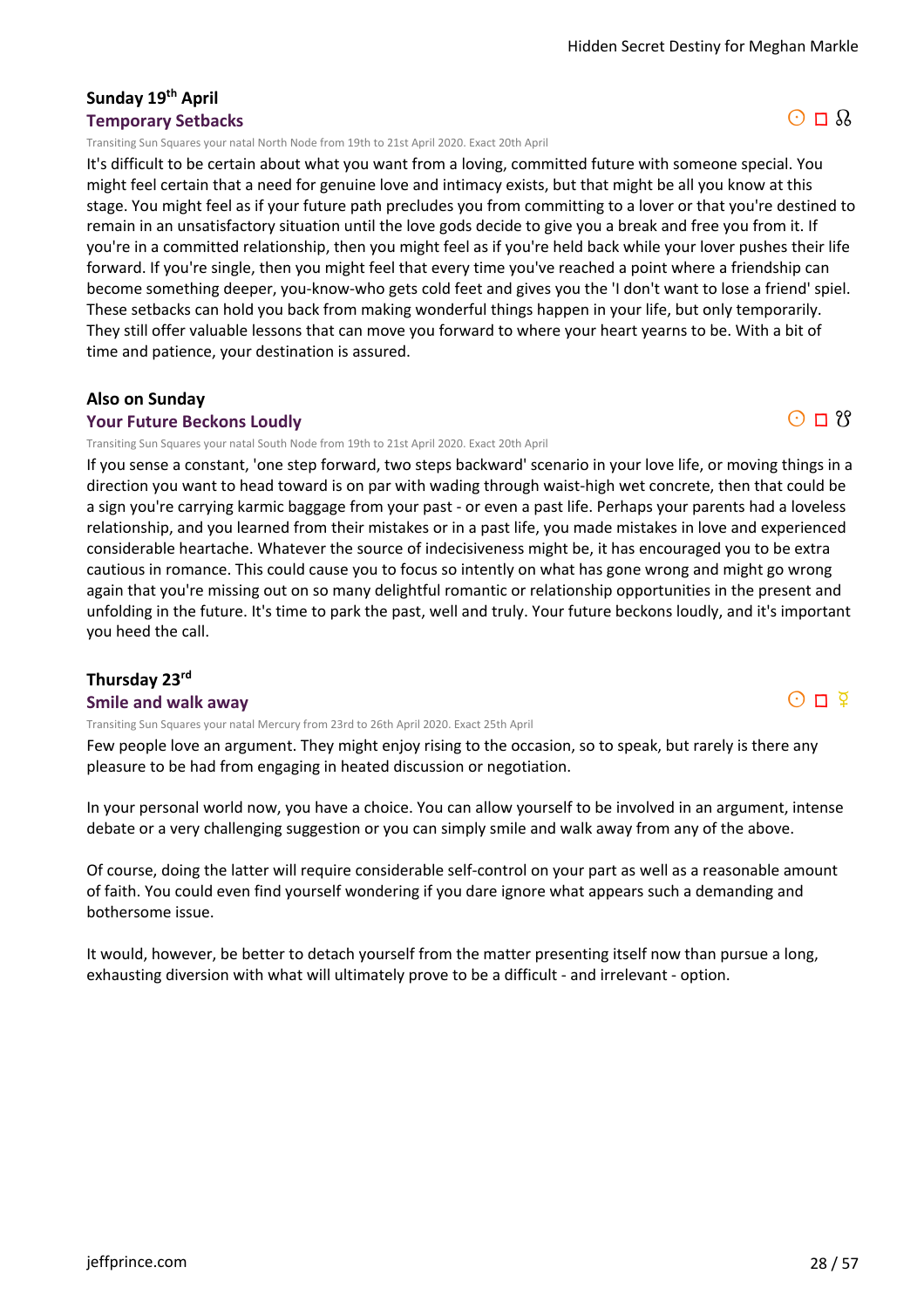#### **Sunday 19th April Temporary Setbacks**

Transiting Sun Squares your natal North Node from 19th to 21st April 2020. Exact 20th April

It's difficult to be certain about what you want from a loving, committed future with someone special. You might feel certain that a need for genuine love and intimacy exists, but that might be all you know at this stage. You might feel as if your future path precludes you from committing to a lover or that you're destined to remain in an unsatisfactory situation until the love gods decide to give you a break and free you from it. If you're in a committed relationship, then you might feel as if you're held back while your lover pushes their life forward. If you're single, then you might feel that every time you've reached a point where a friendship can become something deeper, you-know-who gets cold feet and gives you the 'I don't want to lose a friend' spiel. These setbacks can hold you back from making wonderful things happen in your life, but only temporarily. They still offer valuable lessons that can move you forward to where your heart yearns to be. With a bit of time and patience, your destination is assured.

#### **Also on Sunday**

#### **Your Future Beckons Loudly**

Transiting Sun Squares your natal South Node from 19th to 21st April 2020. Exact 20th April

If you sense a constant, 'one step forward, two steps backward' scenario in your love life, or moving things in a direction you want to head toward is on par with wading through waist-high wet concrete, then that could be a sign you're carrying karmic baggage from your past - or even a past life. Perhaps your parents had a loveless relationship, and you learned from their mistakes or in a past life, you made mistakes in love and experienced considerable heartache. Whatever the source of indecisiveness might be, it has encouraged you to be extra cautious in romance. This could cause you to focus so intently on what has gone wrong and might go wrong again that you're missing out on so many delightful romantic or relationship opportunities in the present and unfolding in the future. It's time to park the past, well and truly. Your future beckons loudly, and it's important you heed the call.

#### **Thursday 23rd**

#### **Smile and walk away**

Transiting Sun Squares your natal Mercury from 23rd to 26th April 2020. Exact 25th April

Few people love an argument. They might enjoy rising to the occasion, so to speak, but rarely is there any pleasure to be had from engaging in heated discussion or negotiation.

In your personal world now, you have a choice. You can allow yourself to be involved in an argument, intense debate or a very challenging suggestion or you can simply smile and walk away from any of the above.

Of course, doing the latter will require considerable self-control on your part as well as a reasonable amount of faith. You could even find yourself wondering if you dare ignore what appears such a demanding and bothersome issue.

It would, however, be better to detach yourself from the matter presenting itself now than pursue a long, exhausting diversion with what will ultimately prove to be a difficult - and irrelevant - option.



 $O \Pi$  ?

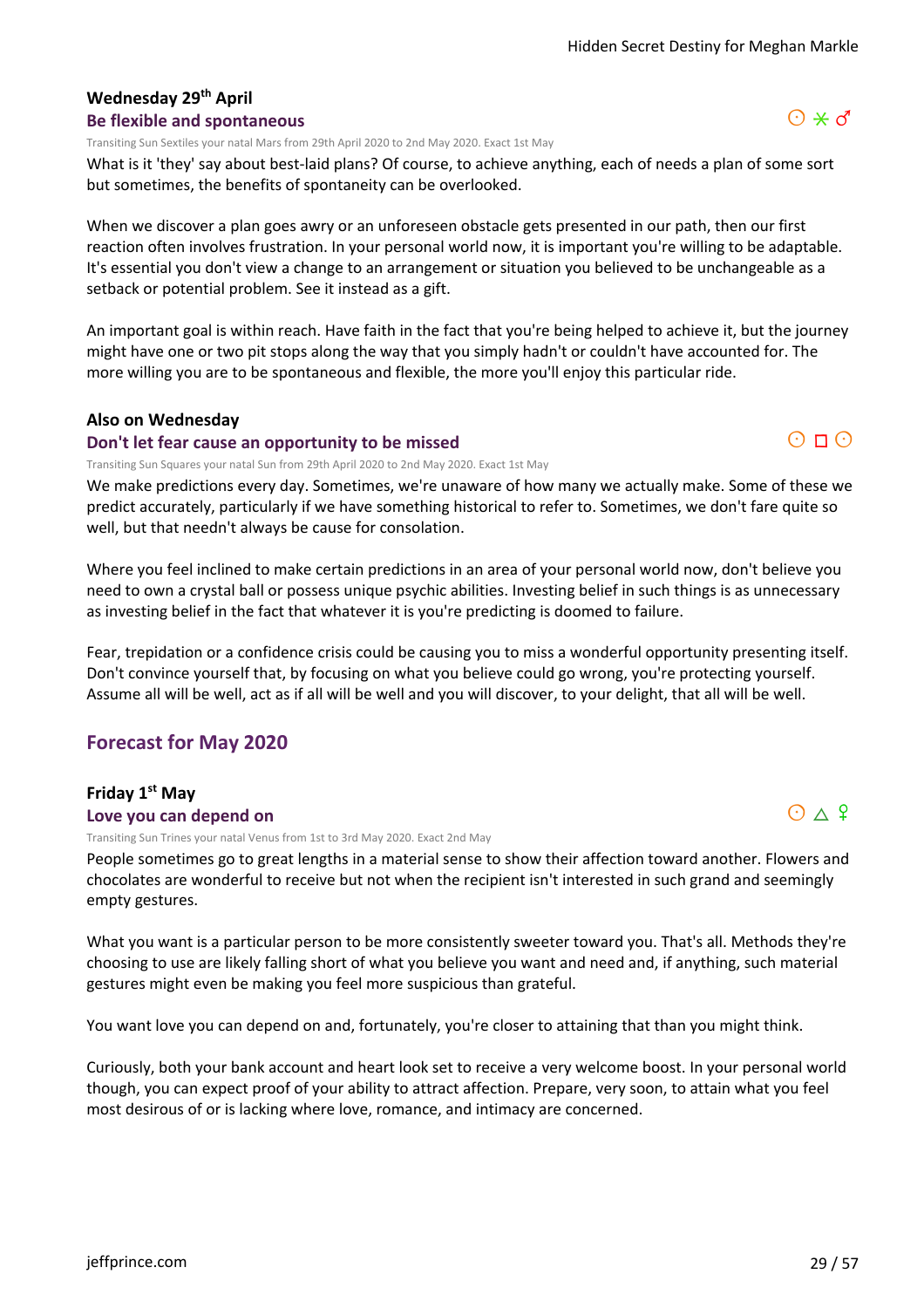# **Wednesday 29th April**

#### **Be flexible and spontaneous**

Transiting Sun Sextiles your natal Mars from 29th April 2020 to 2nd May 2020. Exact 1st May

What is it 'they' say about best-laid plans? Of course, to achieve anything, each of needs a plan of some sort but sometimes, the benefits of spontaneity can be overlooked.

When we discover a plan goes awry or an unforeseen obstacle gets presented in our path, then our first reaction often involves frustration. In your personal world now, it is important you're willing to be adaptable. It's essential you don't view a change to an arrangement or situation you believed to be unchangeable as a setback or potential problem. See it instead as a gift.

An important goal is within reach. Have faith in the fact that you're being helped to achieve it, but the journey might have one or two pit stops along the way that you simply hadn't or couldn't have accounted for. The more willing you are to be spontaneous and flexible, the more you'll enjoy this particular ride.

#### **Also on Wednesday**

#### **Don't let fear cause an opportunity to be missed**

Transiting Sun Squares your natal Sun from 29th April 2020 to 2nd May 2020. Exact 1st May

We make predictions every day. Sometimes, we're unaware of how many we actually make. Some of these we predict accurately, particularly if we have something historical to refer to. Sometimes, we don't fare quite so well, but that needn't always be cause for consolation.

Where you feel inclined to make certain predictions in an area of your personal world now, don't believe you need to own a crystal ball or possess unique psychic abilities. Investing belief in such things is as unnecessary as investing belief in the fact that whatever it is you're predicting is doomed to failure.

Fear, trepidation or a confidence crisis could be causing you to miss a wonderful opportunity presenting itself. Don't convince yourself that, by focusing on what you believe could go wrong, you're protecting yourself. Assume all will be well, act as if all will be well and you will discover, to your delight, that all will be well.

# **Forecast for May 2020**

#### **Friday 1st May Love you can depend on**

Transiting Sun Trines your natal Venus from 1st to 3rd May 2020. Exact 2nd May

People sometimes go to great lengths in a material sense to show their affection toward another. Flowers and chocolates are wonderful to receive but not when the recipient isn't interested in such grand and seemingly empty gestures.

What you want is a particular person to be more consistently sweeter toward you. That's all. Methods they're choosing to use are likely falling short of what you believe you want and need and, if anything, such material gestures might even be making you feel more suspicious than grateful.

You want love you can depend on and, fortunately, you're closer to attaining that than you might think.

Curiously, both your bank account and heart look set to receive a very welcome boost. In your personal world though, you can expect proof of your ability to attract affection. Prepare, very soon, to attain what you feel most desirous of or is lacking where love, romance, and intimacy are concerned.





 $O \Pi$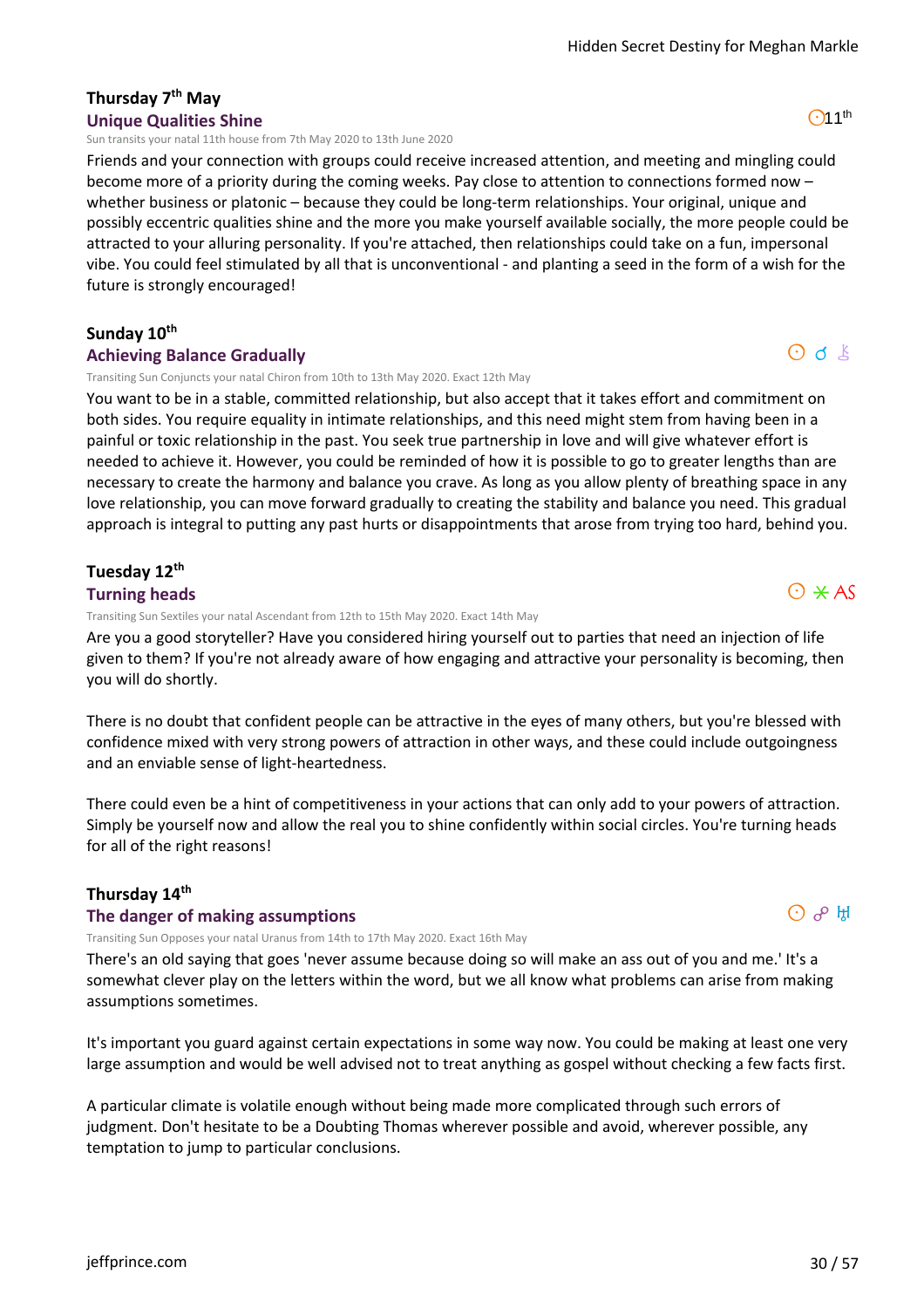## **Thursday 7th May Unique Qualities Shine**

Sun transits your natal 11th house from 7th May 2020 to 13th June 2020

Friends and your connection with groups could receive increased attention, and meeting and mingling could become more of a priority during the coming weeks. Pay close to attention to connections formed now – whether business or platonic – because they could be long-term relationships. Your original, unique and possibly eccentric qualities shine and the more you make yourself available socially, the more people could be attracted to your alluring personality. If you're attached, then relationships could take on a fun, impersonal vibe. You could feel stimulated by all that is unconventional - and planting a seed in the form of a wish for the future is strongly encouraged!

#### **Sunday 10th**

#### **Achieving Balance Gradually**

Transiting Sun Conjuncts your natal Chiron from 10th to 13th May 2020. Exact 12th May

You want to be in a stable, committed relationship, but also accept that it takes effort and commitment on both sides. You require equality in intimate relationships, and this need might stem from having been in a painful or toxic relationship in the past. You seek true partnership in love and will give whatever effort is needed to achieve it. However, you could be reminded of how it is possible to go to greater lengths than are necessary to create the harmony and balance you crave. As long as you allow plenty of breathing space in any love relationship, you can move forward gradually to creating the stability and balance you need. This gradual approach is integral to putting any past hurts or disappointments that arose from trying too hard, behind you.

# **Tuesday 12th**

#### **Turning heads**

Transiting Sun Sextiles your natal Ascendant from 12th to 15th May 2020. Exact 14th May

Are you a good storyteller? Have you considered hiring yourself out to parties that need an injection of life given to them? If you're not already aware of how engaging and attractive your personality is becoming, then you will do shortly.

There is no doubt that confident people can be attractive in the eyes of many others, but you're blessed with confidence mixed with very strong powers of attraction in other ways, and these could include outgoingness and an enviable sense of light-heartedness.

There could even be a hint of competitiveness in your actions that can only add to your powers of attraction. Simply be yourself now and allow the real you to shine confidently within social circles. You're turning heads for all of the right reasons!

#### **Thursday 14th**

#### **The danger of making assumptions**

Transiting Sun Opposes your natal Uranus from 14th to 17th May 2020. Exact 16th May

There's an old saying that goes 'never assume because doing so will make an ass out of you and me.' It's a somewhat clever play on the letters within the word, but we all know what problems can arise from making assumptions sometimes.

It's important you guard against certain expectations in some way now. You could be making at least one very large assumption and would be well advised not to treat anything as gospel without checking a few facts first.

A particular climate is volatile enough without being made more complicated through such errors of judgment. Don't hesitate to be a Doubting Thomas wherever possible and avoid, wherever possible, any temptation to jump to particular conclusions.

# $\odot \times AS$

# $O d k$

 $O11<sup>th</sup>$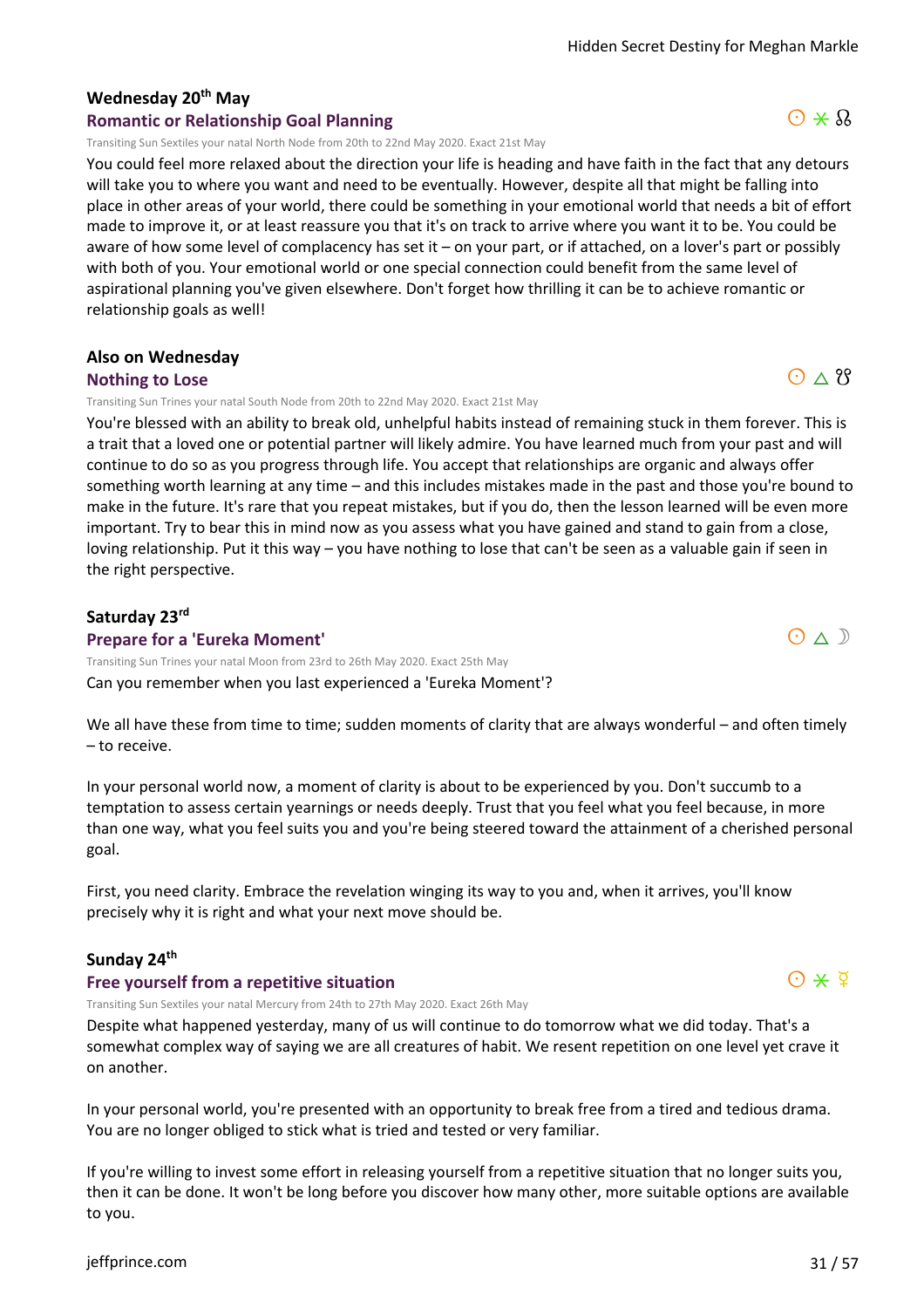# **Wednesday 20th May**

#### **Romantic or Relationship Goal Planning**

Transiting Sun Sextiles your natal North Node from 20th to 22nd May 2020. Exact 21st May

You could feel more relaxed about the direction your life is heading and have faith in the fact that any detours will take you to where you want and need to be eventually. However, despite all that might be falling into place in other areas of your world, there could be something in your emotional world that needs a bit of effort made to improve it, or at least reassure you that it's on track to arrive where you want it to be. You could be aware of how some level of complacency has set it – on your part, or if attached, on a lover's part or possibly with both of you. Your emotional world or one special connection could benefit from the same level of aspirational planning you've given elsewhere. Don't forget how thrilling it can be to achieve romantic or relationship goals as well!

#### **Also on Wednesday**

#### **Nothing to Lose**

Transiting Sun Trines your natal South Node from 20th to 22nd May 2020. Exact 21st May

You're blessed with an ability to break old, unhelpful habits instead of remaining stuck in them forever. This is a trait that a loved one or potential partner will likely admire. You have learned much from your past and will continue to do so as you progress through life. You accept that relationships are organic and always offer something worth learning at any time – and this includes mistakes made in the past and those you're bound to make in the future. It's rare that you repeat mistakes, but if you do, then the lesson learned will be even more important. Try to bear this in mind now as you assess what you have gained and stand to gain from a close, loving relationship. Put it this way – you have nothing to lose that can't be seen as a valuable gain if seen in the right perspective.

#### **Saturday 23rd**

**Prepare for a 'Eureka Moment'**

Can you remember when you last experienced a 'Eureka Moment'? Transiting Sun Trines your natal Moon from 23rd to 26th May 2020. Exact 25th May

We all have these from time to time; sudden moments of clarity that are always wonderful – and often timely – to receive.

In your personal world now, a moment of clarity is about to be experienced by you. Don't succumb to a temptation to assess certain yearnings or needs deeply. Trust that you feel what you feel because, in more than one way, what you feel suits you and you're being steered toward the attainment of a cherished personal goal.

First, you need clarity. Embrace the revelation winging its way to you and, when it arrives, you'll know precisely why it is right and what your next move should be.

#### **Sunday 24th**

#### **Free yourself from a repetitive situation**

Despite what happened yesterday, many of us will continue to do tomorrow what we did today. That's a somewhat complex way of saying we are all creatures of habit. We resent repetition on one level yet crave it on another. Transiting Sun Sextiles your natal Mercury from 24th to 27th May 2020. Exact 26th May

In your personal world, you're presented with an opportunity to break free from a tired and tedious drama. You are no longer obliged to stick what is tried and tested or very familiar.

If you're willing to invest some effort in releasing yourself from a repetitive situation that no longer suits you, then it can be done. It won't be long before you discover how many other, more suitable options are available to you.

 $O \wedge 8$ 

 $O \triangle D$ 



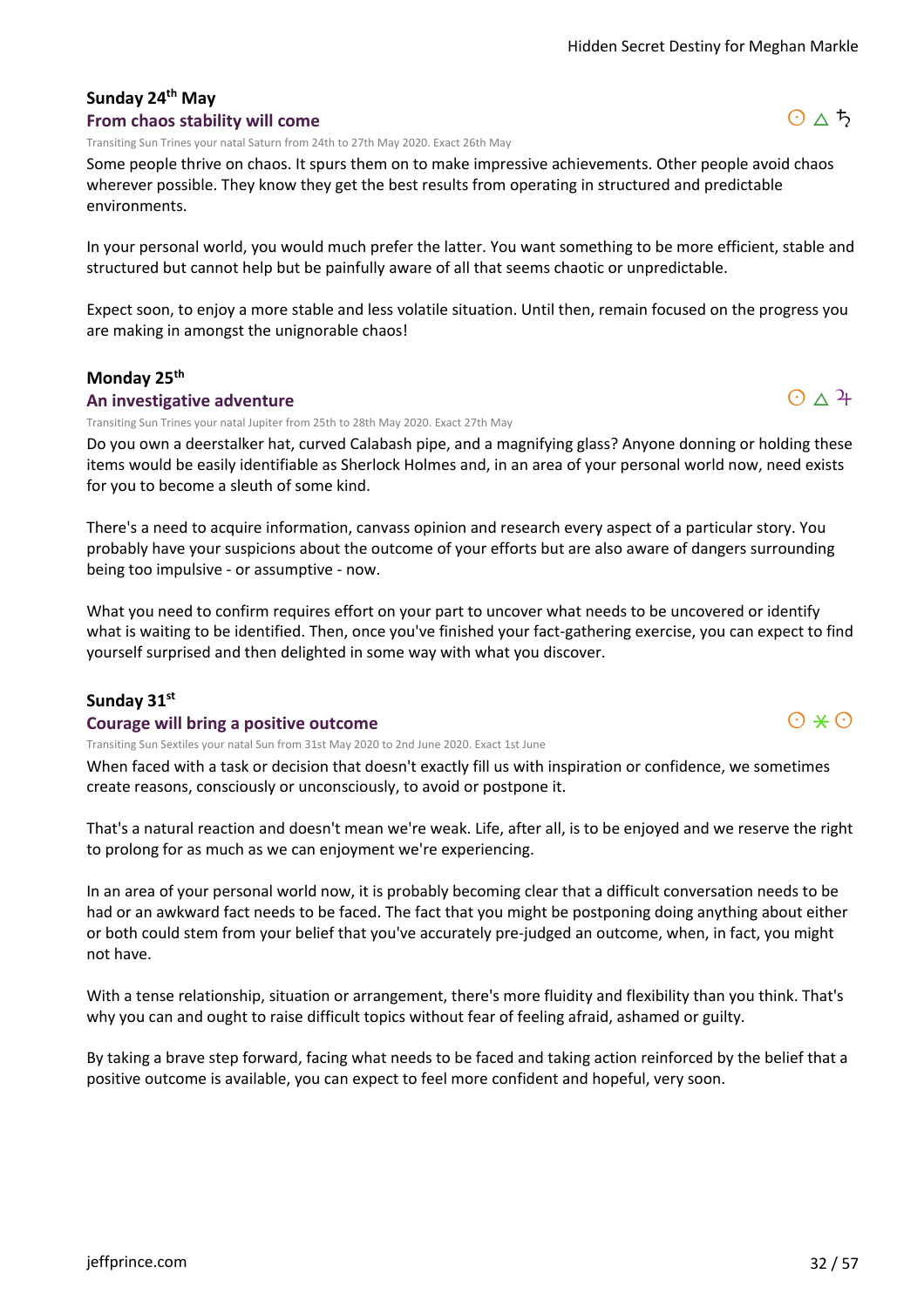#### **Sunday 24th May From chaos stability will come**

Transiting Sun Trines your natal Saturn from 24th to 27th May 2020. Exact 26th May

Some people thrive on chaos. It spurs them on to make impressive achievements. Other people avoid chaos wherever possible. They know they get the best results from operating in structured and predictable environments.

In your personal world, you would much prefer the latter. You want something to be more efficient, stable and structured but cannot help but be painfully aware of all that seems chaotic or unpredictable.

Expect soon, to enjoy a more stable and less volatile situation. Until then, remain focused on the progress you are making in amongst the unignorable chaos!

# **Monday 25th**

#### **An investigative adventure**

Transiting Sun Trines your natal Jupiter from 25th to 28th May 2020. Exact 27th May

Do you own a deerstalker hat, curved Calabash pipe, and a magnifying glass? Anyone donning or holding these items would be easily identifiable as Sherlock Holmes and, in an area of your personal world now, need exists for you to become a sleuth of some kind.

There's a need to acquire information, canvass opinion and research every aspect of a particular story. You probably have your suspicions about the outcome of your efforts but are also aware of dangers surrounding being too impulsive - or assumptive - now.

What you need to confirm requires effort on your part to uncover what needs to be uncovered or identify what is waiting to be identified. Then, once you've finished your fact-gathering exercise, you can expect to find yourself surprised and then delighted in some way with what you discover.

# **Sunday 31st**

#### **Courage will bring a positive outcome**

Transiting Sun Sextiles your natal Sun from 31st May 2020 to 2nd June 2020. Exact 1st June

When faced with a task or decision that doesn't exactly fill us with inspiration or confidence, we sometimes create reasons, consciously or unconsciously, to avoid or postpone it.

That's a natural reaction and doesn't mean we're weak. Life, after all, is to be enjoyed and we reserve the right to prolong for as much as we can enjoyment we're experiencing.

In an area of your personal world now, it is probably becoming clear that a difficult conversation needs to be had or an awkward fact needs to be faced. The fact that you might be postponing doing anything about either or both could stem from your belief that you've accurately pre-judged an outcome, when, in fact, you might not have.

With a tense relationship, situation or arrangement, there's more fluidity and flexibility than you think. That's why you can and ought to raise difficult topics without fear of feeling afraid, ashamed or guilty.

By taking a brave step forward, facing what needs to be faced and taking action reinforced by the belief that a positive outcome is available, you can expect to feel more confident and hopeful, very soon.



 $O \triangle 4$ 

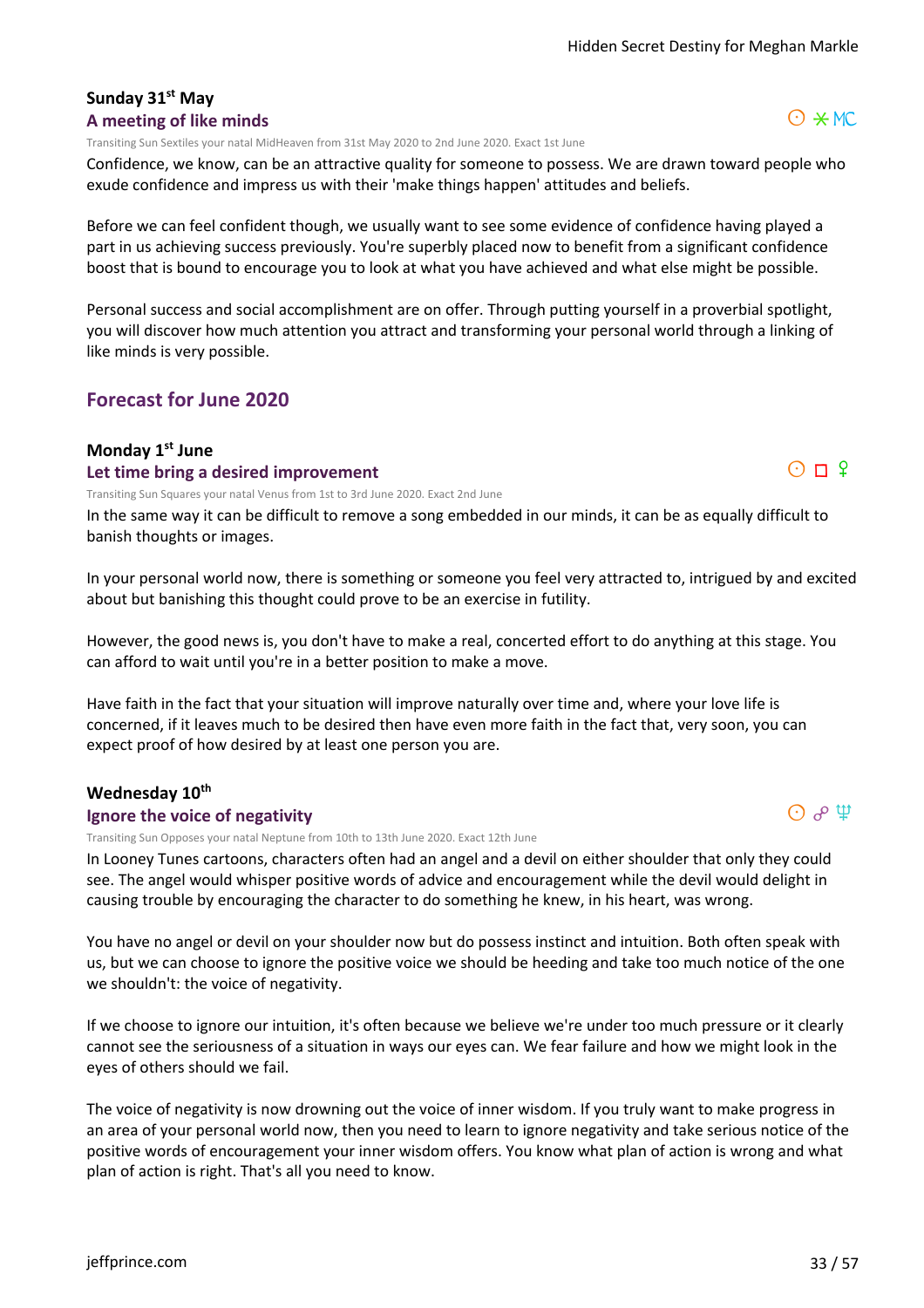#### **Sunday 31st May A meeting of like minds**

Transiting Sun Sextiles your natal MidHeaven from 31st May 2020 to 2nd June 2020. Exact 1st June

Confidence, we know, can be an attractive quality for someone to possess. We are drawn toward people who exude confidence and impress us with their 'make things happen' attitudes and beliefs.

Before we can feel confident though, we usually want to see some evidence of confidence having played a part in us achieving success previously. You're superbly placed now to benefit from a significant confidence boost that is bound to encourage you to look at what you have achieved and what else might be possible.

Personal success and social accomplishment are on offer. Through putting yourself in a proverbial spotlight, you will discover how much attention you attract and transforming your personal world through a linking of like minds is very possible.

# **Forecast for June 2020**

#### **Monday 1st June**

#### **Let time bring a desired improvement**

Transiting Sun Squares your natal Venus from 1st to 3rd June 2020. Exact 2nd June

In the same way it can be difficult to remove a song embedded in our minds, it can be as equally difficult to banish thoughts or images.

In your personal world now, there is something or someone you feel very attracted to, intrigued by and excited about but banishing this thought could prove to be an exercise in futility.

However, the good news is, you don't have to make a real, concerted effort to do anything at this stage. You can afford to wait until you're in a better position to make a move.

Have faith in the fact that your situation will improve naturally over time and, where your love life is concerned, if it leaves much to be desired then have even more faith in the fact that, very soon, you can expect proof of how desired by at least one person you are.

#### **Wednesday 10th**

#### **Ignore the voice of negativity**

Transiting Sun Opposes your natal Neptune from 10th to 13th June 2020. Exact 12th June

In Looney Tunes cartoons, characters often had an angel and a devil on either shoulder that only they could see. The angel would whisper positive words of advice and encouragement while the devil would delight in causing trouble by encouraging the character to do something he knew, in his heart, was wrong.

You have no angel or devil on your shoulder now but do possess instinct and intuition. Both often speak with us, but we can choose to ignore the positive voice we should be heeding and take too much notice of the one we shouldn't: the voice of negativity.

If we choose to ignore our intuition, it's often because we believe we're under too much pressure or it clearly cannot see the seriousness of a situation in ways our eyes can. We fear failure and how we might look in the eyes of others should we fail.

The voice of negativity is now drowning out the voice of inner wisdom. If you truly want to make progress in an area of your personal world now, then you need to learn to ignore negativity and take serious notice of the positive words of encouragement your inner wisdom offers. You know what plan of action is wrong and what plan of action is right. That's all you need to know.





 $\Theta$   $\phi$   $\Psi$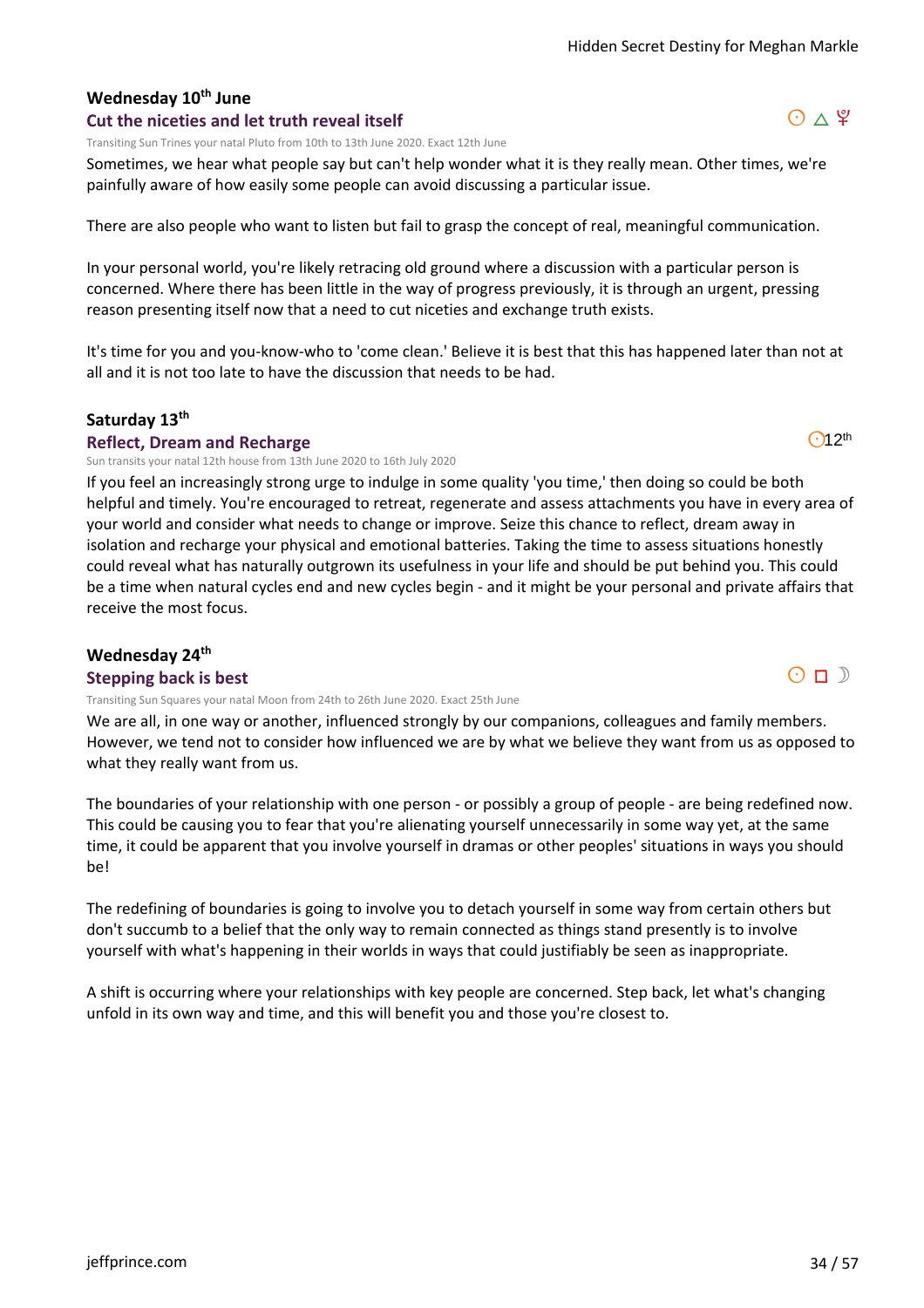# **Wednesday 10th June**

#### **Cut the niceties and let truth reveal itself**

Transiting Sun Trines your natal Pluto from 10th to 13th June 2020. Exact 12th June

Sometimes, we hear what people say but can't help wonder what it is they really mean. Other times, we're painfully aware of how easily some people can avoid discussing a particular issue.

There are also people who want to listen but fail to grasp the concept of real, meaningful communication.

In your personal world, you're likely retracing old ground where a discussion with a particular person is concerned. Where there has been little in the way of progress previously, it is through an urgent, pressing reason presenting itself now that a need to cut niceties and exchange truth exists.

It's time for you and you-know-who to 'come clean.' Believe it is best that this has happened later than not at all and it is not too late to have the discussion that needs to be had.

#### **Saturday 13th**

#### **Reflect, Dream and Recharge**

Sun transits your natal 12th house from 13th June 2020 to 16th July 2020

If you feel an increasingly strong urge to indulge in some quality 'you time,' then doing so could be both helpful and timely. You're encouraged to retreat, regenerate and assess attachments you have in every area of your world and consider what needs to change or improve. Seize this chance to reflect, dream away in isolation and recharge your physical and emotional batteries. Taking the time to assess situations honestly could reveal what has naturally outgrown its usefulness in your life and should be put behind you. This could be a time when natural cycles end and new cycles begin - and it might be your personal and private affairs that receive the most focus.

#### **Wednesday 24th Stepping back is best**

Transiting Sun Squares your natal Moon from 24th to 26th June 2020. Exact 25th June

We are all, in one way or another, influenced strongly by our companions, colleagues and family members. However, we tend not to consider how influenced we are by what we believe they want from us as opposed to what they really want from us.

The boundaries of your relationship with one person - or possibly a group of people - are being redefined now. This could be causing you to fear that you're alienating yourself unnecessarily in some way yet, at the same time, it could be apparent that you involve yourself in dramas or other peoples' situations in ways you should be!

The redefining of boundaries is going to involve you to detach yourself in some way from certain others but don't succumb to a belief that the only way to remain connected as things stand presently is to involve yourself with what's happening in their worlds in ways that could justifiably be seen as inappropriate.

A shift is occurring where your relationships with key people are concerned. Step back, let what's changing unfold in its own way and time, and this will benefit you and those you're closest to.





 $O12<sup>th</sup>$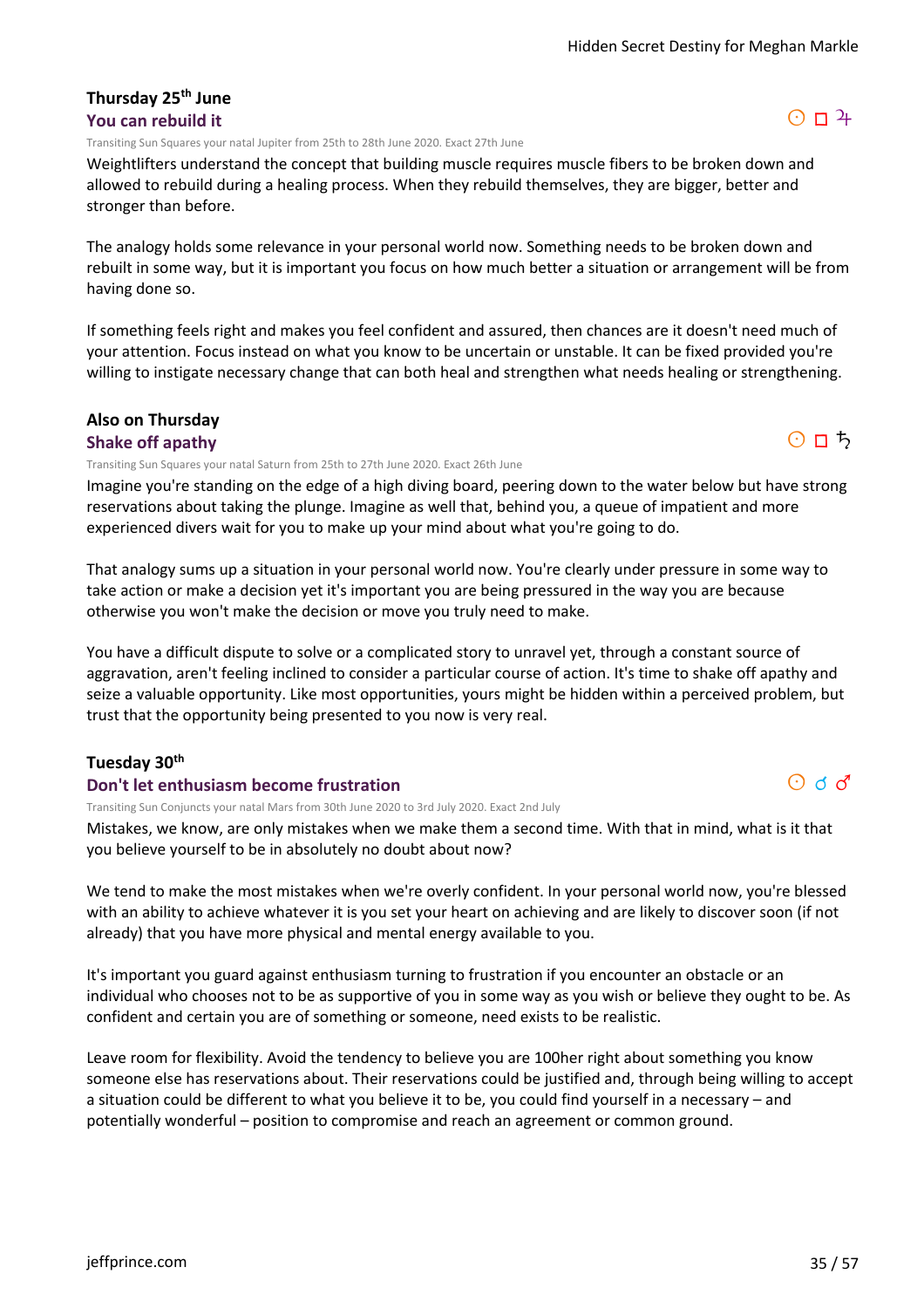#### **Thursday 25th June You can rebuild it**

Transiting Sun Squares your natal Jupiter from 25th to 28th June 2020. Exact 27th June

Weightlifters understand the concept that building muscle requires muscle fibers to be broken down and allowed to rebuild during a healing process. When they rebuild themselves, they are bigger, better and stronger than before.

The analogy holds some relevance in your personal world now. Something needs to be broken down and rebuilt in some way, but it is important you focus on how much better a situation or arrangement will be from having done so.

If something feels right and makes you feel confident and assured, then chances are it doesn't need much of your attention. Focus instead on what you know to be uncertain or unstable. It can be fixed provided you're willing to instigate necessary change that can both heal and strengthen what needs healing or strengthening.

#### **Also on Thursday**

#### **Shake off apathy**

Transiting Sun Squares your natal Saturn from 25th to 27th June 2020. Exact 26th June

Imagine you're standing on the edge of a high diving board, peering down to the water below but have strong reservations about taking the plunge. Imagine as well that, behind you, a queue of impatient and more experienced divers wait for you to make up your mind about what you're going to do.

That analogy sums up a situation in your personal world now. You're clearly under pressure in some way to take action or make a decision yet it's important you are being pressured in the way you are because otherwise you won't make the decision or move you truly need to make.

You have a difficult dispute to solve or a complicated story to unravel yet, through a constant source of aggravation, aren't feeling inclined to consider a particular course of action. It's time to shake off apathy and seize a valuable opportunity. Like most opportunities, yours might be hidden within a perceived problem, but trust that the opportunity being presented to you now is very real.

#### **Tuesday 30th**

#### **Don't let enthusiasm become frustration**

Transiting Sun Conjuncts your natal Mars from 30th June 2020 to 3rd July 2020. Exact 2nd July

Mistakes, we know, are only mistakes when we make them a second time. With that in mind, what is it that you believe yourself to be in absolutely no doubt about now?

We tend to make the most mistakes when we're overly confident. In your personal world now, you're blessed with an ability to achieve whatever it is you set your heart on achieving and are likely to discover soon (if not already) that you have more physical and mental energy available to you.

It's important you guard against enthusiasm turning to frustration if you encounter an obstacle or an individual who chooses not to be as supportive of you in some way as you wish or believe they ought to be. As confident and certain you are of something or someone, need exists to be realistic.

Leave room for flexibility. Avoid the tendency to believe you are 100her right about something you know someone else has reservations about. Their reservations could be justified and, through being willing to accept a situation could be different to what you believe it to be, you could find yourself in a necessary – and potentially wonderful – position to compromise and reach an agreement or common ground.



 $O \Pi$ 

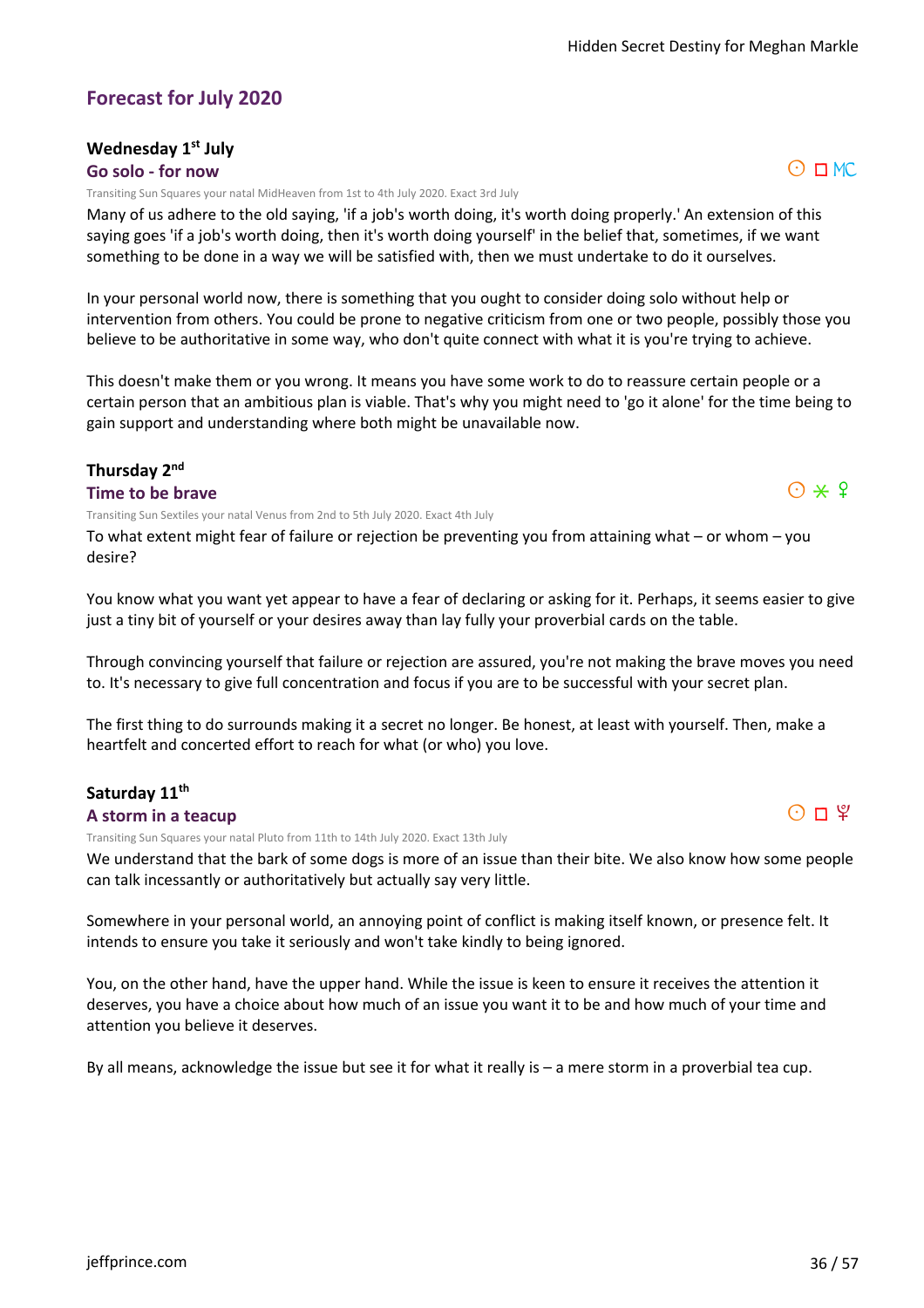# **Forecast for July 2020**

# **Wednesday 1st July**

#### **Go solo - for now**

Transiting Sun Squares your natal MidHeaven from 1st to 4th July 2020. Exact 3rd July

Many of us adhere to the old saying, 'if a job's worth doing, it's worth doing properly.' An extension of this saying goes 'if a job's worth doing, then it's worth doing yourself' in the belief that, sometimes, if we want something to be done in a way we will be satisfied with, then we must undertake to do it ourselves.

In your personal world now, there is something that you ought to consider doing solo without help or intervention from others. You could be prone to negative criticism from one or two people, possibly those you believe to be authoritative in some way, who don't quite connect with what it is you're trying to achieve.

This doesn't make them or you wrong. It means you have some work to do to reassure certain people or a certain person that an ambitious plan is viable. That's why you might need to 'go it alone' for the time being to gain support and understanding where both might be unavailable now.

#### **Thursday 2nd**

#### **Time to be brave**

Transiting Sun Sextiles your natal Venus from 2nd to 5th July 2020. Exact 4th July

To what extent might fear of failure or rejection be preventing you from attaining what – or whom – you desire?

You know what you want yet appear to have a fear of declaring or asking for it. Perhaps, it seems easier to give just a tiny bit of yourself or your desires away than lay fully your proverbial cards on the table.

Through convincing yourself that failure or rejection are assured, you're not making the brave moves you need to. It's necessary to give full concentration and focus if you are to be successful with your secret plan.

The first thing to do surrounds making it a secret no longer. Be honest, at least with yourself. Then, make a heartfelt and concerted effort to reach for what (or who) you love.

# **Saturday 11th**

**A storm in a teacup**

Transiting Sun Squares your natal Pluto from 11th to 14th July 2020. Exact 13th July

We understand that the bark of some dogs is more of an issue than their bite. We also know how some people can talk incessantly or authoritatively but actually say very little.

Somewhere in your personal world, an annoying point of conflict is making itself known, or presence felt. It intends to ensure you take it seriously and won't take kindly to being ignored.

You, on the other hand, have the upper hand. While the issue is keen to ensure it receives the attention it deserves, you have a choice about how much of an issue you want it to be and how much of your time and attention you believe it deserves.

By all means, acknowledge the issue but see it for what it really is – a mere storm in a proverbial tea cup.



 $O*9$ 

 $O \square MC$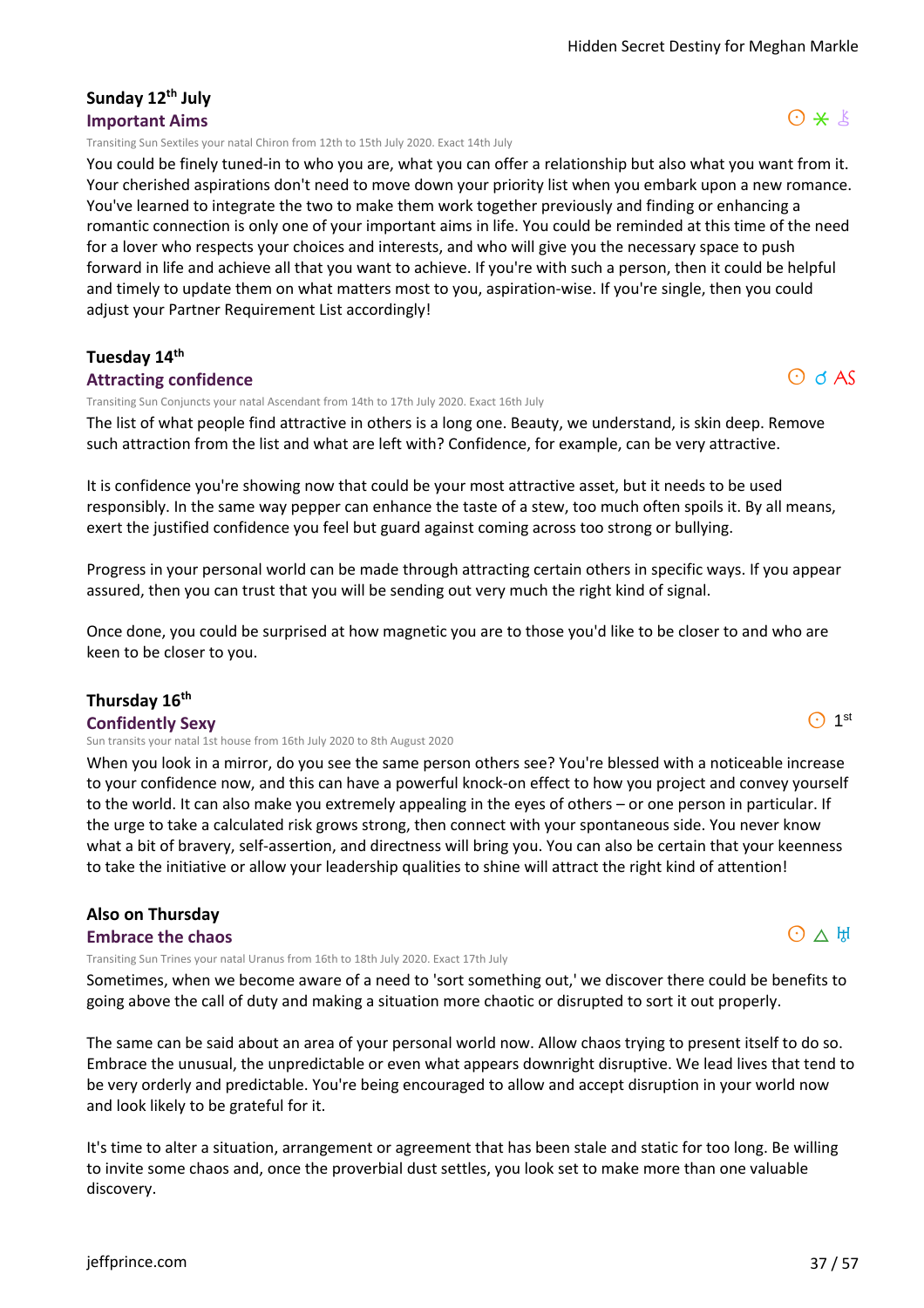# **Sunday 12th July Important Aims**

Transiting Sun Sextiles your natal Chiron from 12th to 15th July 2020. Exact 14th July

You could be finely tuned-in to who you are, what you can offer a relationship but also what you want from it. Your cherished aspirations don't need to move down your priority list when you embark upon a new romance. You've learned to integrate the two to make them work together previously and finding or enhancing a romantic connection is only one of your important aims in life. You could be reminded at this time of the need for a lover who respects your choices and interests, and who will give you the necessary space to push forward in life and achieve all that you want to achieve. If you're with such a person, then it could be helpful and timely to update them on what matters most to you, aspiration-wise. If you're single, then you could adjust your Partner Requirement List accordingly!

#### **Tuesday 14th**

#### **Attracting confidence**

Transiting Sun Conjuncts your natal Ascendant from 14th to 17th July 2020. Exact 16th July

The list of what people find attractive in others is a long one. Beauty, we understand, is skin deep. Remove such attraction from the list and what are left with? Confidence, for example, can be very attractive.

It is confidence you're showing now that could be your most attractive asset, but it needs to be used responsibly. In the same way pepper can enhance the taste of a stew, too much often spoils it. By all means, exert the justified confidence you feel but guard against coming across too strong or bullying.

Progress in your personal world can be made through attracting certain others in specific ways. If you appear assured, then you can trust that you will be sending out very much the right kind of signal.

Once done, you could be surprised at how magnetic you are to those you'd like to be closer to and who are keen to be closer to you.

#### **Thursday 16th**

#### **Confidently Sexy**

Sun transits your natal 1st house from 16th July 2020 to 8th August 2020

When you look in a mirror, do you see the same person others see? You're blessed with a noticeable increase to your confidence now, and this can have a powerful knock-on effect to how you project and convey yourself to the world. It can also make you extremely appealing in the eyes of others – or one person in particular. If the urge to take a calculated risk grows strong, then connect with your spontaneous side. You never know what a bit of bravery, self-assertion, and directness will bring you. You can also be certain that your keenness to take the initiative or allow your leadership qualities to shine will attract the right kind of attention!

#### **Also on Thursday**

#### **Embrace the chaos**

Transiting Sun Trines your natal Uranus from 16th to 18th July 2020. Exact 17th July

Sometimes, when we become aware of a need to 'sort something out,' we discover there could be benefits to going above the call of duty and making a situation more chaotic or disrupted to sort it out properly.

The same can be said about an area of your personal world now. Allow chaos trying to present itself to do so. Embrace the unusual, the unpredictable or even what appears downright disruptive. We lead lives that tend to be very orderly and predictable. You're being encouraged to allow and accept disruption in your world now and look likely to be grateful for it.

It's time to alter a situation, arrangement or agreement that has been stale and static for too long. Be willing to invite some chaos and, once the proverbial dust settles, you look set to make more than one valuable discovery.

#### [jeffprince.com](https://jeffprince.com) 37 / 57

# $O$  d AS

# $O \wedge H$

 $\odot$  1st

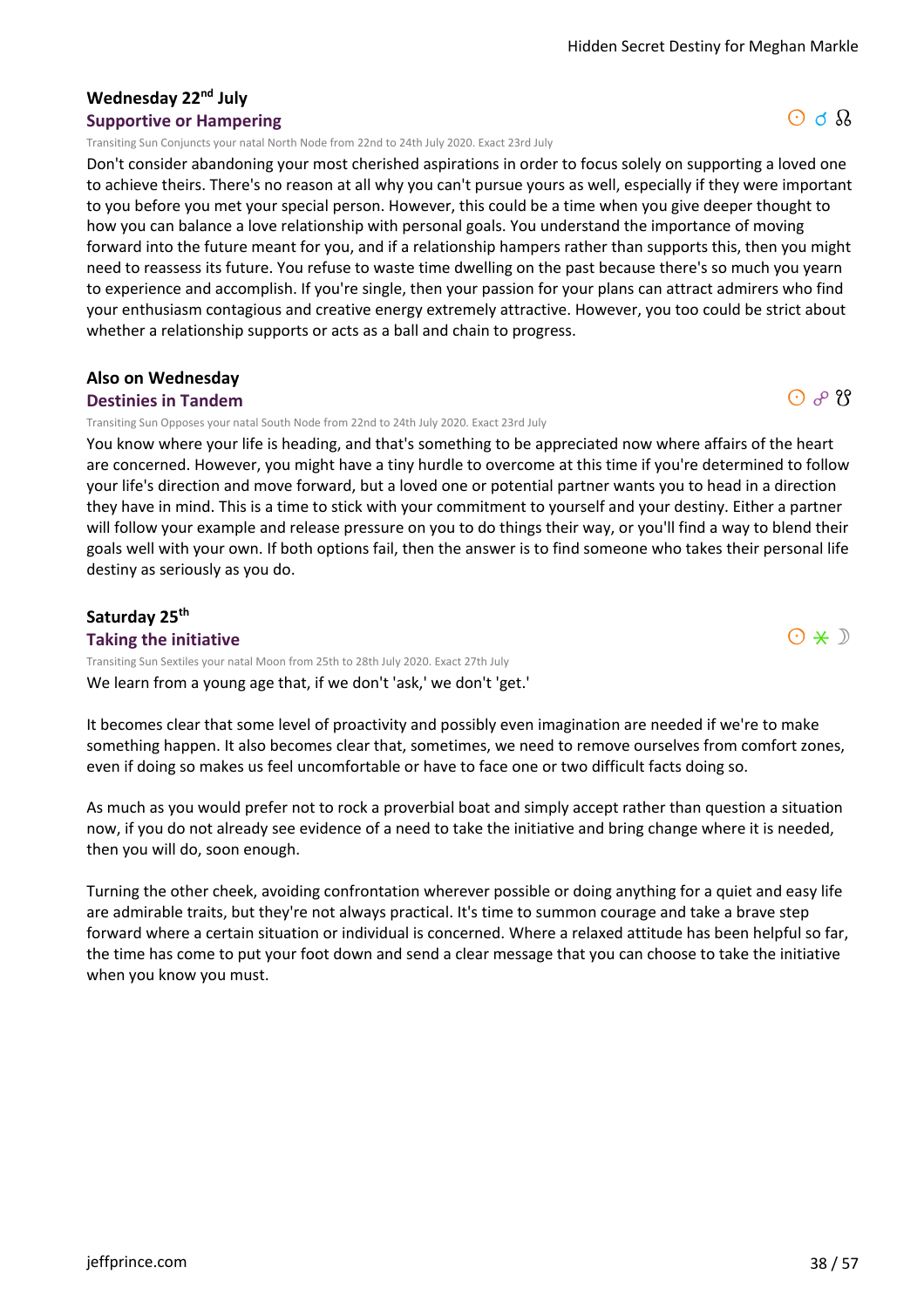$O \nightharpoonup \Omega$ 

 $O$   $\partial$   $\partial$   $\partial$ 

 $O * D$ 

#### **Wednesday 22nd July Supportive or Hampering**

Transiting Sun Conjuncts your natal North Node from 22nd to 24th July 2020. Exact 23rd July

Don't consider abandoning your most cherished aspirations in order to focus solely on supporting a loved one to achieve theirs. There's no reason at all why you can't pursue yours as well, especially if they were important to you before you met your special person. However, this could be a time when you give deeper thought to how you can balance a love relationship with personal goals. You understand the importance of moving forward into the future meant for you, and if a relationship hampers rather than supports this, then you might need to reassess its future. You refuse to waste time dwelling on the past because there's so much you yearn to experience and accomplish. If you're single, then your passion for your plans can attract admirers who find your enthusiasm contagious and creative energy extremely attractive. However, you too could be strict about whether a relationship supports or acts as a ball and chain to progress.

#### **Also on Wednesday Destinies in Tandem**

Transiting Sun Opposes your natal South Node from 22nd to 24th July 2020. Exact 23rd July

You know where your life is heading, and that's something to be appreciated now where affairs of the heart are concerned. However, you might have a tiny hurdle to overcome at this time if you're determined to follow your life's direction and move forward, but a loved one or potential partner wants you to head in a direction they have in mind. This is a time to stick with your commitment to yourself and your destiny. Either a partner will follow your example and release pressure on you to do things their way, or you'll find a way to blend their goals well with your own. If both options fail, then the answer is to find someone who takes their personal life destiny as seriously as you do.

#### **Saturday 25th**

**Taking the initiative** We learn from a young age that, if we don't 'ask,' we don't 'get.' Transiting Sun Sextiles your natal Moon from 25th to 28th July 2020. Exact 27th July

It becomes clear that some level of proactivity and possibly even imagination are needed if we're to make something happen. It also becomes clear that, sometimes, we need to remove ourselves from comfort zones, even if doing so makes us feel uncomfortable or have to face one or two difficult facts doing so.

As much as you would prefer not to rock a proverbial boat and simply accept rather than question a situation now, if you do not already see evidence of a need to take the initiative and bring change where it is needed, then you will do, soon enough.

Turning the other cheek, avoiding confrontation wherever possible or doing anything for a quiet and easy life are admirable traits, but they're not always practical. It's time to summon courage and take a brave step forward where a certain situation or individual is concerned. Where a relaxed attitude has been helpful so far, the time has come to put your foot down and send a clear message that you can choose to take the initiative when you know you must.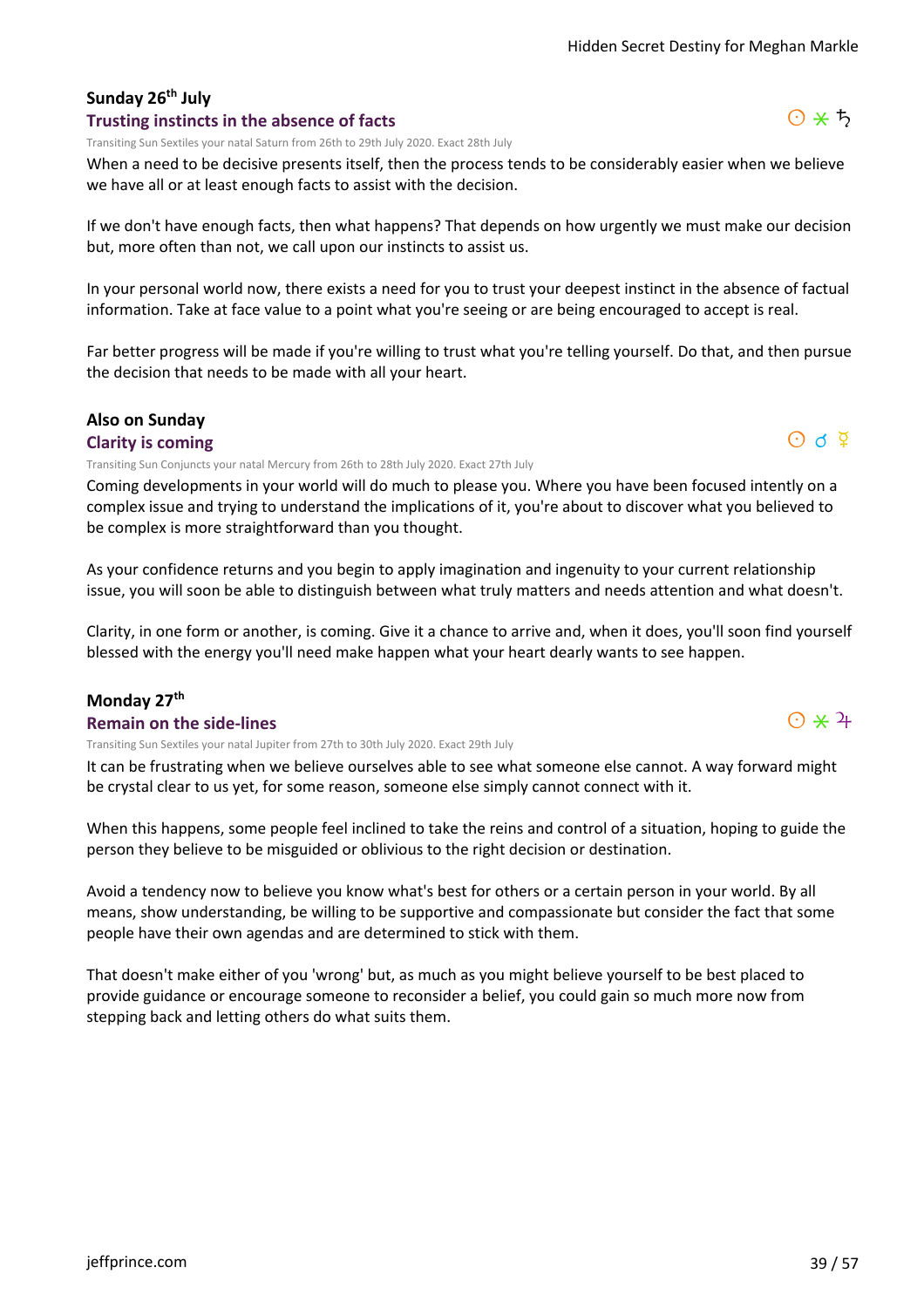#### **Sunday 26th July Trusting instincts in the absence of facts**

Transiting Sun Sextiles your natal Saturn from 26th to 29th July 2020. Exact 28th July

When a need to be decisive presents itself, then the process tends to be considerably easier when we believe we have all or at least enough facts to assist with the decision.

If we don't have enough facts, then what happens? That depends on how urgently we must make our decision but, more often than not, we call upon our instincts to assist us.

In your personal world now, there exists a need for you to trust your deepest instinct in the absence of factual information. Take at face value to a point what you're seeing or are being encouraged to accept is real.

Far better progress will be made if you're willing to trust what you're telling yourself. Do that, and then pursue the decision that needs to be made with all your heart.

#### **Also on Sunday**

#### **Clarity is coming**

Transiting Sun Conjuncts your natal Mercury from 26th to 28th July 2020. Exact 27th July

Coming developments in your world will do much to please you. Where you have been focused intently on a complex issue and trying to understand the implications of it, you're about to discover what you believed to be complex is more straightforward than you thought.

As your confidence returns and you begin to apply imagination and ingenuity to your current relationship issue, you will soon be able to distinguish between what truly matters and needs attention and what doesn't.

Clarity, in one form or another, is coming. Give it a chance to arrive and, when it does, you'll soon find yourself blessed with the energy you'll need make happen what your heart dearly wants to see happen.

#### **Monday 27th**

#### **Remain on the side-lines**

Transiting Sun Sextiles your natal Jupiter from 27th to 30th July 2020. Exact 29th July

It can be frustrating when we believe ourselves able to see what someone else cannot. A way forward might be crystal clear to us yet, for some reason, someone else simply cannot connect with it.

When this happens, some people feel inclined to take the reins and control of a situation, hoping to guide the person they believe to be misguided or oblivious to the right decision or destination.

Avoid a tendency now to believe you know what's best for others or a certain person in your world. By all means, show understanding, be willing to be supportive and compassionate but consider the fact that some people have their own agendas and are determined to stick with them.

That doesn't make either of you 'wrong' but, as much as you might believe yourself to be best placed to provide guidance or encourage someone to reconsider a belief, you could gain so much more now from stepping back and letting others do what suits them.





 $\odot$   $\star$  4

 $O$  d  $\Phi$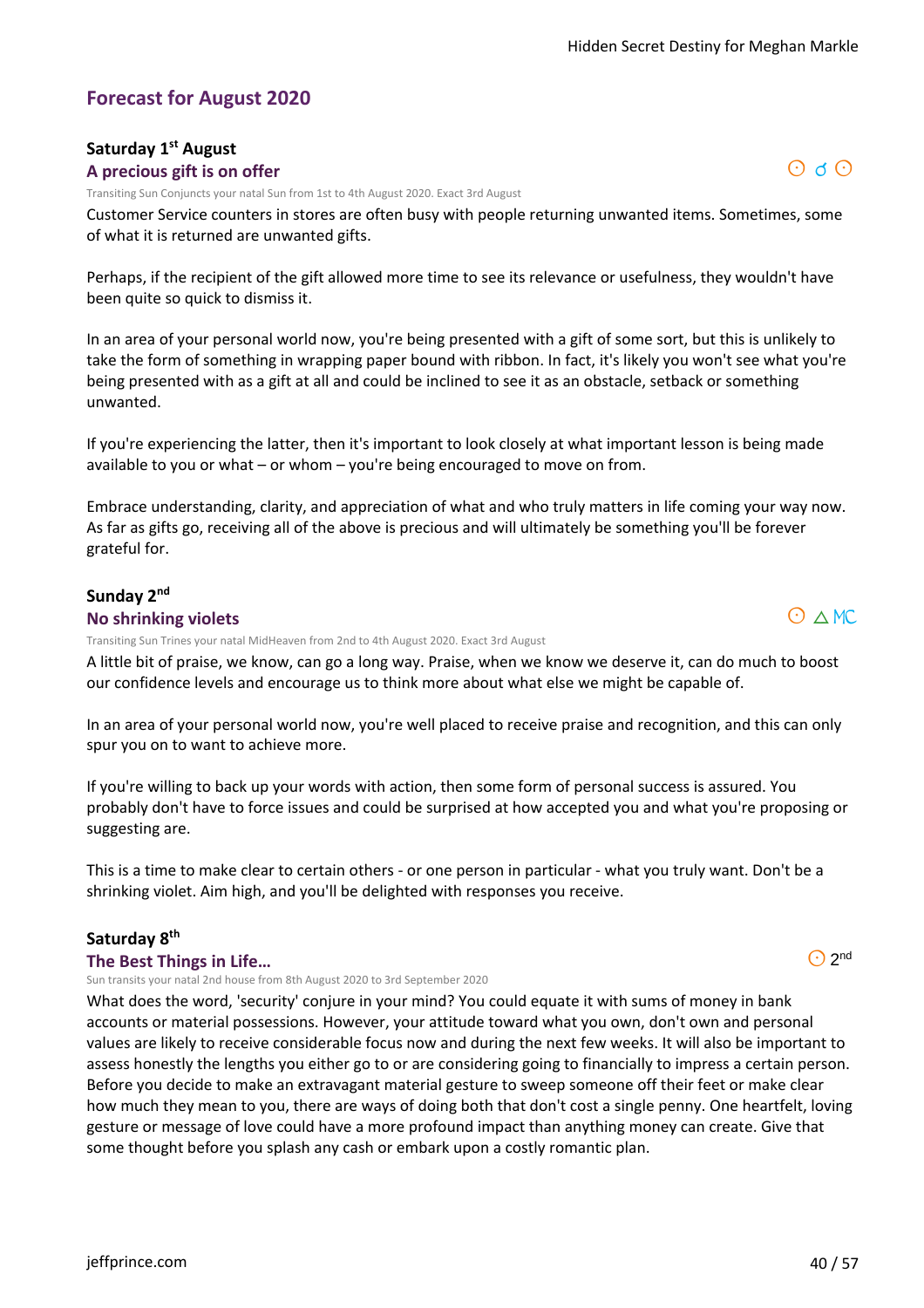$\odot$  d  $\odot$ 

#### **Forecast for August 2020**

#### **Saturday 1st August A precious gift is on offer**

Transiting Sun Conjuncts your natal Sun from 1st to 4th August 2020. Exact 3rd August

Customer Service counters in stores are often busy with people returning unwanted items. Sometimes, some of what it is returned are unwanted gifts.

Perhaps, if the recipient of the gift allowed more time to see its relevance or usefulness, they wouldn't have been quite so quick to dismiss it.

In an area of your personal world now, you're being presented with a gift of some sort, but this is unlikely to take the form of something in wrapping paper bound with ribbon. In fact, it's likely you won't see what you're being presented with as a gift at all and could be inclined to see it as an obstacle, setback or something unwanted.

If you're experiencing the latter, then it's important to look closely at what important lesson is being made available to you or what – or whom – you're being encouraged to move on from.

Embrace understanding, clarity, and appreciation of what and who truly matters in life coming your way now. As far as gifts go, receiving all of the above is precious and will ultimately be something you'll be forever grateful for.

#### **Sunday 2nd No shrinking violets**

Transiting Sun Trines your natal MidHeaven from 2nd to 4th August 2020. Exact 3rd August

A little bit of praise, we know, can go a long way. Praise, when we know we deserve it, can do much to boost our confidence levels and encourage us to think more about what else we might be capable of.

In an area of your personal world now, you're well placed to receive praise and recognition, and this can only spur you on to want to achieve more.

If you're willing to back up your words with action, then some form of personal success is assured. You probably don't have to force issues and could be surprised at how accepted you and what you're proposing or suggesting are.

This is a time to make clear to certain others - or one person in particular - what you truly want. Don't be a shrinking violet. Aim high, and you'll be delighted with responses you receive.

#### **Saturday 8th**

**The Best Things in Life…**

Sun transits your natal 2nd house from 8th August 2020 to 3rd September 2020

What does the word, 'security' conjure in your mind? You could equate it with sums of money in bank accounts or material possessions. However, your attitude toward what you own, don't own and personal values are likely to receive considerable focus now and during the next few weeks. It will also be important to assess honestly the lengths you either go to or are considering going to financially to impress a certain person. Before you decide to make an extravagant material gesture to sweep someone off their feet or make clear how much they mean to you, there are ways of doing both that don't cost a single penny. One heartfelt, loving gesture or message of love could have a more profound impact than anything money can create. Give that some thought before you splash any cash or embark upon a costly romantic plan.

 $\odot$  2<sup>nd</sup>

 $O \triangle M$ C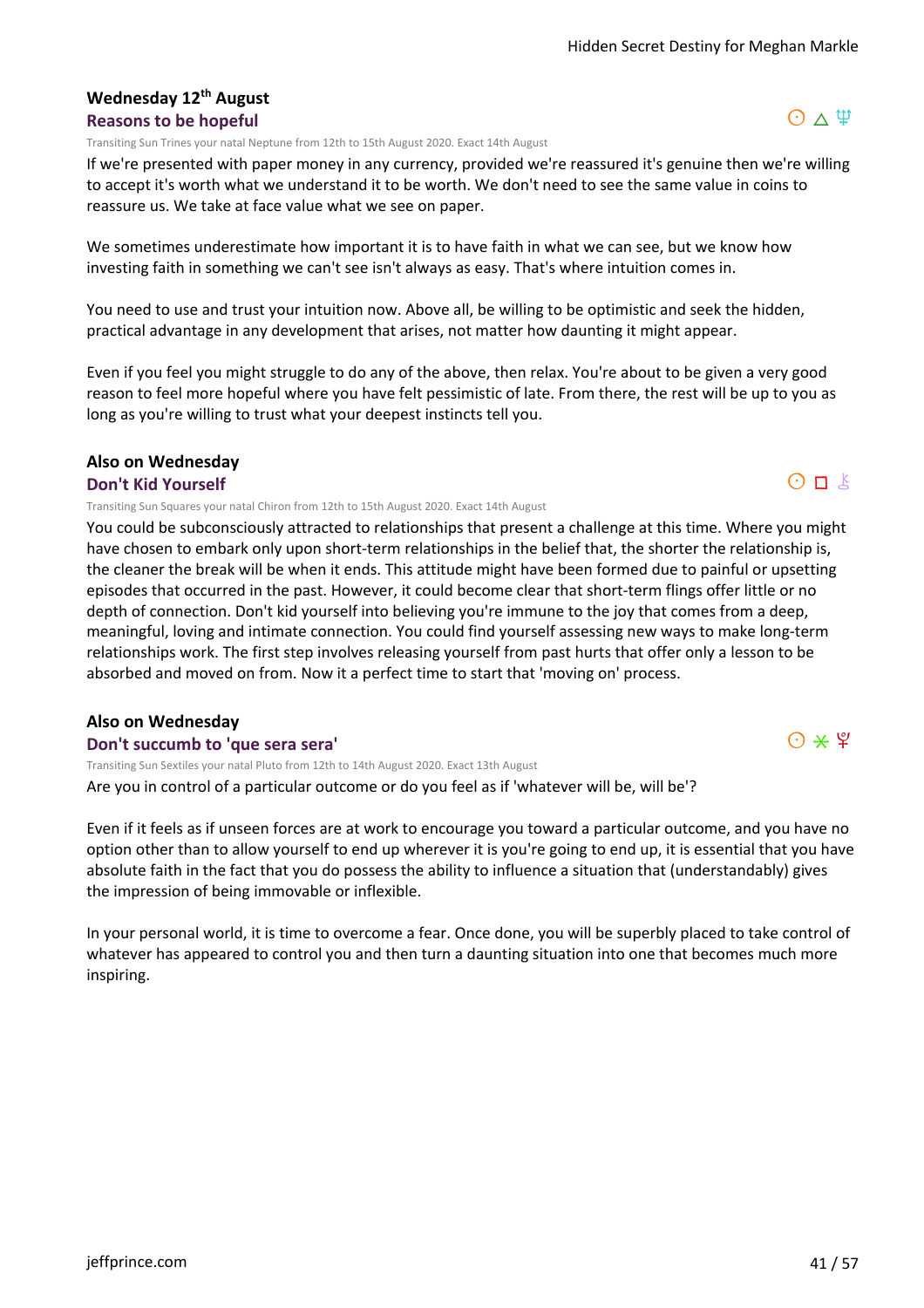#### **Wednesday 12th August Reasons to be hopeful**

Transiting Sun Trines your natal Neptune from 12th to 15th August 2020. Exact 14th August

If we're presented with paper money in any currency, provided we're reassured it's genuine then we're willing to accept it's worth what we understand it to be worth. We don't need to see the same value in coins to reassure us. We take at face value what we see on paper.

We sometimes underestimate how important it is to have faith in what we can see, but we know how investing faith in something we can't see isn't always as easy. That's where intuition comes in.

You need to use and trust your intuition now. Above all, be willing to be optimistic and seek the hidden, practical advantage in any development that arises, not matter how daunting it might appear.

Even if you feel you might struggle to do any of the above, then relax. You're about to be given a very good reason to feel more hopeful where you have felt pessimistic of late. From there, the rest will be up to you as long as you're willing to trust what your deepest instincts tell you.

# **Also on Wednesday**

#### **Don't Kid Yourself**

Transiting Sun Squares your natal Chiron from 12th to 15th August 2020. Exact 14th August

You could be subconsciously attracted to relationships that present a challenge at this time. Where you might have chosen to embark only upon short-term relationships in the belief that, the shorter the relationship is, the cleaner the break will be when it ends. This attitude might have been formed due to painful or upsetting episodes that occurred in the past. However, it could become clear that short-term flings offer little or no depth of connection. Don't kid yourself into believing you're immune to the joy that comes from a deep, meaningful, loving and intimate connection. You could find yourself assessing new ways to make long-term relationships work. The first step involves releasing yourself from past hurts that offer only a lesson to be absorbed and moved on from. Now it a perfect time to start that 'moving on' process.

#### **Also on Wednesday**

#### **Don't succumb to 'que sera sera'**

Are you in control of a particular outcome or do you feel as if 'whatever will be, will be'? Transiting Sun Sextiles your natal Pluto from 12th to 14th August 2020. Exact 13th August

Even if it feels as if unseen forces are at work to encourage you toward a particular outcome, and you have no option other than to allow yourself to end up wherever it is you're going to end up, it is essential that you have absolute faith in the fact that you do possess the ability to influence a situation that (understandably) gives the impression of being immovable or inflexible.

In your personal world, it is time to overcome a fear. Once done, you will be superbly placed to take control of whatever has appeared to control you and then turn a daunting situation into one that becomes much more inspiring.



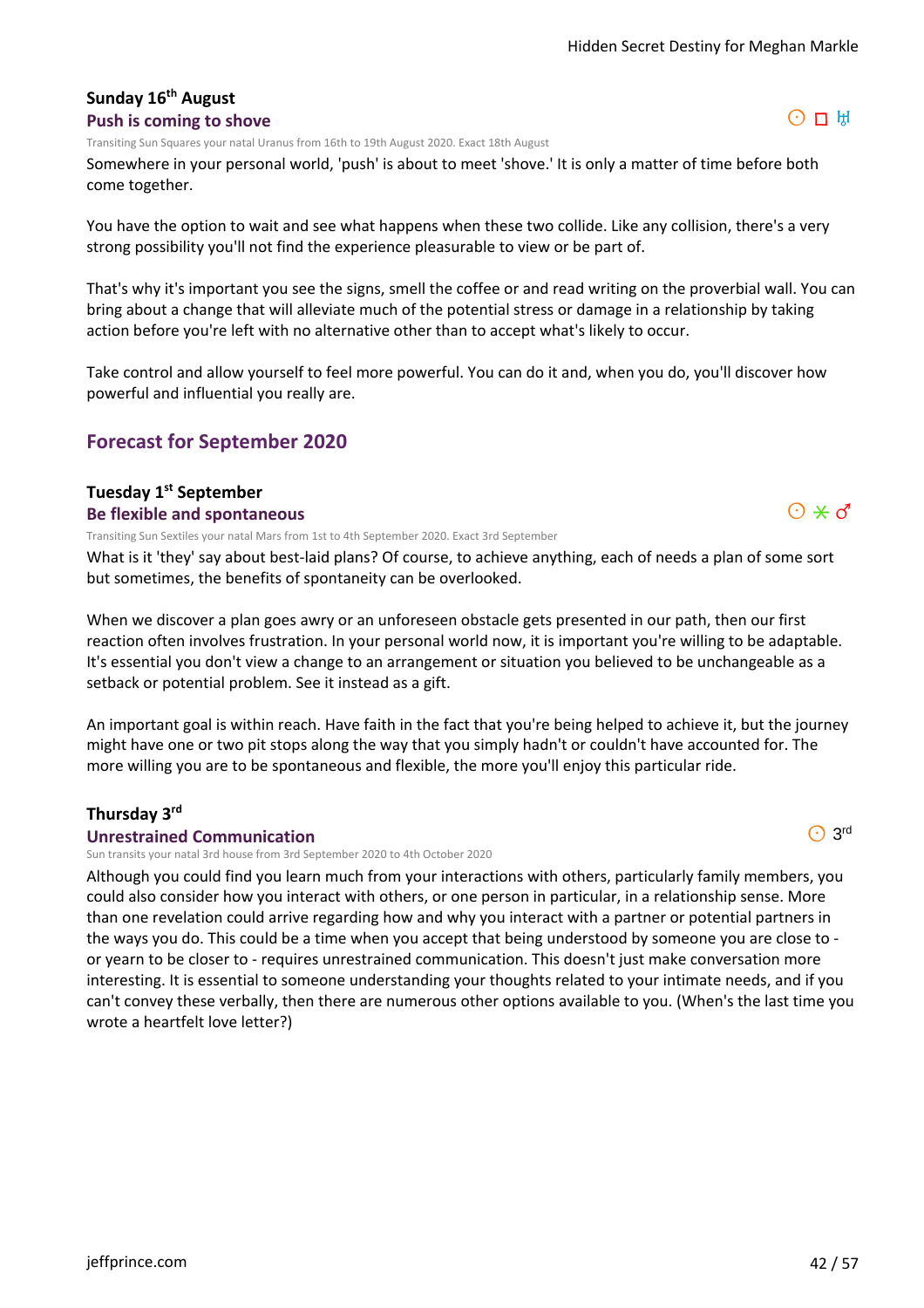#### **Sunday 16th August Push is coming to shove**

Transiting Sun Squares your natal Uranus from 16th to 19th August 2020. Exact 18th August

Somewhere in your personal world, 'push' is about to meet 'shove.' It is only a matter of time before both come together.

You have the option to wait and see what happens when these two collide. Like any collision, there's a very strong possibility you'll not find the experience pleasurable to view or be part of.

That's why it's important you see the signs, smell the coffee or and read writing on the proverbial wall. You can bring about a change that will alleviate much of the potential stress or damage in a relationship by taking action before you're left with no alternative other than to accept what's likely to occur.

Take control and allow yourself to feel more powerful. You can do it and, when you do, you'll discover how powerful and influential you really are.

# **Forecast for September 2020**

# **Tuesday 1st September**

**Be flexible and spontaneous**

Transiting Sun Sextiles your natal Mars from 1st to 4th September 2020. Exact 3rd September

What is it 'they' say about best-laid plans? Of course, to achieve anything, each of needs a plan of some sort but sometimes, the benefits of spontaneity can be overlooked.

When we discover a plan goes awry or an unforeseen obstacle gets presented in our path, then our first reaction often involves frustration. In your personal world now, it is important you're willing to be adaptable. It's essential you don't view a change to an arrangement or situation you believed to be unchangeable as a setback or potential problem. See it instead as a gift.

An important goal is within reach. Have faith in the fact that you're being helped to achieve it, but the journey might have one or two pit stops along the way that you simply hadn't or couldn't have accounted for. The more willing you are to be spontaneous and flexible, the more you'll enjoy this particular ride.

#### **Thursday 3rd**

#### **Unrestrained Communication**

Sun transits your natal 3rd house from 3rd September 2020 to 4th October 2020

Although you could find you learn much from your interactions with others, particularly family members, you could also consider how you interact with others, or one person in particular, in a relationship sense. More than one revelation could arrive regarding how and why you interact with a partner or potential partners in the ways you do. This could be a time when you accept that being understood by someone you are close to or yearn to be closer to - requires unrestrained communication. This doesn't just make conversation more interesting. It is essential to someone understanding your thoughts related to your intimate needs, and if you can't convey these verbally, then there are numerous other options available to you. (When's the last time you wrote a heartfelt love letter?)





 $\odot$  3rd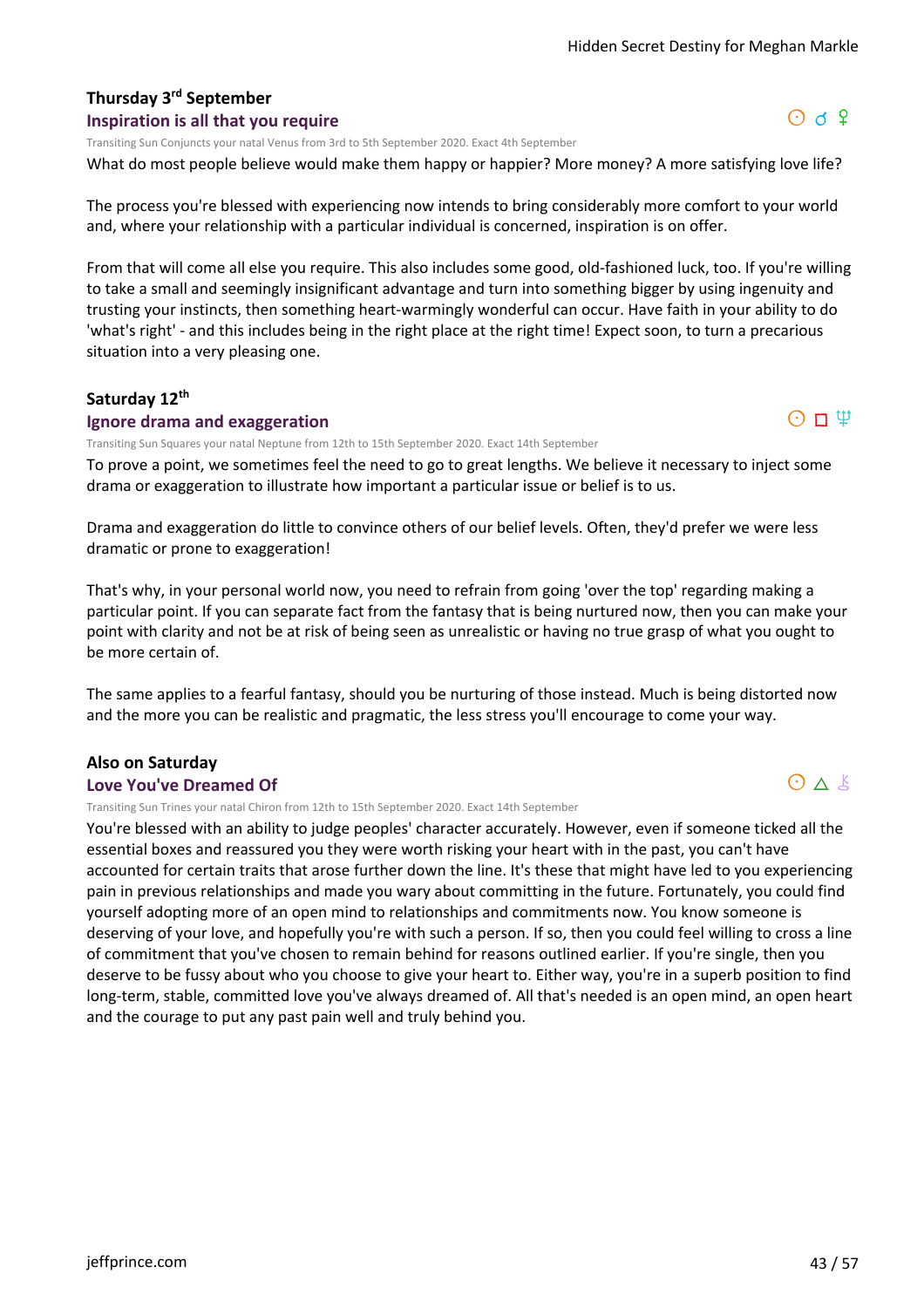$O$  d  $9$ 

 $O \Pi \Psi$ 

 $O \wedge k$ 

# **Thursday 3rd September**

#### **Inspiration is all that you require**

Transiting Sun Conjuncts your natal Venus from 3rd to 5th September 2020. Exact 4th September

What do most people believe would make them happy or happier? More money? A more satisfying love life?

The process you're blessed with experiencing now intends to bring considerably more comfort to your world and, where your relationship with a particular individual is concerned, inspiration is on offer.

From that will come all else you require. This also includes some good, old-fashioned luck, too. If you're willing to take a small and seemingly insignificant advantage and turn into something bigger by using ingenuity and trusting your instincts, then something heart-warmingly wonderful can occur. Have faith in your ability to do 'what's right' - and this includes being in the right place at the right time! Expect soon, to turn a precarious situation into a very pleasing one.

#### **Saturday 12th**

#### **Ignore drama and exaggeration**

Transiting Sun Squares your natal Neptune from 12th to 15th September 2020. Exact 14th September

To prove a point, we sometimes feel the need to go to great lengths. We believe it necessary to inject some drama or exaggeration to illustrate how important a particular issue or belief is to us.

Drama and exaggeration do little to convince others of our belief levels. Often, they'd prefer we were less dramatic or prone to exaggeration!

That's why, in your personal world now, you need to refrain from going 'over the top' regarding making a particular point. If you can separate fact from the fantasy that is being nurtured now, then you can make your point with clarity and not be at risk of being seen as unrealistic or having no true grasp of what you ought to be more certain of.

The same applies to a fearful fantasy, should you be nurturing of those instead. Much is being distorted now and the more you can be realistic and pragmatic, the less stress you'll encourage to come your way.

#### **Also on Saturday**

#### **Love You've Dreamed Of**

Transiting Sun Trines your natal Chiron from 12th to 15th September 2020. Exact 14th September

You're blessed with an ability to judge peoples' character accurately. However, even if someone ticked all the essential boxes and reassured you they were worth risking your heart with in the past, you can't have accounted for certain traits that arose further down the line. It's these that might have led to you experiencing pain in previous relationships and made you wary about committing in the future. Fortunately, you could find yourself adopting more of an open mind to relationships and commitments now. You know someone is deserving of your love, and hopefully you're with such a person. If so, then you could feel willing to cross a line of commitment that you've chosen to remain behind for reasons outlined earlier. If you're single, then you deserve to be fussy about who you choose to give your heart to. Either way, you're in a superb position to find long-term, stable, committed love you've always dreamed of. All that's needed is an open mind, an open heart and the courage to put any past pain well and truly behind you.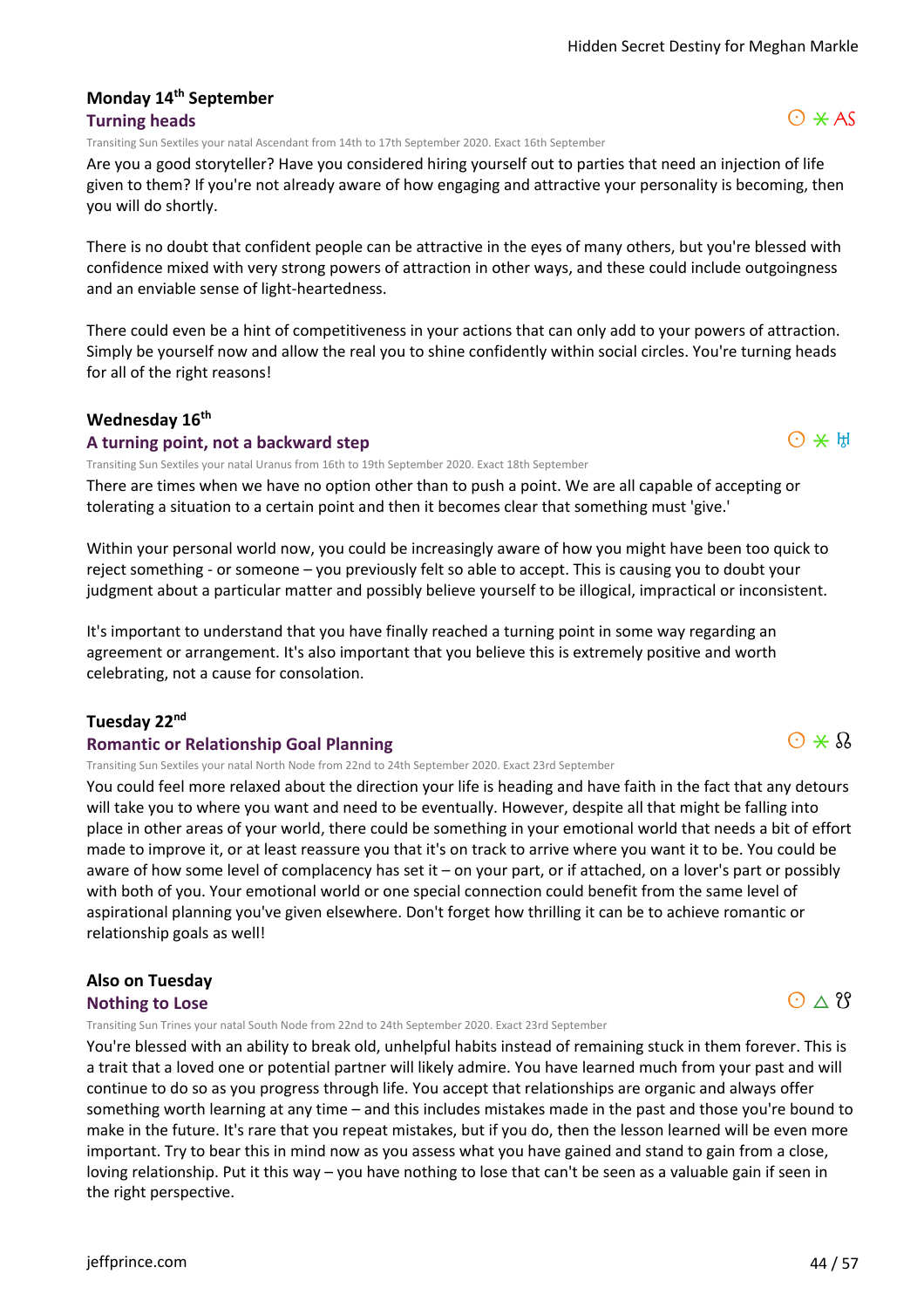#### **Monday 14th September Turning heads**

Transiting Sun Sextiles your natal Ascendant from 14th to 17th September 2020. Exact 16th September

Are you a good storyteller? Have you considered hiring yourself out to parties that need an injection of life given to them? If you're not already aware of how engaging and attractive your personality is becoming, then you will do shortly.

There is no doubt that confident people can be attractive in the eyes of many others, but you're blessed with confidence mixed with very strong powers of attraction in other ways, and these could include outgoingness and an enviable sense of light-heartedness.

There could even be a hint of competitiveness in your actions that can only add to your powers of attraction. Simply be yourself now and allow the real you to shine confidently within social circles. You're turning heads for all of the right reasons!

#### **Wednesday 16th**

#### **A turning point, not a backward step**

Transiting Sun Sextiles your natal Uranus from 16th to 19th September 2020. Exact 18th September

There are times when we have no option other than to push a point. We are all capable of accepting or tolerating a situation to a certain point and then it becomes clear that something must 'give.'

Within your personal world now, you could be increasingly aware of how you might have been too quick to reject something - or someone – you previously felt so able to accept. This is causing you to doubt your judgment about a particular matter and possibly believe yourself to be illogical, impractical or inconsistent.

It's important to understand that you have finally reached a turning point in some way regarding an agreement or arrangement. It's also important that you believe this is extremely positive and worth celebrating, not a cause for consolation.

#### **Tuesday 22nd**

#### **Romantic or Relationship Goal Planning**

Transiting Sun Sextiles your natal North Node from 22nd to 24th September 2020. Exact 23rd September

You could feel more relaxed about the direction your life is heading and have faith in the fact that any detours will take you to where you want and need to be eventually. However, despite all that might be falling into place in other areas of your world, there could be something in your emotional world that needs a bit of effort made to improve it, or at least reassure you that it's on track to arrive where you want it to be. You could be aware of how some level of complacency has set it – on your part, or if attached, on a lover's part or possibly with both of you. Your emotional world or one special connection could benefit from the same level of aspirational planning you've given elsewhere. Don't forget how thrilling it can be to achieve romantic or relationship goals as well!

# **Also on Tuesday**

#### **Nothing to Lose**

Transiting Sun Trines your natal South Node from 22nd to 24th September 2020. Exact 23rd September

You're blessed with an ability to break old, unhelpful habits instead of remaining stuck in them forever. This is a trait that a loved one or potential partner will likely admire. You have learned much from your past and will continue to do so as you progress through life. You accept that relationships are organic and always offer something worth learning at any time – and this includes mistakes made in the past and those you're bound to make in the future. It's rare that you repeat mistakes, but if you do, then the lesson learned will be even more important. Try to bear this in mind now as you assess what you have gained and stand to gain from a close, loving relationship. Put it this way – you have nothing to lose that can't be seen as a valuable gain if seen in the right perspective.

 $Q \star Q$ 

 $O*H$ 

# $O \wedge$  ??

# $O \times AS$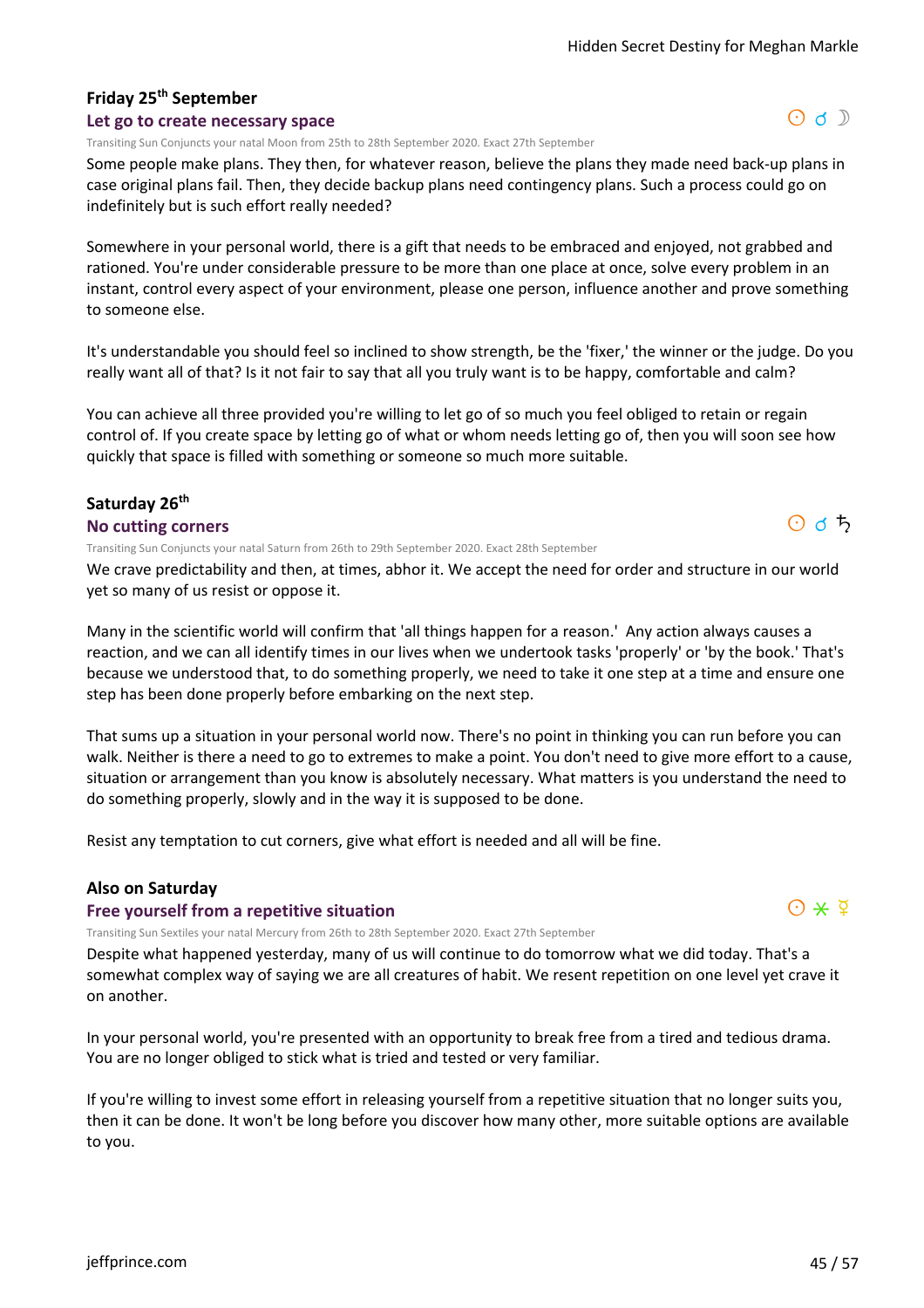# **Friday 25th September**

#### **Let go to create necessary space**

Transiting Sun Conjuncts your natal Moon from 25th to 28th September 2020. Exact 27th September

Some people make plans. They then, for whatever reason, believe the plans they made need back-up plans in case original plans fail. Then, they decide backup plans need contingency plans. Such a process could go on indefinitely but is such effort really needed?

Somewhere in your personal world, there is a gift that needs to be embraced and enjoyed, not grabbed and rationed. You're under considerable pressure to be more than one place at once, solve every problem in an instant, control every aspect of your environment, please one person, influence another and prove something to someone else.

It's understandable you should feel so inclined to show strength, be the 'fixer,' the winner or the judge. Do you really want all of that? Is it not fair to say that all you truly want is to be happy, comfortable and calm?

You can achieve all three provided you're willing to let go of so much you feel obliged to retain or regain control of. If you create space by letting go of what or whom needs letting go of, then you will soon see how quickly that space is filled with something or someone so much more suitable.

#### **Saturday 26th**

#### **No cutting corners**

Transiting Sun Conjuncts your natal Saturn from 26th to 29th September 2020. Exact 28th September

We crave predictability and then, at times, abhor it. We accept the need for order and structure in our world yet so many of us resist or oppose it.

Many in the scientific world will confirm that 'all things happen for a reason.' Any action always causes a reaction, and we can all identify times in our lives when we undertook tasks 'properly' or 'by the book.' That's because we understood that, to do something properly, we need to take it one step at a time and ensure one step has been done properly before embarking on the next step.

That sums up a situation in your personal world now. There's no point in thinking you can run before you can walk. Neither is there a need to go to extremes to make a point. You don't need to give more effort to a cause, situation or arrangement than you know is absolutely necessary. What matters is you understand the need to do something properly, slowly and in the way it is supposed to be done.

Resist any temptation to cut corners, give what effort is needed and all will be fine.

#### **Also on Saturday**

#### **Free yourself from a repetitive situation**

Transiting Sun Sextiles your natal Mercury from 26th to 28th September 2020. Exact 27th September

Despite what happened yesterday, many of us will continue to do tomorrow what we did today. That's a somewhat complex way of saying we are all creatures of habit. We resent repetition on one level yet crave it on another.

In your personal world, you're presented with an opportunity to break free from a tired and tedious drama. You are no longer obliged to stick what is tried and tested or very familiar.

If you're willing to invest some effort in releasing yourself from a repetitive situation that no longer suits you, then it can be done. It won't be long before you discover how many other, more suitable options are available to you.



 $O$  d  $5$ 

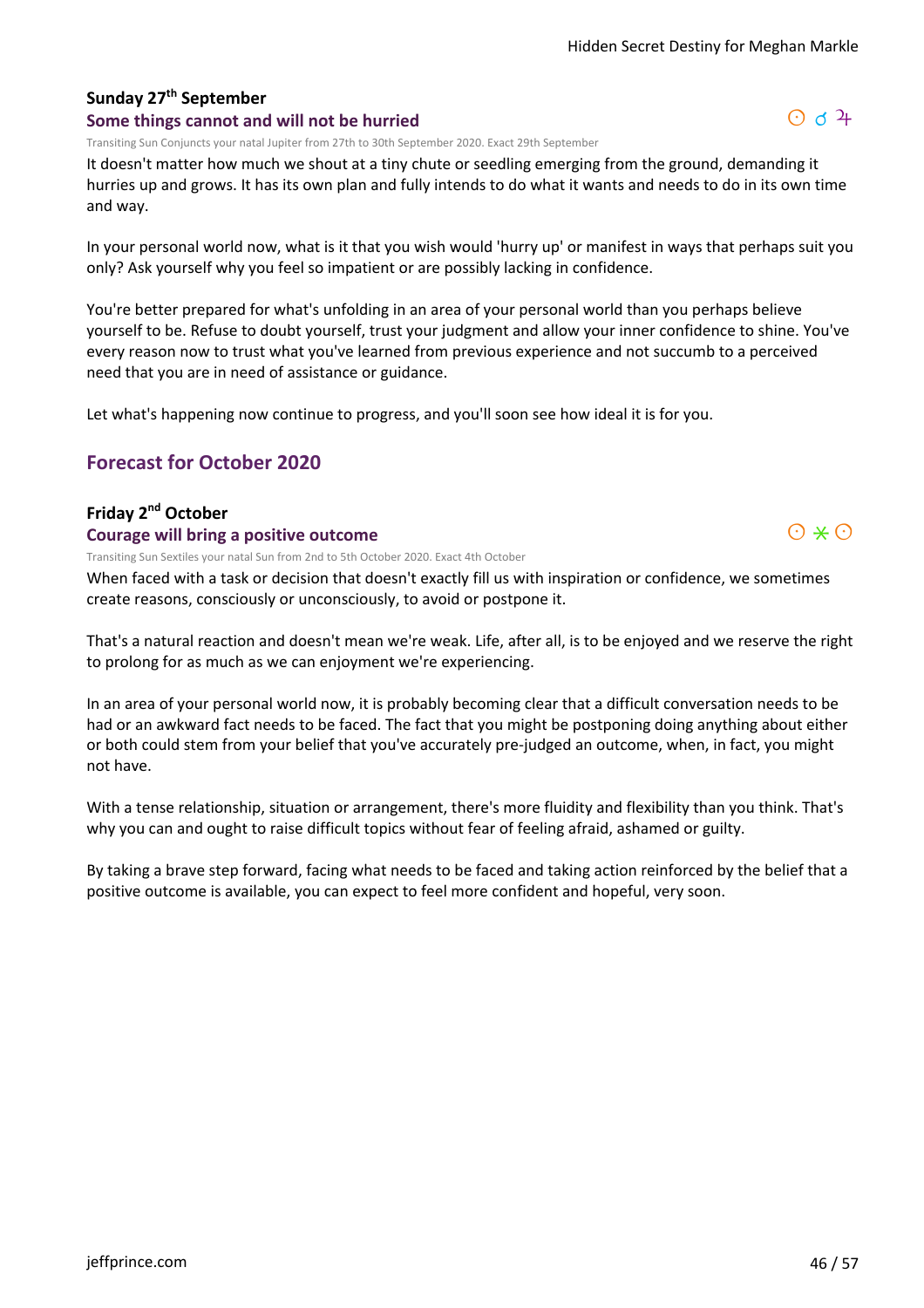# **Sunday 27th September**

#### **Some things cannot and will not be hurried**

Transiting Sun Conjuncts your natal Jupiter from 27th to 30th September 2020. Exact 29th September

It doesn't matter how much we shout at a tiny chute or seedling emerging from the ground, demanding it hurries up and grows. It has its own plan and fully intends to do what it wants and needs to do in its own time and way.

In your personal world now, what is it that you wish would 'hurry up' or manifest in ways that perhaps suit you only? Ask yourself why you feel so impatient or are possibly lacking in confidence.

You're better prepared for what's unfolding in an area of your personal world than you perhaps believe yourself to be. Refuse to doubt yourself, trust your judgment and allow your inner confidence to shine. You've every reason now to trust what you've learned from previous experience and not succumb to a perceived need that you are in need of assistance or guidance.

Let what's happening now continue to progress, and you'll soon see how ideal it is for you.

# **Forecast for October 2020**

#### **Friday 2nd October**

#### **Courage will bring a positive outcome**

Transiting Sun Sextiles your natal Sun from 2nd to 5th October 2020. Exact 4th October

When faced with a task or decision that doesn't exactly fill us with inspiration or confidence, we sometimes create reasons, consciously or unconsciously, to avoid or postpone it.

That's a natural reaction and doesn't mean we're weak. Life, after all, is to be enjoyed and we reserve the right to prolong for as much as we can enjoyment we're experiencing.

In an area of your personal world now, it is probably becoming clear that a difficult conversation needs to be had or an awkward fact needs to be faced. The fact that you might be postponing doing anything about either or both could stem from your belief that you've accurately pre-judged an outcome, when, in fact, you might not have.

With a tense relationship, situation or arrangement, there's more fluidity and flexibility than you think. That's why you can and ought to raise difficult topics without fear of feeling afraid, ashamed or guilty.

By taking a brave step forward, facing what needs to be faced and taking action reinforced by the belief that a positive outcome is available, you can expect to feel more confident and hopeful, very soon.

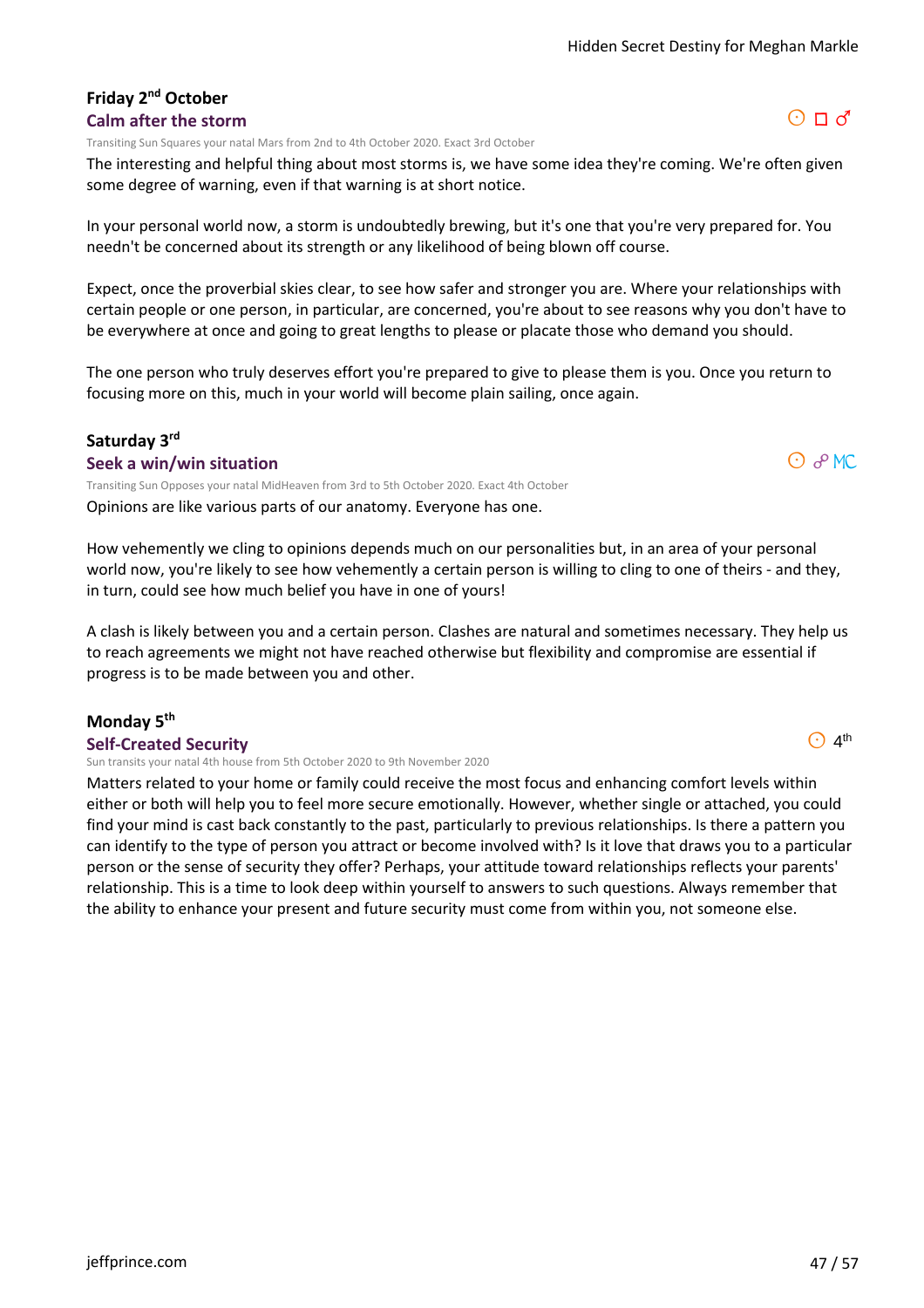#### **Friday 2nd October Calm after the storm**

Transiting Sun Squares your natal Mars from 2nd to 4th October 2020. Exact 3rd October

The interesting and helpful thing about most storms is, we have some idea they're coming. We're often given some degree of warning, even if that warning is at short notice.

In your personal world now, a storm is undoubtedly brewing, but it's one that you're very prepared for. You needn't be concerned about its strength or any likelihood of being blown off course.

Expect, once the proverbial skies clear, to see how safer and stronger you are. Where your relationships with certain people or one person, in particular, are concerned, you're about to see reasons why you don't have to be everywhere at once and going to great lengths to please or placate those who demand you should.

The one person who truly deserves effort you're prepared to give to please them is you. Once you return to focusing more on this, much in your world will become plain sailing, once again.

#### **Saturday 3rd**

#### **Seek a win/win situation**

Opinions are like various parts of our anatomy. Everyone has one. Transiting Sun Opposes your natal MidHeaven from 3rd to 5th October 2020. Exact 4th October

How vehemently we cling to opinions depends much on our personalities but, in an area of your personal world now, you're likely to see how vehemently a certain person is willing to cling to one of theirs - and they, in turn, could see how much belief you have in one of yours!

A clash is likely between you and a certain person. Clashes are natural and sometimes necessary. They help us to reach agreements we might not have reached otherwise but flexibility and compromise are essential if progress is to be made between you and other.

#### **Monday 5th**

#### **Self-Created Security**

Sun transits your natal 4th house from 5th October 2020 to 9th November 2020

Matters related to your home or family could receive the most focus and enhancing comfort levels within either or both will help you to feel more secure emotionally. However, whether single or attached, you could find your mind is cast back constantly to the past, particularly to previous relationships. Is there a pattern you can identify to the type of person you attract or become involved with? Is it love that draws you to a particular person or the sense of security they offer? Perhaps, your attitude toward relationships reflects your parents' relationship. This is a time to look deep within yourself to answers to such questions. Always remember that the ability to enhance your present and future security must come from within you, not someone else.

#### $\odot$  4<sup>th</sup>

 $O$   $P$  MC

# $O \Pi d$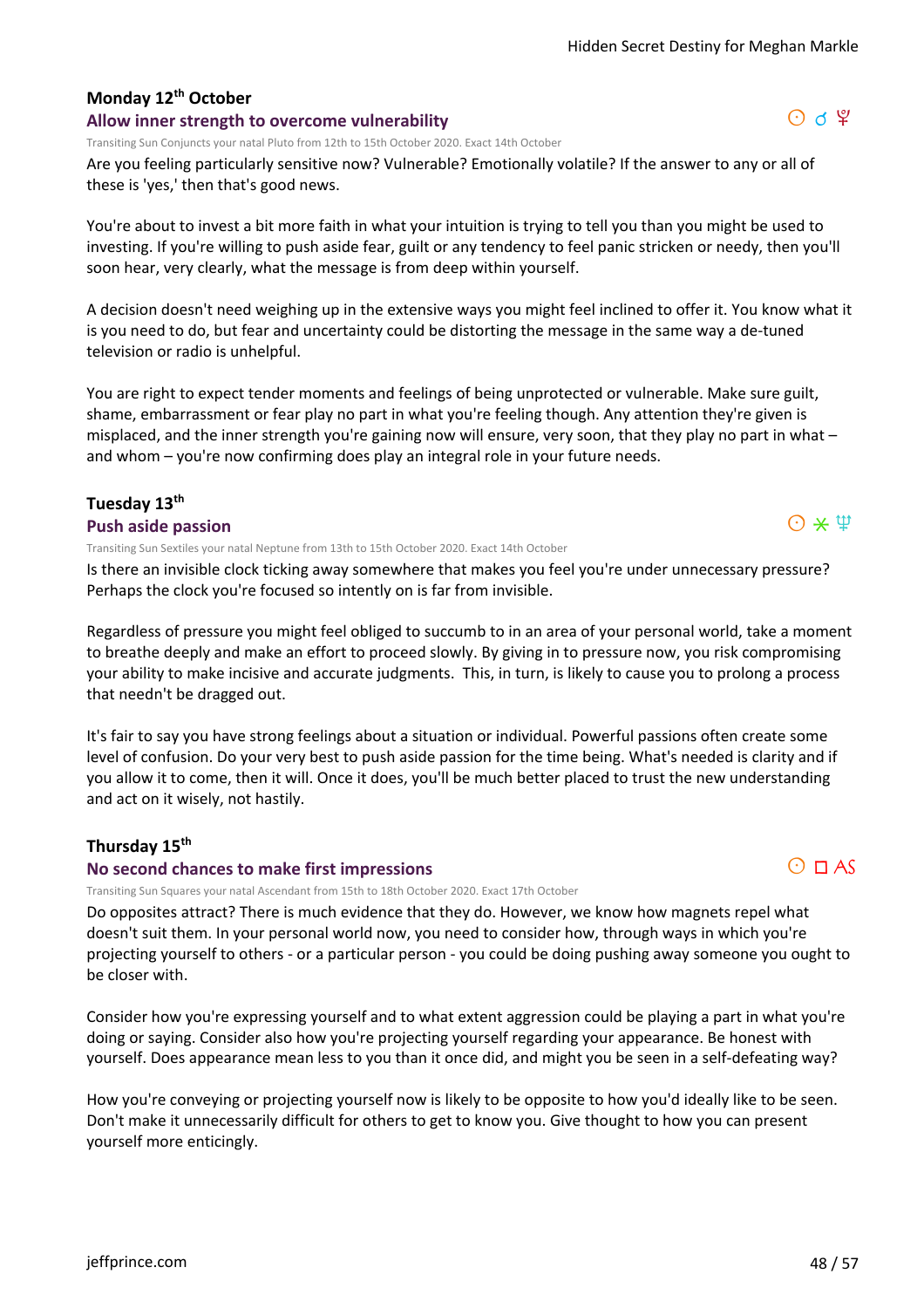# **Monday 12th October**

#### **Allow inner strength to overcome vulnerability**

Transiting Sun Conjuncts your natal Pluto from 12th to 15th October 2020. Exact 14th October

Are you feeling particularly sensitive now? Vulnerable? Emotionally volatile? If the answer to any or all of these is 'yes,' then that's good news.

You're about to invest a bit more faith in what your intuition is trying to tell you than you might be used to investing. If you're willing to push aside fear, guilt or any tendency to feel panic stricken or needy, then you'll soon hear, very clearly, what the message is from deep within yourself.

A decision doesn't need weighing up in the extensive ways you might feel inclined to offer it. You know what it is you need to do, but fear and uncertainty could be distorting the message in the same way a de-tuned television or radio is unhelpful.

You are right to expect tender moments and feelings of being unprotected or vulnerable. Make sure guilt, shame, embarrassment or fear play no part in what you're feeling though. Any attention they're given is misplaced, and the inner strength you're gaining now will ensure, very soon, that they play no part in what – and whom – you're now confirming does play an integral role in your future needs.

# **Tuesday 13th**

#### **Push aside passion**

Transiting Sun Sextiles your natal Neptune from 13th to 15th October 2020. Exact 14th October

Is there an invisible clock ticking away somewhere that makes you feel you're under unnecessary pressure? Perhaps the clock you're focused so intently on is far from invisible.

Regardless of pressure you might feel obliged to succumb to in an area of your personal world, take a moment to breathe deeply and make an effort to proceed slowly. By giving in to pressure now, you risk compromising your ability to make incisive and accurate judgments. This, in turn, is likely to cause you to prolong a process that needn't be dragged out.

It's fair to say you have strong feelings about a situation or individual. Powerful passions often create some level of confusion. Do your very best to push aside passion for the time being. What's needed is clarity and if you allow it to come, then it will. Once it does, you'll be much better placed to trust the new understanding and act on it wisely, not hastily.

#### **Thursday 15th**

#### **No second chances to make first impressions**

Transiting Sun Squares your natal Ascendant from 15th to 18th October 2020. Exact 17th October

Do opposites attract? There is much evidence that they do. However, we know how magnets repel what doesn't suit them. In your personal world now, you need to consider how, through ways in which you're projecting yourself to others - or a particular person - you could be doing pushing away someone you ought to be closer with.

Consider how you're expressing yourself and to what extent aggression could be playing a part in what you're doing or saying. Consider also how you're projecting yourself regarding your appearance. Be honest with yourself. Does appearance mean less to you than it once did, and might you be seen in a self-defeating way?

How you're conveying or projecting yourself now is likely to be opposite to how you'd ideally like to be seen. Don't make it unnecessarily difficult for others to get to know you. Give thought to how you can present yourself more enticingly.



 $O \times \Psi$ 

#### $O$  is  $\mathfrak{P}$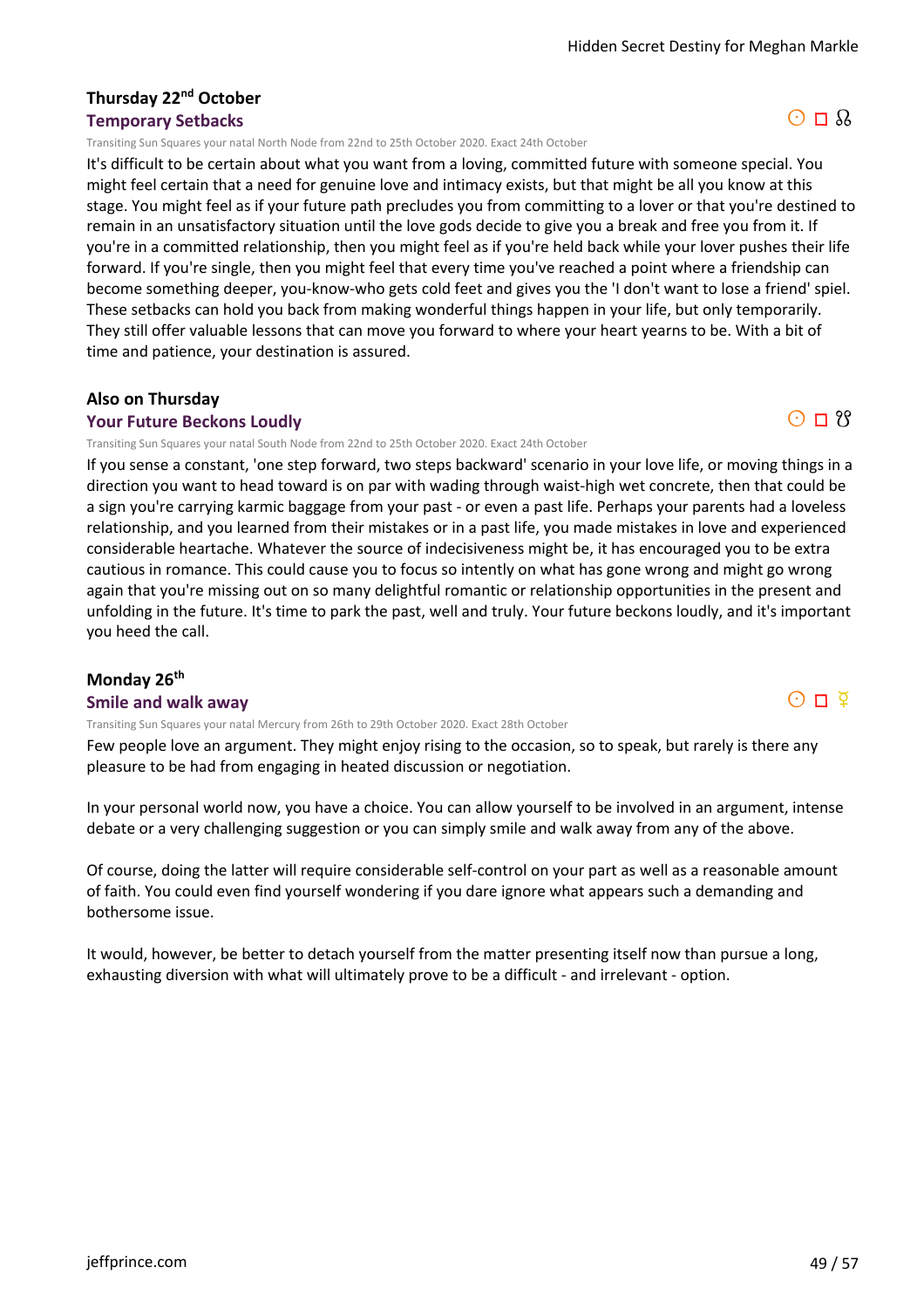#### **Thursday 22nd October Temporary Setbacks**

Transiting Sun Squares your natal North Node from 22nd to 25th October 2020. Exact 24th October

It's difficult to be certain about what you want from a loving, committed future with someone special. You might feel certain that a need for genuine love and intimacy exists, but that might be all you know at this stage. You might feel as if your future path precludes you from committing to a lover or that you're destined to remain in an unsatisfactory situation until the love gods decide to give you a break and free you from it. If you're in a committed relationship, then you might feel as if you're held back while your lover pushes their life forward. If you're single, then you might feel that every time you've reached a point where a friendship can become something deeper, you-know-who gets cold feet and gives you the 'I don't want to lose a friend' spiel. These setbacks can hold you back from making wonderful things happen in your life, but only temporarily. They still offer valuable lessons that can move you forward to where your heart yearns to be. With a bit of time and patience, your destination is assured.

#### **Also on Thursday**

#### **Your Future Beckons Loudly**

Transiting Sun Squares your natal South Node from 22nd to 25th October 2020. Exact 24th October

If you sense a constant, 'one step forward, two steps backward' scenario in your love life, or moving things in a direction you want to head toward is on par with wading through waist-high wet concrete, then that could be a sign you're carrying karmic baggage from your past - or even a past life. Perhaps your parents had a loveless relationship, and you learned from their mistakes or in a past life, you made mistakes in love and experienced considerable heartache. Whatever the source of indecisiveness might be, it has encouraged you to be extra cautious in romance. This could cause you to focus so intently on what has gone wrong and might go wrong again that you're missing out on so many delightful romantic or relationship opportunities in the present and unfolding in the future. It's time to park the past, well and truly. Your future beckons loudly, and it's important you heed the call.

#### **Monday 26th**

#### **Smile and walk away**

Transiting Sun Squares your natal Mercury from 26th to 29th October 2020. Exact 28th October

Few people love an argument. They might enjoy rising to the occasion, so to speak, but rarely is there any pleasure to be had from engaging in heated discussion or negotiation.

In your personal world now, you have a choice. You can allow yourself to be involved in an argument, intense debate or a very challenging suggestion or you can simply smile and walk away from any of the above.

Of course, doing the latter will require considerable self-control on your part as well as a reasonable amount of faith. You could even find yourself wondering if you dare ignore what appears such a demanding and bothersome issue.

It would, however, be better to detach yourself from the matter presenting itself now than pursue a long, exhausting diversion with what will ultimately prove to be a difficult - and irrelevant - option.



 $O \Pi$  ?

 $O\Pi$   $\Phi$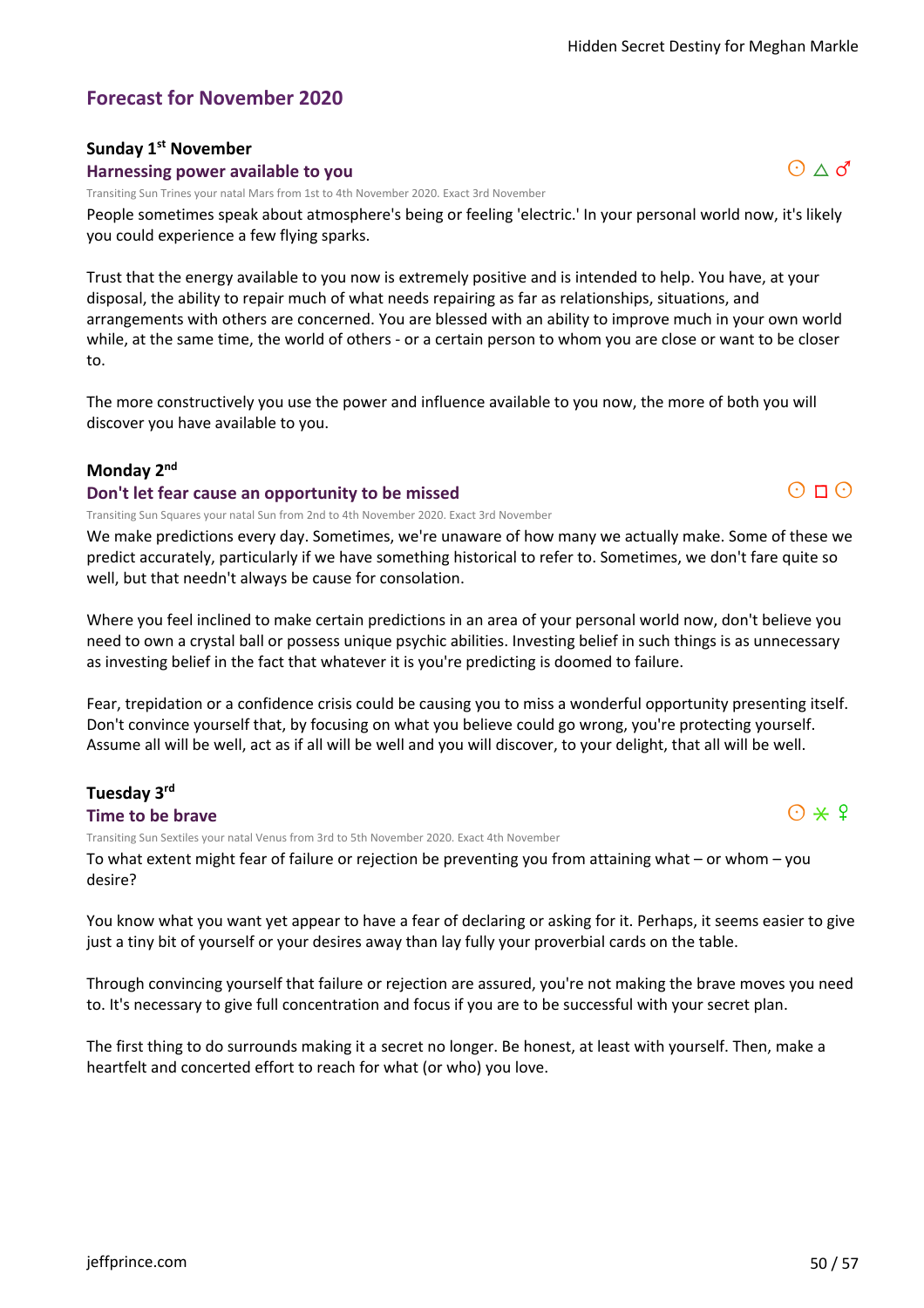# **Forecast for November 2020**

#### **Sunday 1st November**

#### **Harnessing power available to you**

Transiting Sun Trines your natal Mars from 1st to 4th November 2020. Exact 3rd November

People sometimes speak about atmosphere's being or feeling 'electric.' In your personal world now, it's likely you could experience a few flying sparks.

Trust that the energy available to you now is extremely positive and is intended to help. You have, at your disposal, the ability to repair much of what needs repairing as far as relationships, situations, and arrangements with others are concerned. You are blessed with an ability to improve much in your own world while, at the same time, the world of others - or a certain person to whom you are close or want to be closer to.

The more constructively you use the power and influence available to you now, the more of both you will discover you have available to you.

#### **Monday 2nd**

#### **Don't let fear cause an opportunity to be missed**

Transiting Sun Squares your natal Sun from 2nd to 4th November 2020. Exact 3rd November

We make predictions every day. Sometimes, we're unaware of how many we actually make. Some of these we predict accurately, particularly if we have something historical to refer to. Sometimes, we don't fare quite so well, but that needn't always be cause for consolation.

Where you feel inclined to make certain predictions in an area of your personal world now, don't believe you need to own a crystal ball or possess unique psychic abilities. Investing belief in such things is as unnecessary as investing belief in the fact that whatever it is you're predicting is doomed to failure.

Fear, trepidation or a confidence crisis could be causing you to miss a wonderful opportunity presenting itself. Don't convince yourself that, by focusing on what you believe could go wrong, you're protecting yourself. Assume all will be well, act as if all will be well and you will discover, to your delight, that all will be well.

# **Tuesday 3rd**

**Time to be brave**

Transiting Sun Sextiles your natal Venus from 3rd to 5th November 2020. Exact 4th November

To what extent might fear of failure or rejection be preventing you from attaining what – or whom – you desire?

You know what you want yet appear to have a fear of declaring or asking for it. Perhaps, it seems easier to give just a tiny bit of yourself or your desires away than lay fully your proverbial cards on the table.

Through convincing yourself that failure or rejection are assured, you're not making the brave moves you need to. It's necessary to give full concentration and focus if you are to be successful with your secret plan.

The first thing to do surrounds making it a secret no longer. Be honest, at least with yourself. Then, make a heartfelt and concerted effort to reach for what (or who) you love.



# $\Theta \wedge d$

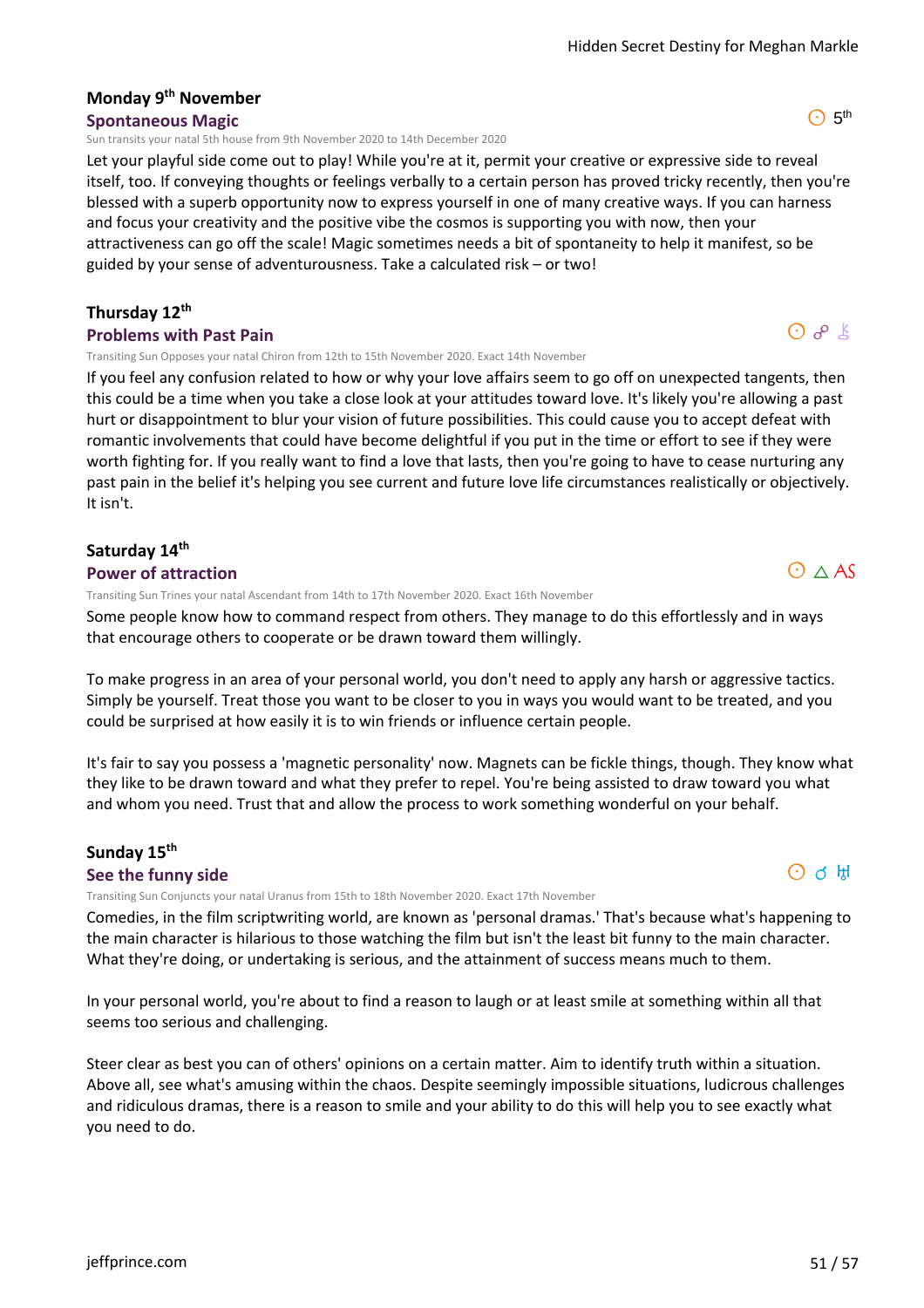# **Monday 9th November**

#### **Spontaneous Magic**

Sun transits your natal 5th house from 9th November 2020 to 14th December 2020

Let your playful side come out to play! While you're at it, permit your creative or expressive side to reveal itself, too. If conveying thoughts or feelings verbally to a certain person has proved tricky recently, then you're blessed with a superb opportunity now to express yourself in one of many creative ways. If you can harness and focus your creativity and the positive vibe the cosmos is supporting you with now, then your attractiveness can go off the scale! Magic sometimes needs a bit of spontaneity to help it manifest, so be guided by your sense of adventurousness. Take a calculated risk – or two!

#### **Thursday 12th**

#### **Problems with Past Pain**

Transiting Sun Opposes your natal Chiron from 12th to 15th November 2020. Exact 14th November

If you feel any confusion related to how or why your love affairs seem to go off on unexpected tangents, then this could be a time when you take a close look at your attitudes toward love. It's likely you're allowing a past hurt or disappointment to blur your vision of future possibilities. This could cause you to accept defeat with romantic involvements that could have become delightful if you put in the time or effort to see if they were worth fighting for. If you really want to find a love that lasts, then you're going to have to cease nurturing any past pain in the belief it's helping you see current and future love life circumstances realistically or objectively. It isn't.

#### **Saturday 14th**

#### **Power of attraction**

Transiting Sun Trines your natal Ascendant from 14th to 17th November 2020. Exact 16th November

Some people know how to command respect from others. They manage to do this effortlessly and in ways that encourage others to cooperate or be drawn toward them willingly.

To make progress in an area of your personal world, you don't need to apply any harsh or aggressive tactics. Simply be yourself. Treat those you want to be closer to you in ways you would want to be treated, and you could be surprised at how easily it is to win friends or influence certain people.

It's fair to say you possess a 'magnetic personality' now. Magnets can be fickle things, though. They know what they like to be drawn toward and what they prefer to repel. You're being assisted to draw toward you what and whom you need. Trust that and allow the process to work something wonderful on your behalf.

#### **Sunday 15th See the funny side**

Transiting Sun Conjuncts your natal Uranus from 15th to 18th November 2020. Exact 17th November

Comedies, in the film scriptwriting world, are known as 'personal dramas.' That's because what's happening to the main character is hilarious to those watching the film but isn't the least bit funny to the main character. What they're doing, or undertaking is serious, and the attainment of success means much to them.

In your personal world, you're about to find a reason to laugh or at least smile at something within all that seems too serious and challenging.

Steer clear as best you can of others' opinions on a certain matter. Aim to identify truth within a situation. Above all, see what's amusing within the chaos. Despite seemingly impossible situations, ludicrous challenges and ridiculous dramas, there is a reason to smile and your ability to do this will help you to see exactly what you need to do.



# $O$   $R$   $\&$

 $O \wedge AS$ 

 $\odot$  5<sup>th</sup>

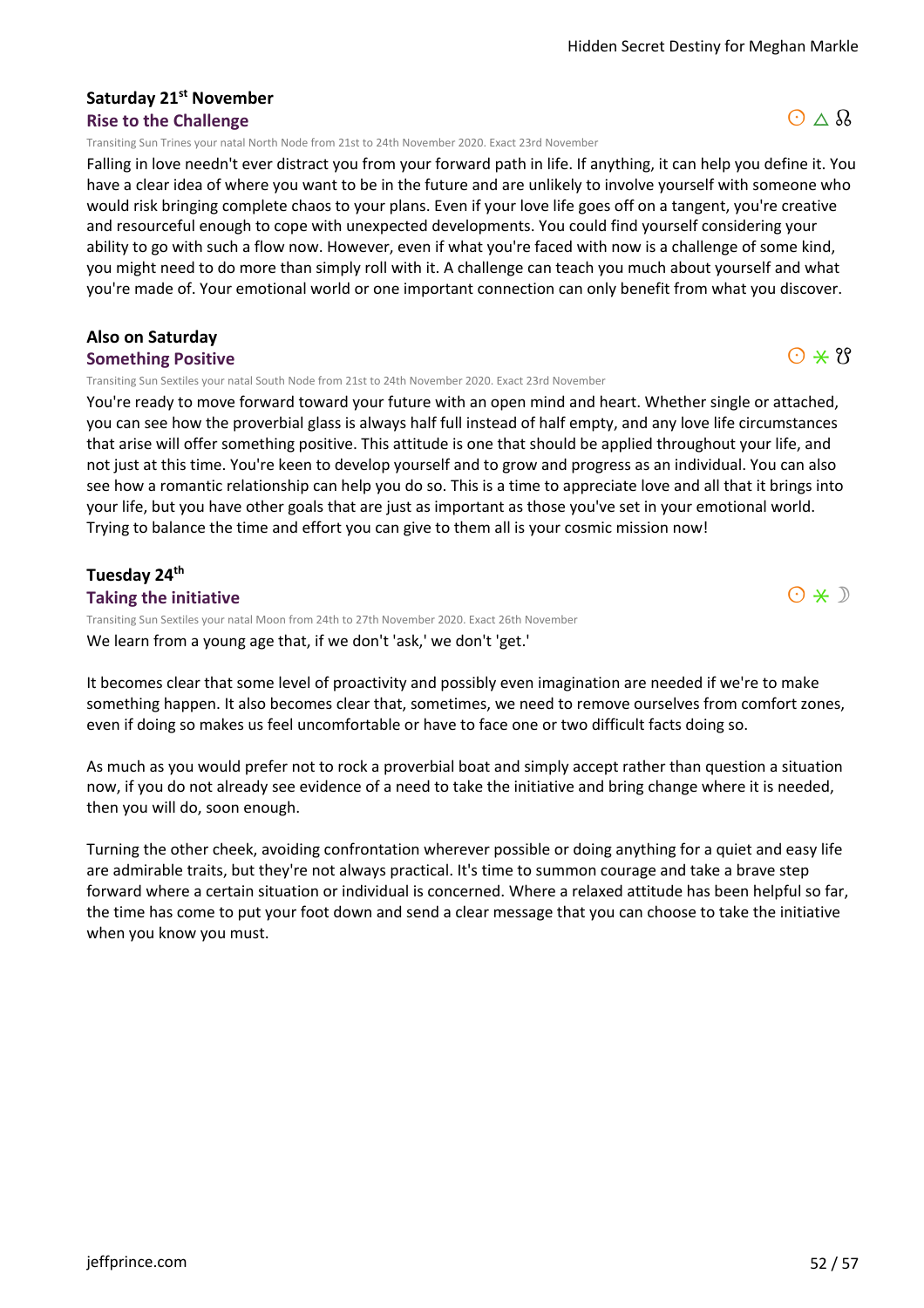# **Saturday 21st November**

#### **Rise to the Challenge**

Transiting Sun Trines your natal North Node from 21st to 24th November 2020. Exact 23rd November

Falling in love needn't ever distract you from your forward path in life. If anything, it can help you define it. You have a clear idea of where you want to be in the future and are unlikely to involve yourself with someone who would risk bringing complete chaos to your plans. Even if your love life goes off on a tangent, you're creative and resourceful enough to cope with unexpected developments. You could find yourself considering your ability to go with such a flow now. However, even if what you're faced with now is a challenge of some kind, you might need to do more than simply roll with it. A challenge can teach you much about yourself and what you're made of. Your emotional world or one important connection can only benefit from what you discover.

#### **Also on Saturday**

#### **Something Positive**

Transiting Sun Sextiles your natal South Node from 21st to 24th November 2020. Exact 23rd November

You're ready to move forward toward your future with an open mind and heart. Whether single or attached, you can see how the proverbial glass is always half full instead of half empty, and any love life circumstances that arise will offer something positive. This attitude is one that should be applied throughout your life, and not just at this time. You're keen to develop yourself and to grow and progress as an individual. You can also see how a romantic relationship can help you do so. This is a time to appreciate love and all that it brings into your life, but you have other goals that are just as important as those you've set in your emotional world. Trying to balance the time and effort you can give to them all is your cosmic mission now!

#### **Tuesday 24th**

**Taking the initiative**

We learn from a young age that, if we don't 'ask,' we don't 'get.' Transiting Sun Sextiles your natal Moon from 24th to 27th November 2020. Exact 26th November

It becomes clear that some level of proactivity and possibly even imagination are needed if we're to make something happen. It also becomes clear that, sometimes, we need to remove ourselves from comfort zones, even if doing so makes us feel uncomfortable or have to face one or two difficult facts doing so.

As much as you would prefer not to rock a proverbial boat and simply accept rather than question a situation now, if you do not already see evidence of a need to take the initiative and bring change where it is needed, then you will do, soon enough.

Turning the other cheek, avoiding confrontation wherever possible or doing anything for a quiet and easy life are admirable traits, but they're not always practical. It's time to summon courage and take a brave step forward where a certain situation or individual is concerned. Where a relaxed attitude has been helpful so far, the time has come to put your foot down and send a clear message that you can choose to take the initiative when you know you must.



# $\odot \times 8$

 $O * D$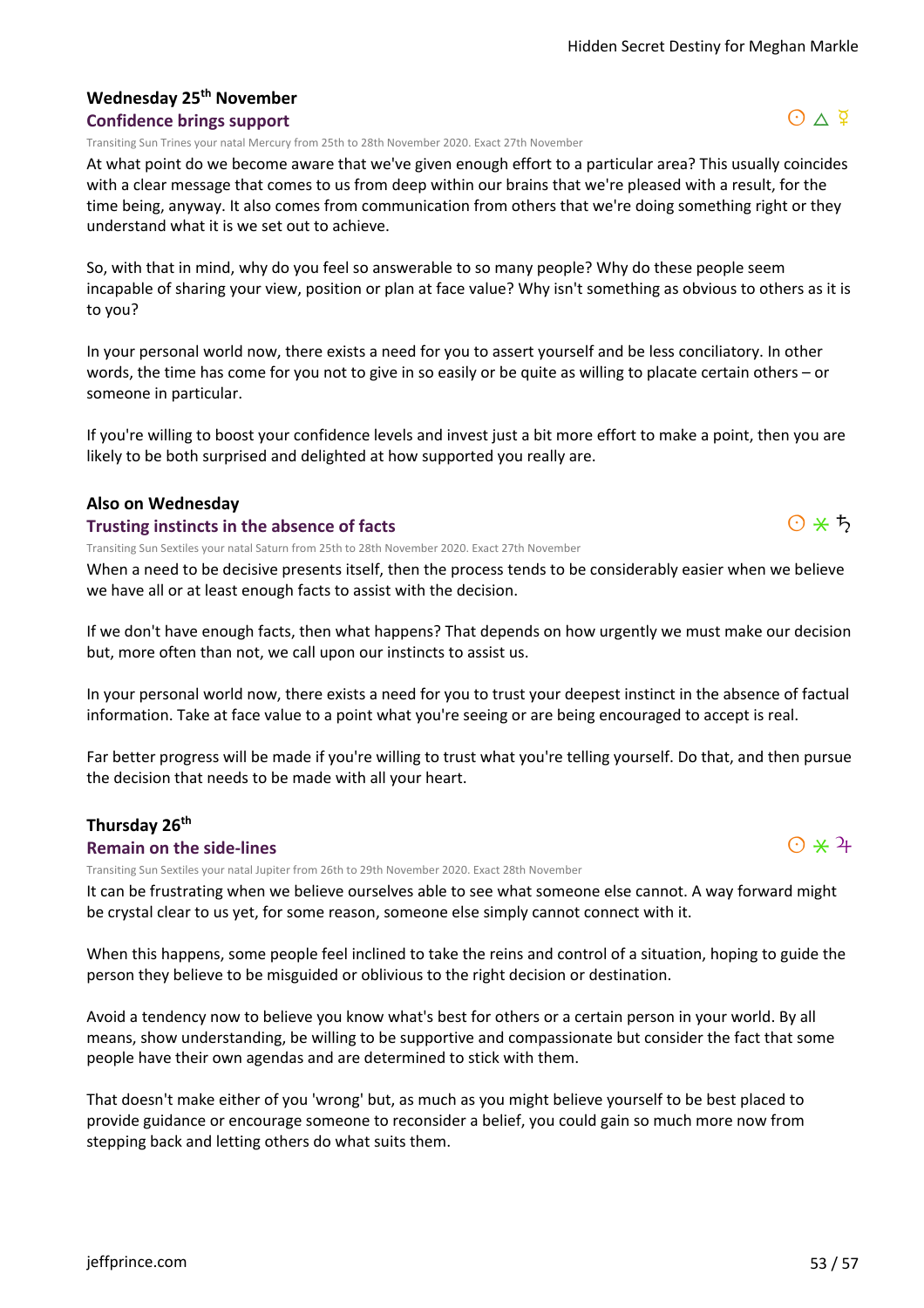#### **Wednesday 25th November Confidence brings support**

Transiting Sun Trines your natal Mercury from 25th to 28th November 2020. Exact 27th November

At what point do we become aware that we've given enough effort to a particular area? This usually coincides with a clear message that comes to us from deep within our brains that we're pleased with a result, for the time being, anyway. It also comes from communication from others that we're doing something right or they understand what it is we set out to achieve.

So, with that in mind, why do you feel so answerable to so many people? Why do these people seem incapable of sharing your view, position or plan at face value? Why isn't something as obvious to others as it is to you?

In your personal world now, there exists a need for you to assert yourself and be less conciliatory. In other words, the time has come for you not to give in so easily or be quite as willing to placate certain others – or someone in particular.

If you're willing to boost your confidence levels and invest just a bit more effort to make a point, then you are likely to be both surprised and delighted at how supported you really are.

#### **Also on Wednesday**

#### **Trusting instincts in the absence of facts**

Transiting Sun Sextiles your natal Saturn from 25th to 28th November 2020. Exact 27th November

When a need to be decisive presents itself, then the process tends to be considerably easier when we believe we have all or at least enough facts to assist with the decision.

If we don't have enough facts, then what happens? That depends on how urgently we must make our decision but, more often than not, we call upon our instincts to assist us.

In your personal world now, there exists a need for you to trust your deepest instinct in the absence of factual information. Take at face value to a point what you're seeing or are being encouraged to accept is real.

Far better progress will be made if you're willing to trust what you're telling yourself. Do that, and then pursue the decision that needs to be made with all your heart.

#### **Thursday 26th**

#### **Remain on the side-lines**

Transiting Sun Sextiles your natal Jupiter from 26th to 29th November 2020. Exact 28th November

It can be frustrating when we believe ourselves able to see what someone else cannot. A way forward might be crystal clear to us yet, for some reason, someone else simply cannot connect with it.

When this happens, some people feel inclined to take the reins and control of a situation, hoping to guide the person they believe to be misguided or oblivious to the right decision or destination.

Avoid a tendency now to believe you know what's best for others or a certain person in your world. By all means, show understanding, be willing to be supportive and compassionate but consider the fact that some people have their own agendas and are determined to stick with them.

That doesn't make either of you 'wrong' but, as much as you might believe yourself to be best placed to provide guidance or encourage someone to reconsider a belief, you could gain so much more now from stepping back and letting others do what suits them.





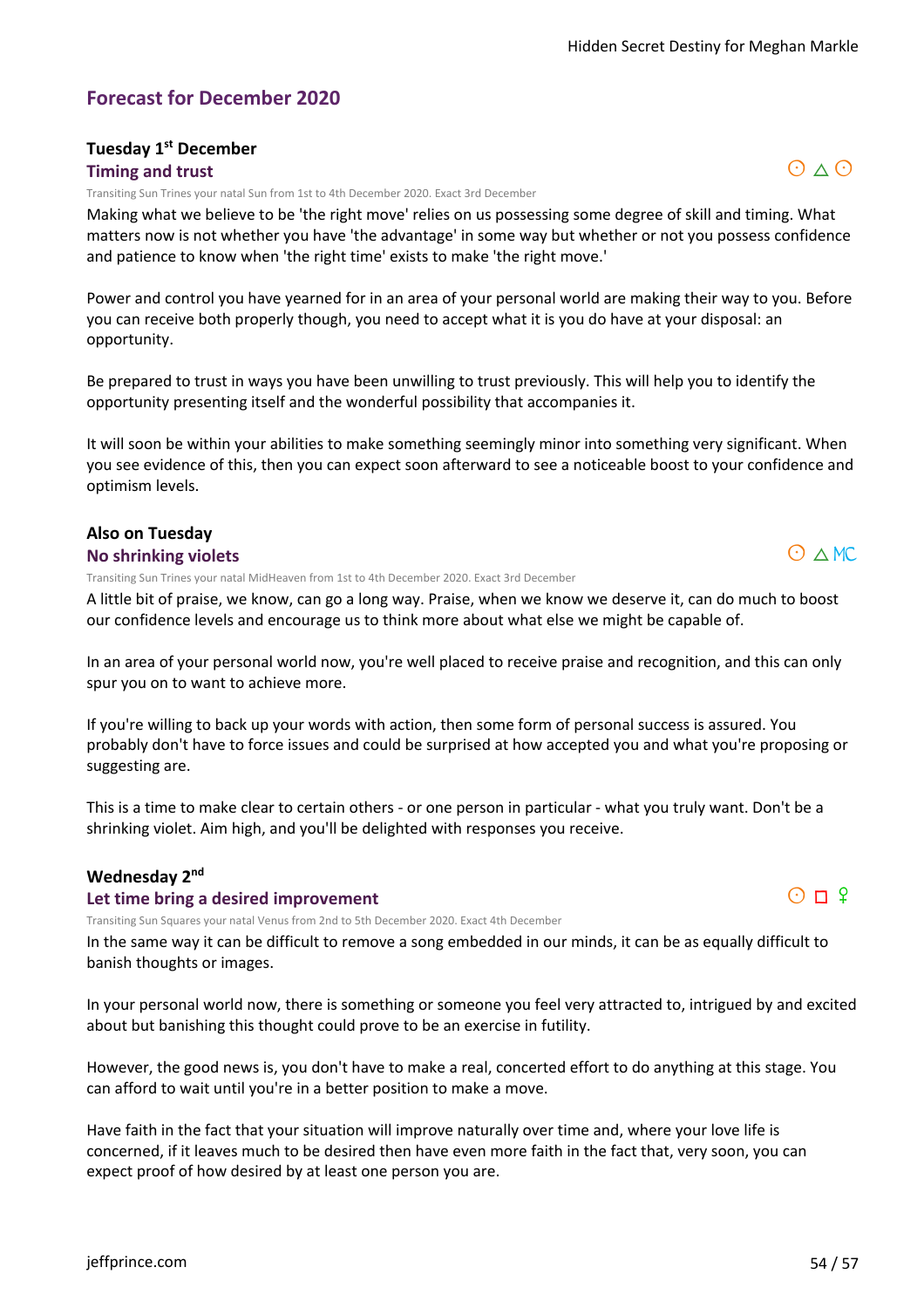#### **Forecast for December 2020**

#### **Tuesday 1st December**

#### **Timing and trust**

Transiting Sun Trines your natal Sun from 1st to 4th December 2020. Exact 3rd December

Making what we believe to be 'the right move' relies on us possessing some degree of skill and timing. What matters now is not whether you have 'the advantage' in some way but whether or not you possess confidence and patience to know when 'the right time' exists to make 'the right move.'

Power and control you have yearned for in an area of your personal world are making their way to you. Before you can receive both properly though, you need to accept what it is you do have at your disposal: an opportunity.

Be prepared to trust in ways you have been unwilling to trust previously. This will help you to identify the opportunity presenting itself and the wonderful possibility that accompanies it.

It will soon be within your abilities to make something seemingly minor into something very significant. When you see evidence of this, then you can expect soon afterward to see a noticeable boost to your confidence and optimism levels.

#### **Also on Tuesday**

#### **No shrinking violets**

Transiting Sun Trines your natal MidHeaven from 1st to 4th December 2020. Exact 3rd December

A little bit of praise, we know, can go a long way. Praise, when we know we deserve it, can do much to boost our confidence levels and encourage us to think more about what else we might be capable of.

In an area of your personal world now, you're well placed to receive praise and recognition, and this can only spur you on to want to achieve more.

If you're willing to back up your words with action, then some form of personal success is assured. You probably don't have to force issues and could be surprised at how accepted you and what you're proposing or suggesting are.

This is a time to make clear to certain others - or one person in particular - what you truly want. Don't be a shrinking violet. Aim high, and you'll be delighted with responses you receive.

#### **Wednesday 2nd**

#### **Let time bring a desired improvement**

Transiting Sun Squares your natal Venus from 2nd to 5th December 2020. Exact 4th December

In the same way it can be difficult to remove a song embedded in our minds, it can be as equally difficult to banish thoughts or images.

In your personal world now, there is something or someone you feel very attracted to, intrigued by and excited about but banishing this thought could prove to be an exercise in futility.

However, the good news is, you don't have to make a real, concerted effort to do anything at this stage. You can afford to wait until you're in a better position to make a move.

Have faith in the fact that your situation will improve naturally over time and, where your love life is concerned, if it leaves much to be desired then have even more faith in the fact that, very soon, you can expect proof of how desired by at least one person you are.



# $O \wedge MC$

# $O \wedge O$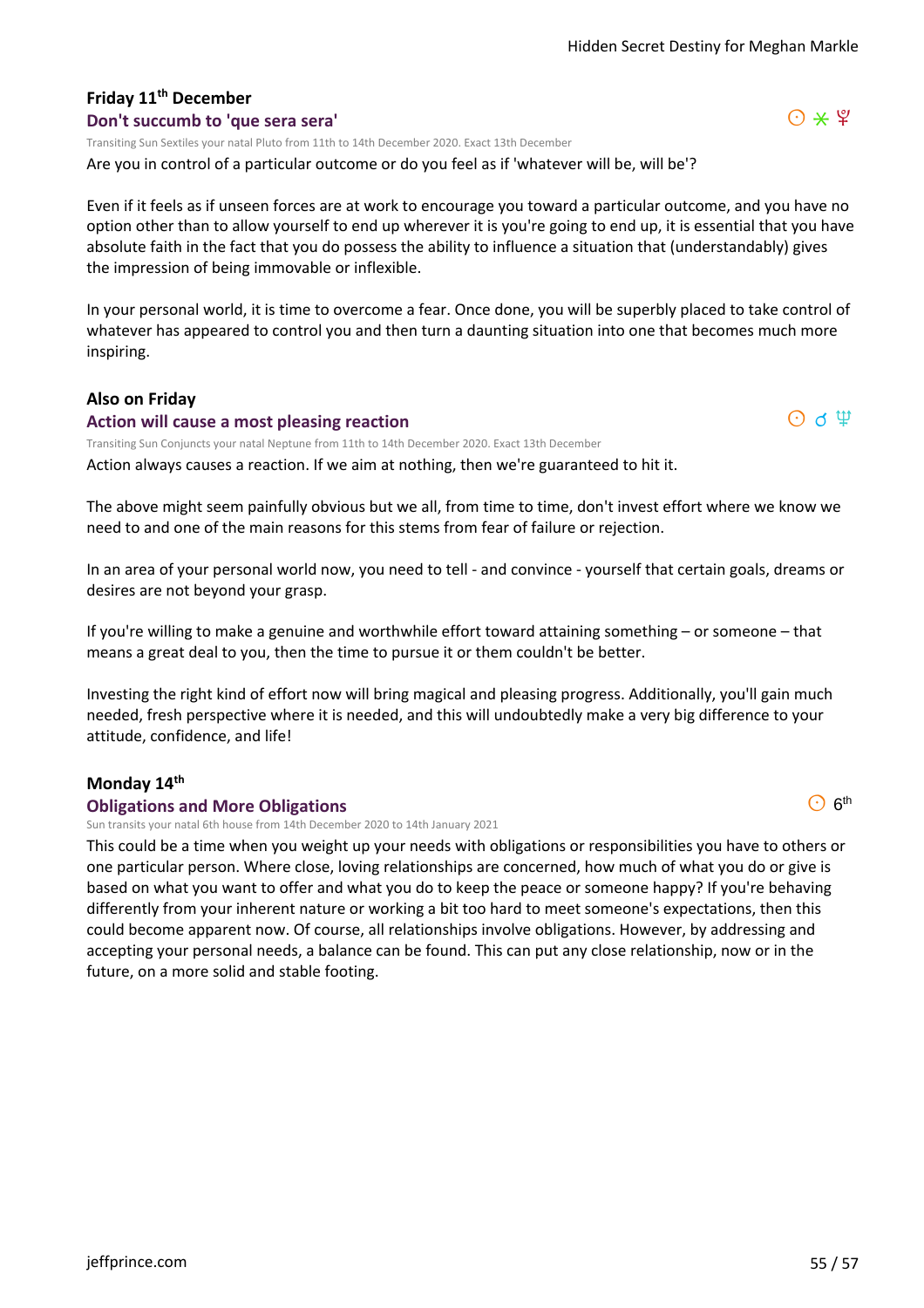# **Friday 11th December**

#### **Don't succumb to 'que sera sera'**

Transiting Sun Sextiles your natal Pluto from 11th to 14th December 2020. Exact 13th December

Are you in control of a particular outcome or do you feel as if 'whatever will be, will be'?

Even if it feels as if unseen forces are at work to encourage you toward a particular outcome, and you have no option other than to allow yourself to end up wherever it is you're going to end up, it is essential that you have absolute faith in the fact that you do possess the ability to influence a situation that (understandably) gives the impression of being immovable or inflexible.

In your personal world, it is time to overcome a fear. Once done, you will be superbly placed to take control of whatever has appeared to control you and then turn a daunting situation into one that becomes much more inspiring.

#### **Also on Friday**

#### **Action will cause a most pleasing reaction**

Transiting Sun Conjuncts your natal Neptune from 11th to 14th December 2020. Exact 13th December

Action always causes a reaction. If we aim at nothing, then we're guaranteed to hit it.

The above might seem painfully obvious but we all, from time to time, don't invest effort where we know we need to and one of the main reasons for this stems from fear of failure or rejection.

In an area of your personal world now, you need to tell - and convince - yourself that certain goals, dreams or desires are not beyond your grasp.

If you're willing to make a genuine and worthwhile effort toward attaining something – or someone – that means a great deal to you, then the time to pursue it or them couldn't be better.

Investing the right kind of effort now will bring magical and pleasing progress. Additionally, you'll gain much needed, fresh perspective where it is needed, and this will undoubtedly make a very big difference to your attitude, confidence, and life!

#### **Monday 14th**

#### **Obligations and More Obligations**

Sun transits your natal 6th house from 14th December 2020 to 14th January 2021

This could be a time when you weight up your needs with obligations or responsibilities you have to others or one particular person. Where close, loving relationships are concerned, how much of what you do or give is based on what you want to offer and what you do to keep the peace or someone happy? If you're behaving differently from your inherent nature or working a bit too hard to meet someone's expectations, then this could become apparent now. Of course, all relationships involve obligations. However, by addressing and accepting your personal needs, a balance can be found. This can put any close relationship, now or in the future, on a more solid and stable footing.





 $\odot$  6<sup>th</sup>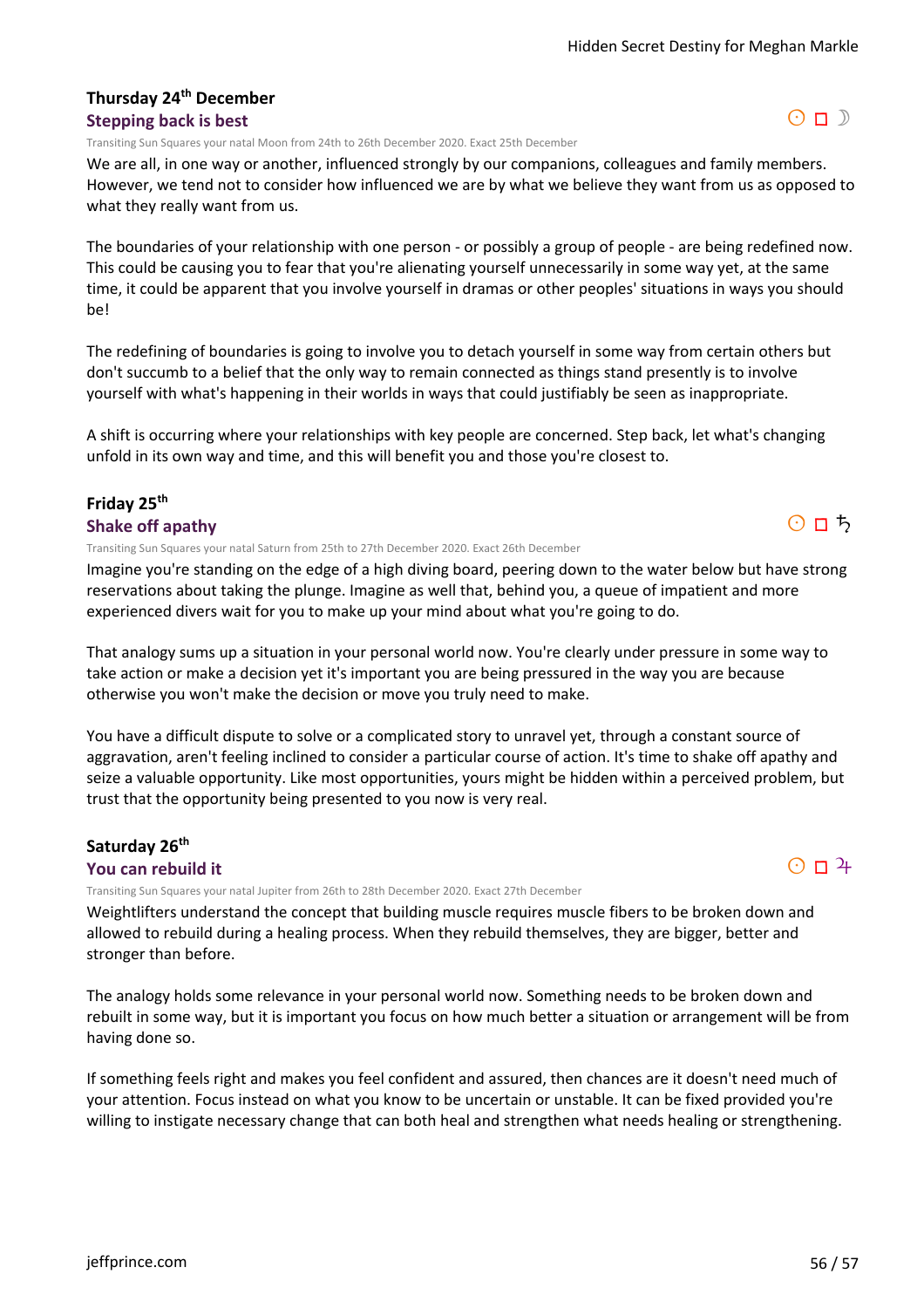#### **Thursday 24th December Stepping back is best**

Transiting Sun Squares your natal Moon from 24th to 26th December 2020. Exact 25th December

We are all, in one way or another, influenced strongly by our companions, colleagues and family members. However, we tend not to consider how influenced we are by what we believe they want from us as opposed to what they really want from us.

The boundaries of your relationship with one person - or possibly a group of people - are being redefined now. This could be causing you to fear that you're alienating yourself unnecessarily in some way yet, at the same time, it could be apparent that you involve yourself in dramas or other peoples' situations in ways you should be!

The redefining of boundaries is going to involve you to detach yourself in some way from certain others but don't succumb to a belief that the only way to remain connected as things stand presently is to involve yourself with what's happening in their worlds in ways that could justifiably be seen as inappropriate.

A shift is occurring where your relationships with key people are concerned. Step back, let what's changing unfold in its own way and time, and this will benefit you and those you're closest to.

#### **Friday 25th Shake off apathy**

Transiting Sun Squares your natal Saturn from 25th to 27th December 2020. Exact 26th December

Imagine you're standing on the edge of a high diving board, peering down to the water below but have strong reservations about taking the plunge. Imagine as well that, behind you, a queue of impatient and more experienced divers wait for you to make up your mind about what you're going to do.

That analogy sums up a situation in your personal world now. You're clearly under pressure in some way to take action or make a decision yet it's important you are being pressured in the way you are because otherwise you won't make the decision or move you truly need to make.

You have a difficult dispute to solve or a complicated story to unravel yet, through a constant source of aggravation, aren't feeling inclined to consider a particular course of action. It's time to shake off apathy and seize a valuable opportunity. Like most opportunities, yours might be hidden within a perceived problem, but trust that the opportunity being presented to you now is very real.

#### **Saturday 26th**

#### **You can rebuild it**

Transiting Sun Squares your natal Jupiter from 26th to 28th December 2020. Exact 27th December

Weightlifters understand the concept that building muscle requires muscle fibers to be broken down and allowed to rebuild during a healing process. When they rebuild themselves, they are bigger, better and stronger than before.

The analogy holds some relevance in your personal world now. Something needs to be broken down and rebuilt in some way, but it is important you focus on how much better a situation or arrangement will be from having done so.

If something feels right and makes you feel confident and assured, then chances are it doesn't need much of your attention. Focus instead on what you know to be uncertain or unstable. It can be fixed provided you're willing to instigate necessary change that can both heal and strengthen what needs healing or strengthening.